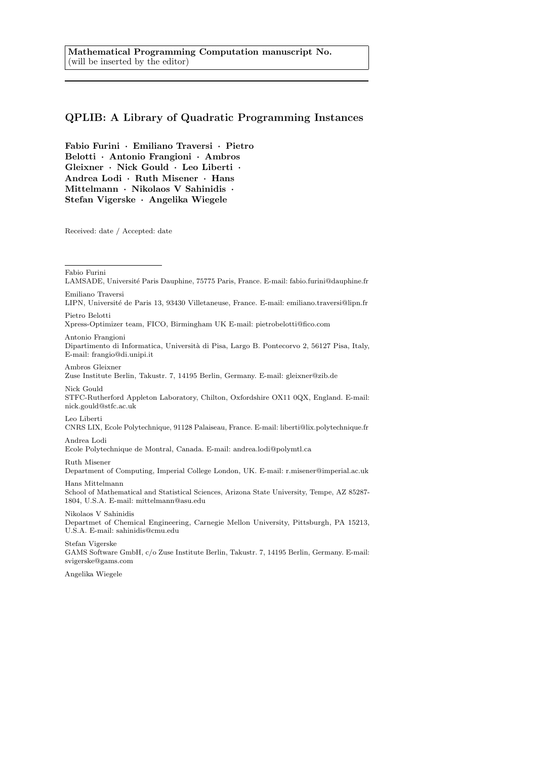# QPLIB: A Library of Quadratic Programming Instances

Fabio Furini · Emiliano Traversi · Pietro Belotti · Antonio Frangioni · Ambros Gleixner · Nick Gould · Leo Liberti · Andrea Lodi · Ruth Misener · Hans Mittelmann · Nikolaos V Sahinidis · Stefan Vigerske · Angelika Wiegele

Received: date / Accepted: date

Fabio Furini

LIPN, Université de Paris 13, 93430 Villetaneuse, France. E-mail: emiliano.traversi@lipn.fr Pietro Belotti

Xpress-Optimizer team, FICO, Birmingham UK E-mail: pietrobelotti@fico.com

Antonio Frangioni

Dipartimento di Informatica, Universit`a di Pisa, Largo B. Pontecorvo 2, 56127 Pisa, Italy, E-mail: frangio@di.unipi.it

Ambros Gleixner Zuse Institute Berlin, Takustr. 7, 14195 Berlin, Germany. E-mail: gleixner@zib.de

Nick Gould STFC-Rutherford Appleton Laboratory, Chilton, Oxfordshire OX11 0QX, England. E-mail: nick.gould@stfc.ac.uk

Leo Liberti

CNRS LIX, Ecole Polytechnique, 91128 Palaiseau, France. E-mail: liberti@lix.polytechnique.fr

Andrea Lodi

Ecole Polytechnique de Montral, Canada. E-mail: andrea.lodi@polymtl.ca

Ruth Misener

Department of Computing, Imperial College London, UK. E-mail: r.misener@imperial.ac.uk Hans Mittelmann

School of Mathematical and Statistical Sciences, Arizona State University, Tempe, AZ 85287- 1804, U.S.A. E-mail: mittelmann@asu.edu

Nikolaos V Sahinidis Departmet of Chemical Engineering, Carnegie Mellon University, Pittsburgh, PA 15213, U.S.A. E-mail: sahinidis@cmu.edu

Stefan Vigerske GAMS Software GmbH, c/o Zuse Institute Berlin, Takustr. 7, 14195 Berlin, Germany. E-mail: svigerske@gams.com

Angelika Wiegele

LAMSADE, Université Paris Dauphine, 75775 Paris, France. E-mail: fabio.furini@dauphine.fr Emiliano Traversi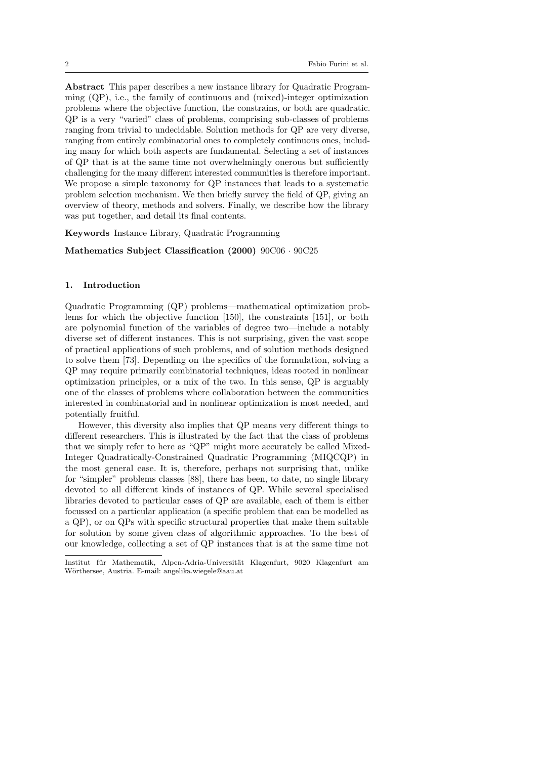Abstract This paper describes a new instance library for Quadratic Programming  $(QP)$ , i.e., the family of continuous and (mixed)-integer optimization problems where the objective function, the constrains, or both are quadratic. QP is a very "varied" class of problems, comprising sub-classes of problems ranging from trivial to undecidable. Solution methods for QP are very diverse, ranging from entirely combinatorial ones to completely continuous ones, including many for which both aspects are fundamental. Selecting a set of instances of QP that is at the same time not overwhelmingly onerous but sufficiently challenging for the many different interested communities is therefore important. We propose a simple taxonomy for QP instances that leads to a systematic problem selection mechanism. We then briefly survey the field of QP, giving an overview of theory, methods and solvers. Finally, we describe how the library was put together, and detail its final contents.

Keywords Instance Library, Quadratic Programming

Mathematics Subject Classification (2000) 90C06 · 90C25

#### 1. Introduction

Quadratic Programming (QP) problems—mathematical optimization problems for which the objective function [\[150\]](#page-33-0), the constraints [\[151\]](#page-33-1), or both are polynomial function of the variables of degree two—include a notably diverse set of different instances. This is not surprising, given the vast scope of practical applications of such problems, and of solution methods designed to solve them [\[73\]](#page-28-0). Depending on the specifics of the formulation, solving a QP may require primarily combinatorial techniques, ideas rooted in nonlinear optimization principles, or a mix of the two. In this sense, QP is arguably one of the classes of problems where collaboration between the communities interested in combinatorial and in nonlinear optimization is most needed, and potentially fruitful.

However, this diversity also implies that QP means very different things to different researchers. This is illustrated by the fact that the class of problems that we simply refer to here as "QP" might more accurately be called Mixed-Integer Quadratically-Constrained Quadratic Programming (MIQCQP) in the most general case. It is, therefore, perhaps not surprising that, unlike for "simpler" problems classes [\[88\]](#page-29-0), there has been, to date, no single library devoted to all different kinds of instances of QP. While several specialised libraries devoted to particular cases of QP are available, each of them is either focussed on a particular application (a specific problem that can be modelled as a QP), or on QPs with specific structural properties that make them suitable for solution by some given class of algorithmic approaches. To the best of our knowledge, collecting a set of QP instances that is at the same time not

Institut für Mathematik, Alpen-Adria-Universität Klagenfurt, 9020 Klagenfurt am Wörthersee, Austria. E-mail: angelika.wiegele@aau.at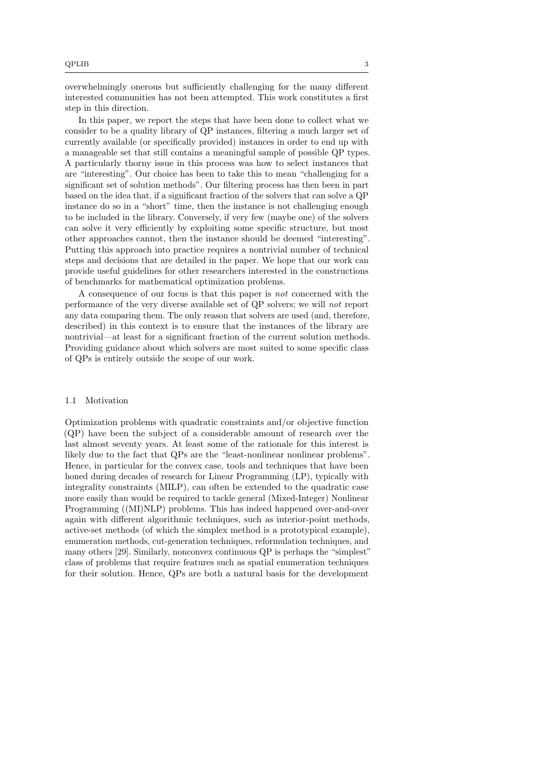overwhelmingly onerous but sufficiently challenging for the many different interested communities has not been attempted. This work constitutes a first step in this direction.

In this paper, we report the steps that have been done to collect what we consider to be a quality library of QP instances, filtering a much larger set of currently available (or specifically provided) instances in order to end up with a manageable set that still contains a meaningful sample of possible QP types. A particularly thorny issue in this process was how to select instances that are "interesting". Our choice has been to take this to mean "challenging for a significant set of solution methods". Our filtering process has then been in part based on the idea that, if a significant fraction of the solvers that can solve a QP instance do so in a "short" time, then the instance is not challenging enough to be included in the library. Conversely, if very few (maybe one) of the solvers can solve it very efficiently by exploiting some specific structure, but most other approaches cannot, then the instance should be deemed "interesting". Putting this approach into practice requires a nontrivial number of technical steps and decisions that are detailed in the paper. We hope that our work can provide useful guidelines for other researchers interested in the constructions of benchmarks for mathematical optimization problems.

A consequence of our focus is that this paper is not concerned with the performance of the very diverse available set of QP solvers; we will not report any data comparing them. The only reason that solvers are used (and, therefore, described) in this context is to ensure that the instances of the library are nontrivial—at least for a significant fraction of the current solution methods. Providing guidance about which solvers are most suited to some specific class of QPs is entirely outside the scope of our work.

#### 1.1 Motivation

Optimization problems with quadratic constraints and/or objective function (QP) have been the subject of a considerable amount of research over the last almost seventy years. At least some of the rationale for this interest is likely due to the fact that QPs are the "least-nonlinear nonlinear problems". Hence, in particular for the convex case, tools and techniques that have been honed during decades of research for Linear Programming (LP), typically with integrality constraints (MILP), can often be extended to the quadratic case more easily than would be required to tackle general (Mixed-Integer) Nonlinear Programming ((MI)NLP) problems. This has indeed happened over-and-over again with different algorithmic techniques, such as interior-point methods, active-set methods (of which the simplex method is a prototypical example), enumeration methods, cut-generation techniques, reformulation techniques, and many others [\[29\]](#page-25-0). Similarly, nonconvex continuous QP is perhaps the "simplest" class of problems that require features such as spatial enumeration techniques for their solution. Hence, QPs are both a natural basis for the development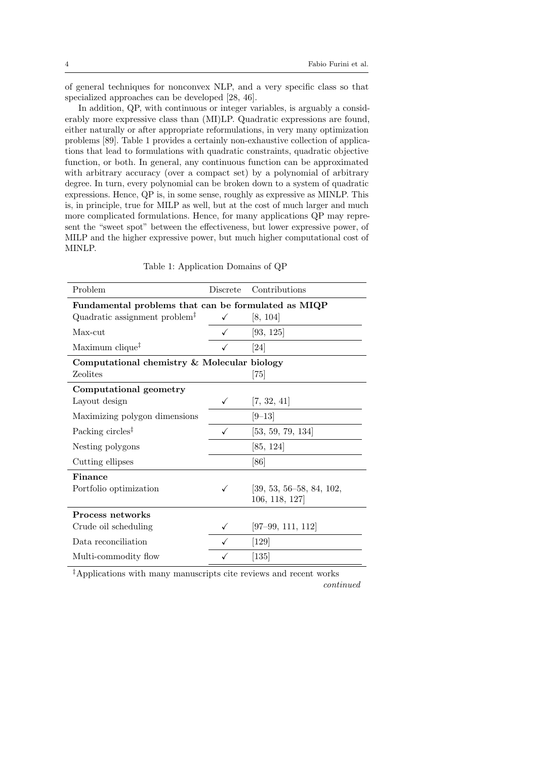of general techniques for nonconvex NLP, and a very specific class so that specialized approaches can be developed [\[28,](#page-25-1) [46\]](#page-27-0).

In addition, QP, with continuous or integer variables, is arguably a considerably more expressive class than (MI)LP. Quadratic expressions are found, either naturally or after appropriate reformulations, in very many optimization problems [\[89\]](#page-29-1). Table [1](#page-3-0) provides a certainly non-exhaustive collection of applications that lead to formulations with quadratic constraints, quadratic objective function, or both. In general, any continuous function can be approximated with arbitrary accuracy (over a compact set) by a polynomial of arbitrary degree. In turn, every polynomial can be broken down to a system of quadratic expressions. Hence, QP is, in some sense, roughly as expressive as MINLP. This is, in principle, true for MILP as well, but at the cost of much larger and much more complicated formulations. Hence, for many applications QP may represent the "sweet spot" between the effectiveness, but lower expressive power, of MILP and the higher expressive power, but much higher computational cost of MINLP.

<span id="page-3-0"></span>

| Problem                                             | <b>Discrete</b> | Contributions              |
|-----------------------------------------------------|-----------------|----------------------------|
| Fundamental problems that can be formulated as MIQP |                 |                            |
| Quadratic assignment problem <sup>‡</sup>           | ✓               | [8, 104]                   |
| Max-cut                                             |                 | [93, 125]                  |
| Maximum clique <sup>‡</sup>                         |                 | $\left[ 24\right]$         |
| Computational chemistry & Molecular biology         |                 |                            |
| Zeolites                                            |                 | $\left[75\right]$          |
| Computational geometry                              |                 |                            |
| Layout design                                       | ✓               | [7, 32, 41]                |
| Maximizing polygon dimensions                       |                 | $[9 - 13]$                 |
| Packing circles <sup>‡</sup>                        | ✓               | [53, 59, 79, 134]          |
| Nesting polygons                                    |                 | [85, 124]                  |
| Cutting ellipses                                    |                 | [86]                       |
| Finance                                             |                 |                            |
| Portfolio optimization                              | $\checkmark$    | $[39, 53, 56-58, 84, 102,$ |
|                                                     |                 | 106, 118, 127]             |
| Process networks                                    |                 |                            |
| Crude oil scheduling                                |                 | $[97-99, 111, 112]$        |
| Data reconciliation                                 |                 | $[129]$                    |
| Multi-commodity flow                                |                 | $[135]$                    |

Table 1: Application Domains of QP

‡Applications with many manuscripts cite reviews and recent works continued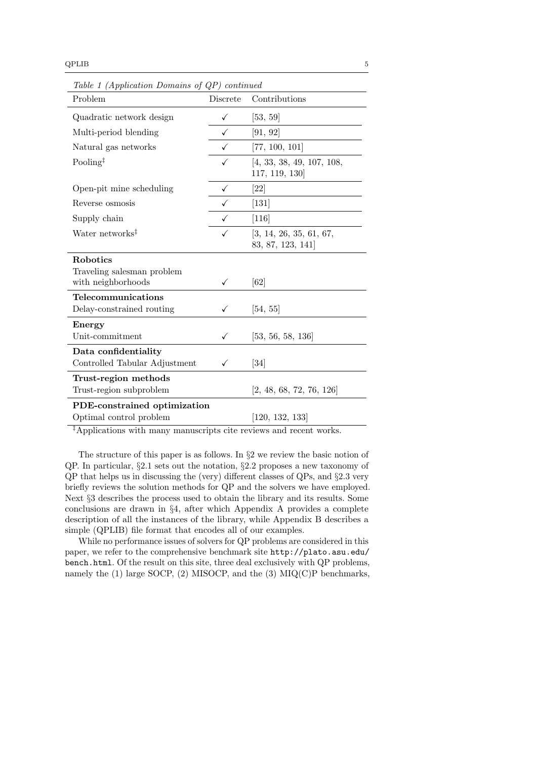Table [1](#page-3-0) (Application Domains of QP) continued

| Problem                                          | Discrete | Contributions                                |
|--------------------------------------------------|----------|----------------------------------------------|
| Quadratic network design                         | ✓        | [53, 59]                                     |
| Multi-period blending                            | ✓        | [91, 92]                                     |
| Natural gas networks                             | ✓        | [77, 100, 101]                               |
| Pooling <sup><math>\ddagger</math></sup>         | ✓        | [4, 33, 38, 49, 107, 108,<br>117, 119, 130   |
| Open-pit mine scheduling                         | ✓        | [22]                                         |
| Reverse osmosis                                  |          | $[131]$                                      |
| Supply chain                                     | ✓        | $[116]$                                      |
| Water networks <sup>‡</sup>                      | ✓        | [3, 14, 26, 35, 61, 67,<br>83, 87, 123, 141] |
| <b>Robotics</b>                                  |          |                                              |
| Traveling salesman problem<br>with neighborhoods |          | [62]                                         |
| Telecommunications                               |          |                                              |
| Delay-constrained routing                        |          | [54, 55]                                     |
| Energy                                           |          |                                              |
| Unit-commitment                                  | ✓        | [53, 56, 58, 136]                            |
| Data confidentiality                             |          |                                              |
| Controlled Tabular Adjustment                    |          | [34]                                         |
| Trust-region methods                             |          |                                              |
| Trust-region subproblem                          |          | [2, 48, 68, 72, 76, 126]                     |
| PDE-constrained optimization                     |          |                                              |
| Optimal control problem                          |          | [120, 132, 133]                              |

‡Applications with many manuscripts cite reviews and recent works.

The structure of this paper is as follows. In §[2](#page-5-0) we review the basic notion of QP. In particular, §[2.1](#page-5-1) sets out the notation, §[2.2](#page-6-0) proposes a new taxonomy of QP that helps us in discussing the (very) different classes of QPs, and §[2.3](#page-11-0) very briefly reviews the solution methods for QP and the solvers we have employed. Next §[3](#page-15-0) describes the process used to obtain the library and its results. Some conclusions are drawn in §[4,](#page-23-0) after which Appendix A provides a complete description of all the instances of the library, while Appendix B describes a simple (QPLIB) file format that encodes all of our examples.

While no performance issues of solvers for QP problems are considered in this paper, we refer to the comprehensive benchmark site [http://plato.asu.edu/](http://plato.asu.edu/bench.html) [bench.html](http://plato.asu.edu/bench.html). Of the result on this site, three deal exclusively with QP problems, namely the  $(1)$  large SOCP,  $(2)$  MISOCP, and the  $(3)$  MIQ $(C)$ P benchmarks,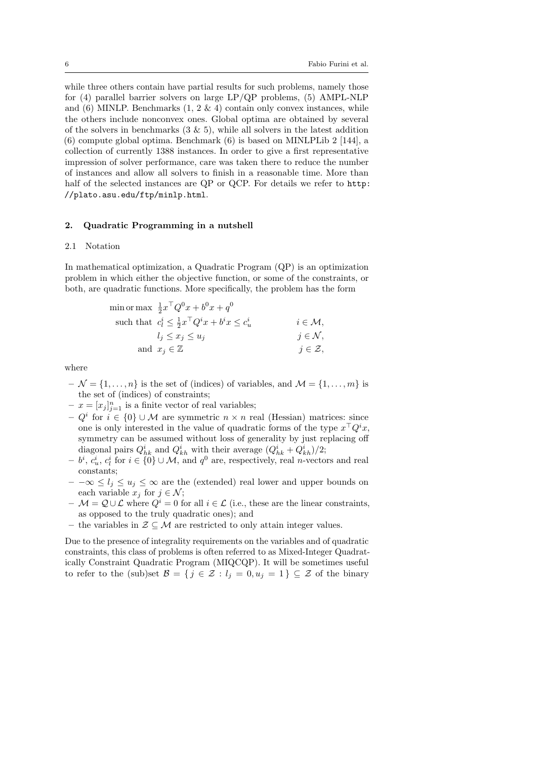while three others contain have partial results for such problems, namely those for (4) parallel barrier solvers on large LP/QP problems, (5) AMPL-NLP and  $(6)$  MINLP. Benchmarks  $(1, 2 \& 4)$  contain only convex instances, while the others include nonconvex ones. Global optima are obtained by several of the solvers in benchmarks  $(3 \& 5)$ , while all solvers in the latest addition (6) compute global optima. Benchmark (6) is based on MINLPLib 2 [\[144\]](#page-33-3), a collection of currently 1388 instances. In order to give a first representative impression of solver performance, care was taken there to reduce the number of instances and allow all solvers to finish in a reasonable time. More than half of the selected instances are QP or QCP. For details we refer to [http:](http://plato.asu.edu/ftp/minlp.html) [//plato.asu.edu/ftp/minlp.html](http://plato.asu.edu/ftp/minlp.html).

#### <span id="page-5-0"></span>2. Quadratic Programming in a nutshell

#### <span id="page-5-1"></span>2.1 Notation

In mathematical optimization, a Quadratic Program (QP) is an optimization problem in which either the objective function, or some of the constraints, or both, are quadratic functions. More specifically, the problem has the form

$$
\begin{aligned}\n\min \text{or } \max & \frac{1}{2} x^\top Q^0 x + b^0 x + q^0 \\
\text{such that } & c_l^i \leq \frac{1}{2} x^\top Q^i x + b^i x \leq c_u^i \\
& l_j \leq x_j \leq u_j \\
& \text{and } x_j \in \mathbb{Z} \\
& j \in \mathcal{Z},\n\end{aligned}
$$

where

- $-\mathcal{N} = \{1, \ldots, n\}$  is the set of (indices) of variables, and  $\mathcal{M} = \{1, \ldots, m\}$  is the set of (indices) of constraints;
- $-x = [x_j]_{j=1}^n$  is a finite vector of real variables;
- $Q<sup>i</sup>$  for  $i \in \{0\} \cup \mathcal{M}$  are symmetric  $n \times n$  real (Hessian) matrices: since one is only interested in the value of quadratic forms of the type  $x^{\top}Q^{i}x$ , symmetry can be assumed without loss of generality by just replacing off diagonal pairs  $Q_{hk}^i$  and  $Q_{kh}^i$  with their average  $(Q_{hk}^i + Q_{kh}^i)/2$ ;
- $b^i$ ,  $c_u^i$ ,  $c_l^i$  for  $i \in \{0\} \cup \mathcal{M}$ , and  $q^0$  are, respectively, real *n*-vectors and real constants;
- $-$  − ∞  $\leq l_i \leq u_i \leq \infty$  are the (extended) real lower and upper bounds on each variable  $x_j$  for  $j \in \mathcal{N}$ ;
- $\mathcal{M} = \mathcal{Q} \cup \mathcal{L}$  where  $Q^i = 0$  for all  $i \in \mathcal{L}$  (i.e., these are the linear constraints, as opposed to the truly quadratic ones); and
- the variables in  $\mathcal{Z} \subseteq \mathcal{M}$  are restricted to only attain integer values.

Due to the presence of integrality requirements on the variables and of quadratic constraints, this class of problems is often referred to as Mixed-Integer Quadratically Constraint Quadratic Program (MIQCQP). It will be sometimes useful to refer to the (sub)set  $\mathcal{B} = \{j \in \mathcal{Z} : l_j = 0, u_j = 1\} \subseteq \mathcal{Z}$  of the binary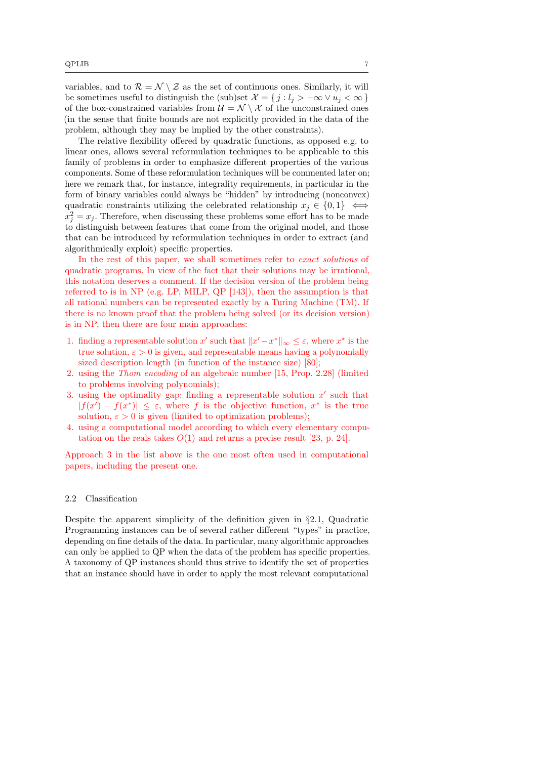variables, and to  $\mathcal{R} = \mathcal{N} \setminus \mathcal{Z}$  as the set of continuous ones. Similarly, it will be sometimes useful to distinguish the (sub)set  $\mathcal{X} = \{j : l_j > -\infty \vee u_j < \infty \}$ of the box-constrained variables from  $\mathcal{U} = \mathcal{N} \setminus \mathcal{X}$  of the unconstrained ones (in the sense that finite bounds are not explicitly provided in the data of the problem, although they may be implied by the other constraints).

The relative flexibility offered by quadratic functions, as opposed e.g. to linear ones, allows several reformulation techniques to be applicable to this family of problems in order to emphasize different properties of the various components. Some of these reformulation techniques will be commented later on; here we remark that, for instance, integrality requirements, in particular in the form of binary variables could always be "hidden" by introducing (nonconvex) quadratic constraints utilizing the celebrated relationship  $x_i \in \{0, 1\} \iff$  $x_j^2 = x_j$ . Therefore, when discussing these problems some effort has to be made to distinguish between features that come from the original model, and those that can be introduced by reformulation techniques in order to extract (and algorithmically exploit) specific properties.

In the rest of this paper, we shall sometimes refer to exact solutions of quadratic programs. In view of the fact that their solutions may be irrational, this notation deserves a comment. If the decision version of the problem being referred to is in NP (e.g. LP, MILP, QP [\[143\]](#page-33-4)), then the assumption is that all rational numbers can be represented exactly by a Turing Machine (TM). If there is no known proof that the problem being solved (or its decision version) is in NP, then there are four main approaches:

- 1. finding a representable solution x' such that  $||x'-x^*||_{\infty} \leq \varepsilon$ , where  $x^*$  is the true solution,  $\varepsilon > 0$  is given, and representable means having a polynomially sized description length (in function of the instance size) [\[80\]](#page-29-11);
- 2. using the Thom encoding of an algebraic number [\[15,](#page-24-8) Prop. 2.28] (limited to problems involving polynomials);
- <span id="page-6-1"></span>3. using the optimality gap: finding a representable solution  $x'$  such that  $|f(x') - f(x^*)| \leq \varepsilon$ , where f is the objective function,  $x^*$  is the true solution,  $\varepsilon > 0$  is given (limited to optimization problems);
- 4. using a computational model according to which every elementary computation on the reals takes  $O(1)$  and returns a precise result [\[23,](#page-25-5) p. 24].

Approach [3](#page-6-1) in the list above is the one most often used in computational papers, including the present one.

#### <span id="page-6-0"></span>2.2 Classification

Despite the apparent simplicity of the definition given in §[2.1,](#page-5-1) Quadratic Programming instances can be of several rather different "types" in practice, depending on fine details of the data. In particular, many algorithmic approaches can only be applied to QP when the data of the problem has specific properties. A taxonomy of QP instances should thus strive to identify the set of properties that an instance should have in order to apply the most relevant computational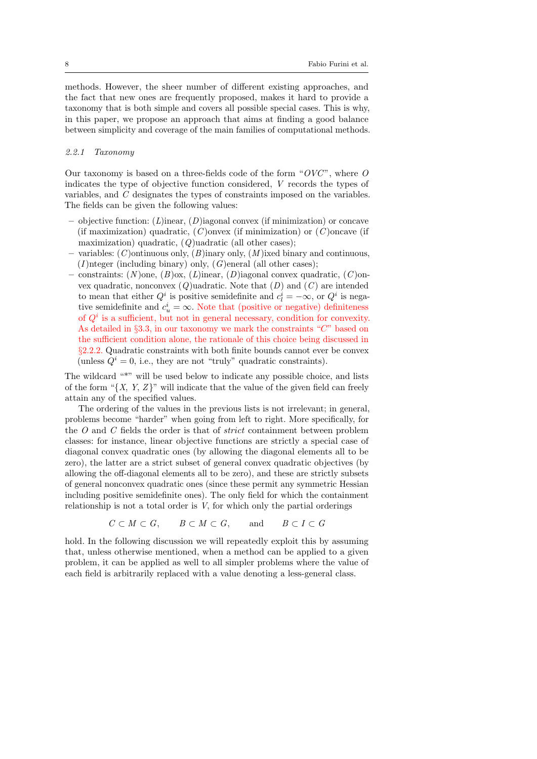methods. However, the sheer number of different existing approaches, and the fact that new ones are frequently proposed, makes it hard to provide a taxonomy that is both simple and covers all possible special cases. This is why, in this paper, we propose an approach that aims at finding a good balance between simplicity and coverage of the main families of computational methods.

# <span id="page-7-0"></span>2.2.1 Taxonomy

Our taxonomy is based on a three-fields code of the form " $OVC$ ", where  $O$ indicates the type of objective function considered, V records the types of variables, and C designates the types of constraints imposed on the variables. The fields can be given the following values:

- objective function:  $(L)$ inear,  $(D)$ iagonal convex (if minimization) or concave (if maximization) quadratic,  $(C)$ onvex (if minimization) or  $(C)$ oncave (if maximization) quadratic,  $(Q)$ uadratic (all other cases);
- variables:  $(C)$  ontinuous only,  $(B)$  inary only,  $(M)$  ixed binary and continuous,  $(I)$ nteger (including binary) only,  $(G)$ eneral (all other cases);
- constraints:  $(N)$ one,  $(B)$ ox,  $(L)$ inear,  $(D)$ iagonal convex quadratic,  $(C)$ onvex quadratic, nonconvex  $(Q)$ uadratic. Note that  $(D)$  and  $(C)$  are intended to mean that either  $Q^i$  is positive semidefinite and  $c_l^i = -\infty$ , or  $Q^i$  is negative semidefinite and  $c_u^i = \infty$ . Note that (positive or negative) definiteness of  $Q<sup>i</sup>$  is a sufficient, but not in general necessary, condition for convexity. As detailed in  $\S 3.3$ , in our taxonomy we mark the constraints " $C$ " based on the sufficient condition alone, the rationale of this choice being discussed in §[2.2.2.](#page-8-0) Quadratic constraints with both finite bounds cannot ever be convex (unless  $Q^{i} = 0$ , i.e., they are not "truly" quadratic constraints).

The wildcard "\*" will be used below to indicate any possible choice, and lists of the form " $\{X, Y, Z\}$ " will indicate that the value of the given field can freely attain any of the specified values.

The ordering of the values in the previous lists is not irrelevant; in general, problems become "harder" when going from left to right. More specifically, for the O and C fields the order is that of strict containment between problem classes: for instance, linear objective functions are strictly a special case of diagonal convex quadratic ones (by allowing the diagonal elements all to be zero), the latter are a strict subset of general convex quadratic objectives (by allowing the off-diagonal elements all to be zero), and these are strictly subsets of general nonconvex quadratic ones (since these permit any symmetric Hessian including positive semidefinite ones). The only field for which the containment relationship is not a total order is  $V$ , for which only the partial orderings

$$
C \subset M \subset G, \qquad B \subset M \subset G, \qquad \text{and} \qquad B \subset I \subset G
$$

hold. In the following discussion we will repeatedly exploit this by assuming that, unless otherwise mentioned, when a method can be applied to a given problem, it can be applied as well to all simpler problems where the value of each field is arbitrarily replaced with a value denoting a less-general class.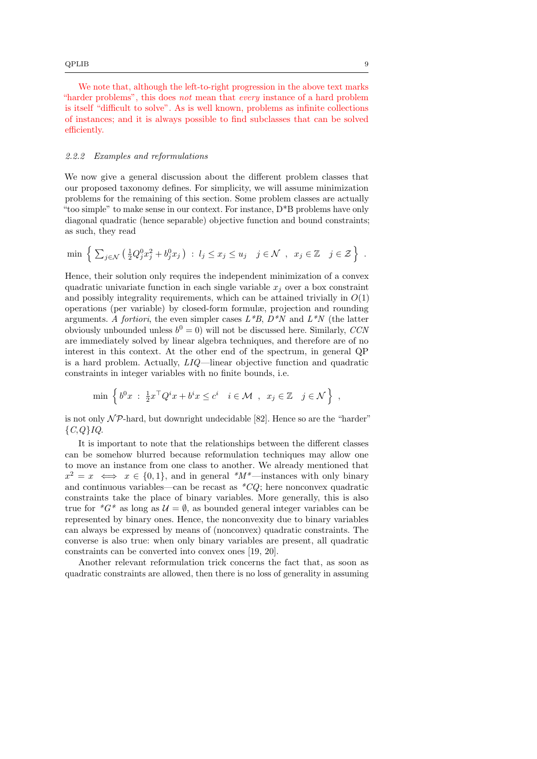We note that, although the left-to-right progression in the above text marks "harder problems", this does not mean that every instance of a hard problem is itself "difficult to solve". As is well known, problems as infinite collections of instances; and it is always possible to find subclasses that can be solved efficiently.

#### <span id="page-8-0"></span>2.2.2 Examples and reformulations

We now give a general discussion about the different problem classes that our proposed taxonomy defines. For simplicity, we will assume minimization problems for the remaining of this section. Some problem classes are actually "too simple" to make sense in our context. For instance,  $D^*B$  problems have only diagonal quadratic (hence separable) objective function and bound constraints; as such, they read

$$
\min \left\{ \sum_{j \in \mathcal{N}} \left( \frac{1}{2} Q_j^0 x_j^2 + b_j^0 x_j \right) : l_j \leq x_j \leq u_j \quad j \in \mathcal{N} , x_j \in \mathbb{Z} \middle| j \in \mathcal{Z} \right\} .
$$

Hence, their solution only requires the independent minimization of a convex quadratic univariate function in each single variable  $x_i$  over a box constraint and possibly integrality requirements, which can be attained trivially in  $O(1)$ operations (per variable) by closed-form formulæ, projection and rounding arguments. A fortiori, the even simpler cases  $L*B$ ,  $D*N$  and  $L*N$  (the latter obviously unbounded unless  $b^0 = 0$ ) will not be discussed here. Similarly, CCN are immediately solved by linear algebra techniques, and therefore are of no interest in this context. At the other end of the spectrum, in general QP is a hard problem. Actually, LIQ—linear objective function and quadratic constraints in integer variables with no finite bounds, i.e.

$$
\min \left\{ b^0 x \; : \; \frac{1}{2} x^\top Q^i x + b^i x \le c^i \quad i \in \mathcal{M} \; , \; x_j \in \mathbb{Z} \quad j \in \mathcal{N} \right\} \; ,
$$

is not only  $\mathcal{NP}$ -hard, but downright undecidable [\[82\]](#page-29-12). Hence so are the "harder"  ${C,Q}$  $IQ.$ 

It is important to note that the relationships between the different classes can be somehow blurred because reformulation techniques may allow one to move an instance from one class to another. We already mentioned that  $x^2 = x \iff x \in \{0, 1\}$ , and in general \* $M^*$ —instances with only binary and continuous variables—can be recast as  $CQ$ ; here nonconvex quadratic constraints take the place of binary variables. More generally, this is also true for  $^*G^*$  as long as  $\mathcal{U} = \emptyset$ , as bounded general integer variables can be represented by binary ones. Hence, the nonconvexity due to binary variables can always be expressed by means of (nonconvex) quadratic constraints. The converse is also true: when only binary variables are present, all quadratic constraints can be converted into convex ones [\[19,](#page-25-6) [20\]](#page-25-7).

Another relevant reformulation trick concerns the fact that, as soon as quadratic constraints are allowed, then there is no loss of generality in assuming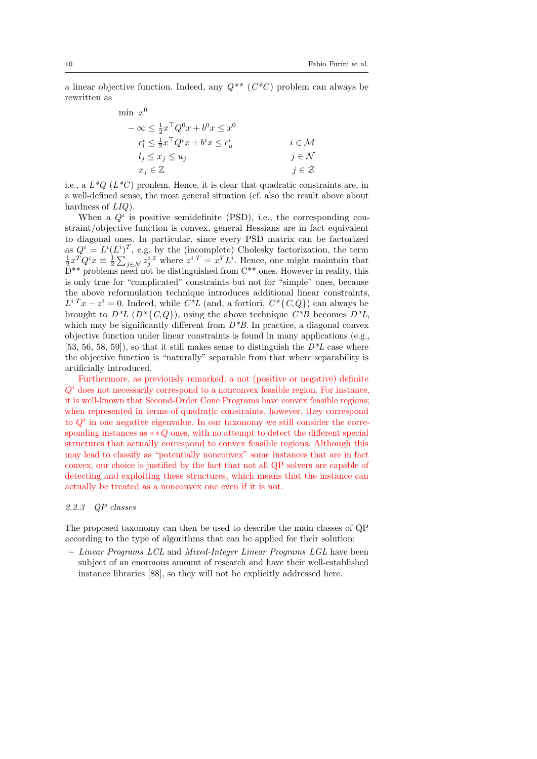a linear objective function. Indeed, any  $Q^{**}$  ( $C^*C$ ) problem can always be rewritten as

$$
\begin{aligned}\n\min \ x^0 & -\infty \le \frac{1}{2} x^\top Q^0 x + b^0 x \le x^0 \\
c_i^i & \le \frac{1}{2} x^\top Q^i x + b^i x \le c_u^i \\
l_j & \le x_j \le u_j \\
x_j & \in \mathbb{Z}\n\end{aligned}\n\quad i \in \mathcal{M}
$$
\n
$$
i \in \mathcal{M}
$$
\n
$$
j \in \mathcal{K}
$$
\n
$$
j \in \mathcal{Z}
$$

i.e., a  $L^*Q$  ( $L^*C$ ) pronlem. Hence, it is clear that quadratic constraints are, in a well-defined sense, the most general situation (cf. also the result above about hardness of  $LIQ$ ).

When a  $Q<sup>i</sup>$  is positive semidefinite (PSD), i.e., the corresponding constraint/objective function is convex, general Hessians are in fact equivalent to diagonal ones. In particular, since every PSD matrix can be factorized as  $Q^i = L^i (L^i)^T$ , e.g. by the (incomplete) Cholesky factorization, the term  $\frac{1}{2} x^T Q^i x \equiv \frac{1}{2} \sum_{j \in \mathcal{N}} z_j^i{}^2$  where  $z^i{}^T = x^T L^i$ . Hence, one might maintain that  $D^{**}$  problems need not be distinguished from  $C^{**}$  ones. However in reality, this is only true for "complicated" constraints but not for "simple" ones, because the above reformulation technique introduces additional linear constraints,  $L^{i}{}^{T}x - z^{i} = 0$ . Indeed, while  $C^{*}L$  (and, a fortiori,  $C^{*}\{C,Q\}$ ) can always be brought to  $D^*L$   $(D^*\{C,Q\})$ , using the above technique  $C^*B$  becomes  $D^*L$ , which may be significantly different from  $D^*B$ . In practice, a diagonal convex objective function under linear constraints is found in many applications (e.g., [\[53,](#page-27-1) [56,](#page-27-3) [58,](#page-27-4) [59\]](#page-27-2)), so that it still makes sense to distinguish the  $D^*L$  case where the objective function is "naturally" separable from that where separability is artificially introduced.

Furthermore, as previously remarked, a not (positive or negative) definite  $Q<sup>i</sup>$  does not necessarily correspond to a nonconvex feasible region. For instance, it is well-known that Second-Order Cone Programs have convex feasible regions; when represented in terms of quadratic constraints, however, they correspond to  $Q<sup>i</sup>$  in one negative eigenvalue. In our taxonomy we still consider the corresponding instances as  $* Q$  ones, with no attempt to detect the different special structures that actually correspond to convex feasible regions. Although this may lead to classify as "potentially nonconvex" some instances that are in fact convex, our choice is justified by the fact that not all QP solvers are capable of detecting and exploiting these structures, which means that the instance can actually be treated as a nonconvex one even if it is not.

## 2.2.3 QP classes

The proposed taxonomy can then be used to describe the main classes of QP according to the type of algorithms that can be applied for their solution:

– Linear Programs LCL and Mixed-Integer Linear Programs LGL have been subject of an enormous amount of research and have their well-established instance libraries [\[88\]](#page-29-0), so they will not be explicitly addressed here.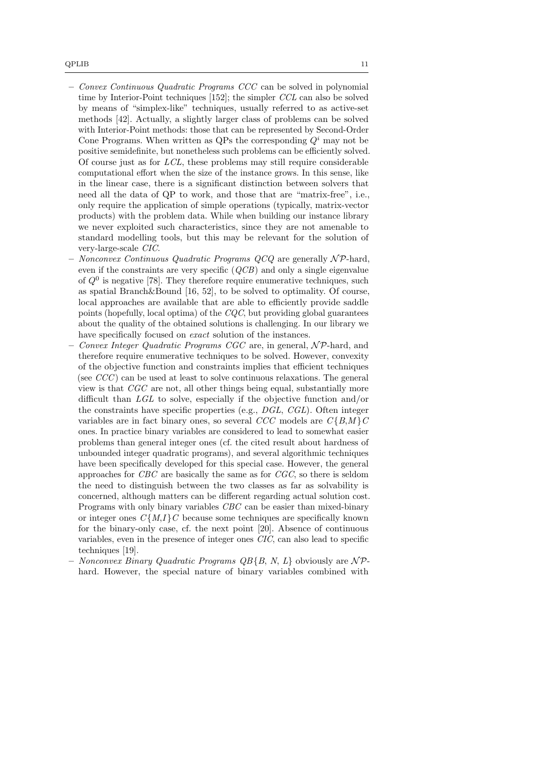- Convex Continuous Quadratic Programs CCC can be solved in polynomial time by Interior-Point techniques [\[152\]](#page-33-5); the simpler CCL can also be solved by means of "simplex-like" techniques, usually referred to as active-set methods [\[42\]](#page-26-7). Actually, a slightly larger class of problems can be solved with Interior-Point methods: those that can be represented by Second-Order Cone Programs. When written as QPs the corresponding  $Q^i$  may not be positive semidefinite, but nonetheless such problems can be efficiently solved. Of course just as for LCL, these problems may still require considerable computational effort when the size of the instance grows. In this sense, like in the linear case, there is a significant distinction between solvers that need all the data of QP to work, and those that are "matrix-free", i.e., only require the application of simple operations (typically, matrix-vector products) with the problem data. While when building our instance library we never exploited such characteristics, since they are not amenable to standard modelling tools, but this may be relevant for the solution of very-large-scale CIC.
- Nonconvex Continuous Quadratic Programs  $QCQ$  are generally  $\mathcal{NP}$ -hard, even if the constraints are very specific  $(QCB)$  and only a single eigenvalue of  $Q<sup>0</sup>$  is negative [\[78\]](#page-29-13). They therefore require enumerative techniques, such as spatial Branch&Bound [\[16,](#page-24-9) [52\]](#page-27-10), to be solved to optimality. Of course, local approaches are available that are able to efficiently provide saddle points (hopefully, local optima) of the  $CQC$ , but providing global guarantees about the quality of the obtained solutions is challenging. In our library we have specifically focused on *exact* solution of the instances.
- Convex Integer Quadratic Programs CGC are, in general,  $\mathcal{NP}$ -hard, and therefore require enumerative techniques to be solved. However, convexity of the objective function and constraints implies that efficient techniques (see  $CCC$ ) can be used at least to solve continuous relaxations. The general view is that CGC are not, all other things being equal, substantially more difficult than LGL to solve, especially if the objective function and/or the constraints have specific properties (e.g., DGL, CGL). Often integer variables are in fact binary ones, so several CCC models are  $C\{B,M\}$ C ones. In practice binary variables are considered to lead to somewhat easier problems than general integer ones (cf. the cited result about hardness of unbounded integer quadratic programs), and several algorithmic techniques have been specifically developed for this special case. However, the general approaches for CBC are basically the same as for CGC, so there is seldom the need to distinguish between the two classes as far as solvability is concerned, although matters can be different regarding actual solution cost. Programs with only binary variables CBC can be easier than mixed-binary or integer ones  $C\{M,I\}$  c because some techniques are specifically known for the binary-only case, cf. the next point [\[20\]](#page-25-7). Absence of continuous variables, even in the presence of integer ones CIC, can also lead to specific techniques [\[19\]](#page-25-6).
- Nonconvex Binary Quadratic Programs  $QB{B, N, L}$  obviously are NPhard. However, the special nature of binary variables combined with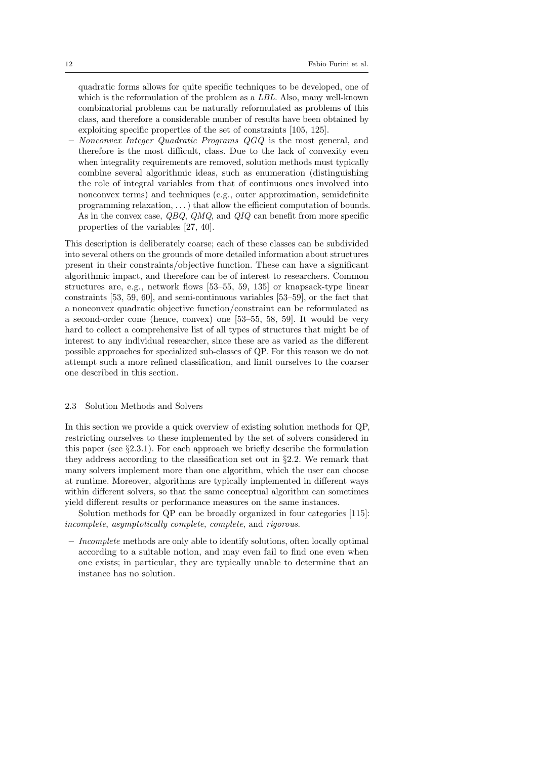quadratic forms allows for quite specific techniques to be developed, one of which is the reformulation of the problem as a LBL. Also, many well-known combinatorial problems can be naturally reformulated as problems of this class, and therefore a considerable number of results have been obtained by exploiting specific properties of the set of constraints [\[105,](#page-30-9) [125\]](#page-32-0).

– Nonconvex Integer Quadratic Programs QGQ is the most general, and therefore is the most difficult, class. Due to the lack of convexity even when integrality requirements are removed, solution methods must typically combine several algorithmic ideas, such as enumeration (distinguishing the role of integral variables from that of continuous ones involved into nonconvex terms) and techniques (e.g., outer approximation, semidefinite programming relaxation, . . . ) that allow the efficient computation of bounds. As in the convex case, QBQ, QMQ, and QIQ can benefit from more specific properties of the variables [\[27,](#page-25-8) [40\]](#page-26-8).

This description is deliberately coarse; each of these classes can be subdivided into several others on the grounds of more detailed information about structures present in their constraints/objective function. These can have a significant algorithmic impact, and therefore can be of interest to researchers. Common structures are, e.g., network flows [\[53–](#page-27-1)[55,](#page-27-8) [59,](#page-27-2) [135\]](#page-32-5) or knapsack-type linear constraints [\[53,](#page-27-1) [59,](#page-27-2) [60\]](#page-27-11), and semi-continuous variables [\[53](#page-27-1)[–59\]](#page-27-2), or the fact that a nonconvex quadratic objective function/constraint can be reformulated as a second-order cone (hence, convex) one [\[53](#page-27-1)[–55,](#page-27-8) [58,](#page-27-4) [59\]](#page-27-2). It would be very hard to collect a comprehensive list of all types of structures that might be of interest to any individual researcher, since these are as varied as the different possible approaches for specialized sub-classes of QP. For this reason we do not attempt such a more refined classification, and limit ourselves to the coarser one described in this section.

#### <span id="page-11-0"></span>2.3 Solution Methods and Solvers

In this section we provide a quick overview of existing solution methods for QP, restricting ourselves to these implemented by the set of solvers considered in this paper (see §[2.3.1\)](#page-12-0). For each approach we briefly describe the formulation they address according to the classification set out in  $\S2.2$ . We remark that many solvers implement more than one algorithm, which the user can choose at runtime. Moreover, algorithms are typically implemented in different ways within different solvers, so that the same conceptual algorithm can sometimes yield different results or performance measures on the same instances.

Solution methods for QP can be broadly organized in four categories [\[115\]](#page-31-7): incomplete, asymptotically complete, complete, and rigorous.

 $-$  *Incomplete* methods are only able to identify solutions, often locally optimal according to a suitable notion, and may even fail to find one even when one exists; in particular, they are typically unable to determine that an instance has no solution.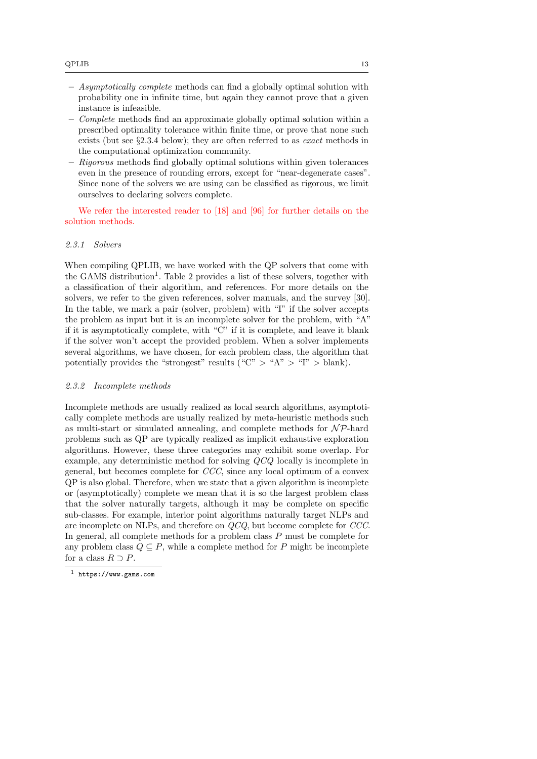- Asymptotically complete methods can find a globally optimal solution with probability one in infinite time, but again they cannot prove that a given instance is infeasible.
- Complete methods find an approximate globally optimal solution within a prescribed optimality tolerance within finite time, or prove that none such exists (but see §[2.3.4](#page-13-0) below); they are often referred to as *exact* methods in the computational optimization community.
- Rigorous methods find globally optimal solutions within given tolerances even in the presence of rounding errors, except for "near-degenerate cases". Since none of the solvers we are using can be classified as rigorous, we limit ourselves to declaring solvers complete.

We refer the interested reader to [\[18\]](#page-25-9) and [\[96\]](#page-30-10) for further details on the solution methods.

## <span id="page-12-0"></span>2.3.1 Solvers

When compiling QPLIB, we have worked with the QP solvers that come with the GAMS distribution<sup>[1](#page-12-1)</sup>. Table [2](#page-13-1) provides a list of these solvers, together with a classification of their algorithm, and references. For more details on the solvers, we refer to the given references, solver manuals, and the survey [\[30\]](#page-26-9). In the table, we mark a pair (solver, problem) with "I" if the solver accepts the problem as input but it is an incomplete solver for the problem, with "A" if it is asymptotically complete, with "C" if it is complete, and leave it blank if the solver won't accept the provided problem. When a solver implements several algorithms, we have chosen, for each problem class, the algorithm that potentially provides the "strongest" results ("C"  $>$  "A"  $>$  "I"  $>$  blank).

#### 2.3.2 Incomplete methods

Incomplete methods are usually realized as local search algorithms, asymptotically complete methods are usually realized by meta-heuristic methods such as multi-start or simulated annealing, and complete methods for  $N\mathcal{P}$ -hard problems such as QP are typically realized as implicit exhaustive exploration algorithms. However, these three categories may exhibit some overlap. For example, any deterministic method for solving QCQ locally is incomplete in general, but becomes complete for CCC, since any local optimum of a convex QP is also global. Therefore, when we state that a given algorithm is incomplete or (asymptotically) complete we mean that it is so the largest problem class that the solver naturally targets, although it may be complete on specific sub-classes. For example, interior point algorithms naturally target NLPs and are incomplete on NLPs, and therefore on QCQ, but become complete for CCC. In general, all complete methods for a problem class P must be complete for any problem class  $Q \subseteq P$ , while a complete method for P might be incomplete for a class  $R \supset P$ .

<span id="page-12-1"></span><sup>1</sup> <https://www.gams.com>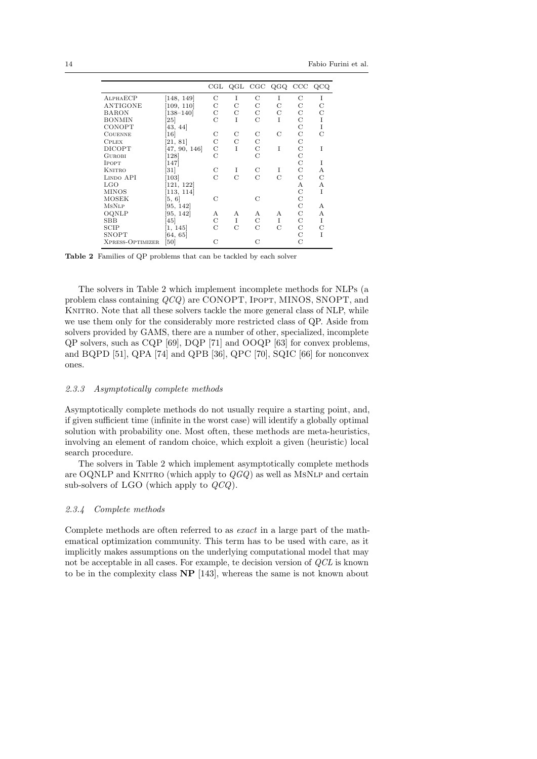|                  |                |   |   |             | CGL QGL CGC QGQ CCC QCQ |   |               |
|------------------|----------------|---|---|-------------|-------------------------|---|---------------|
| ALPHAECP         | [148, 149]     | С | I | С           | T                       | С | I             |
| <b>ANTIGONE</b>  | [109, 110]     | С | C | С           | С                       | С | C             |
| <b>BARON</b>     | $138 - 140$    | С | С | С           | С                       | C | С             |
| <b>BONMIN</b>    | 25             | C | T | C           | T                       | C | I             |
| CONOPT           | 43, 44         |   |   |             |                         | C | I             |
| <b>COUENNE</b>   | 16             | С | C | С           | C                       | С | $\mathcal{C}$ |
| <b>CPLEX</b>     | [21, 81]       | С | C | $\mathbf C$ |                         | C |               |
| DICOPT           | 47, 90, 146    | С | I | C           | T                       | C | T             |
| <b>GUROBI</b>    | <sup>128</sup> | С |   | C           |                         | C |               |
| <b>IPOPT</b>     | 147            |   |   |             |                         | C | I             |
| <b>KNITRO</b>    | 31             | С | I | С           | 1                       | C | А             |
| LINDO API        | 103            | C | C | C           | C                       | C | C             |
| $_{\rm LGO}$     | 121, 122       |   |   |             |                         | А | А             |
| MINOS            | 113, 114       |   |   |             |                         | C | T             |
| MOSEK            | [5, 6]         | C |   | C           |                         | C |               |
| <b>MSNLP</b>     | 95, 142        |   |   |             |                         | C | А             |
| OQNLP            | 95, 142        | А | А | А           | А                       | С | А             |
| SBB              | 45             | С | I | С           | I                       | С | I             |
| SCIP             | [1, 145]       | С | С | C           | С                       | C | C             |
| SNOPT            | 64, 65         |   |   |             |                         | C | I             |
| XPRESS-OPTIMIZER | 50             | C |   | C           |                         | C |               |

<span id="page-13-1"></span>Table 2 Families of QP problems that can be tackled by each solver

The solvers in Table [2](#page-13-1) which implement incomplete methods for NLPs (a problem class containing  $QCQ$  are CONOPT, IPOPT, MINOS, SNOPT, and KNITRO. Note that all these solvers tackle the more general class of NLP, while we use them only for the considerably more restricted class of QP. Aside from solvers provided by GAMS, there are a number of other, specialized, incomplete QP solvers, such as CQP [\[69\]](#page-28-10), DQP [\[71\]](#page-28-11) and OOQP [\[63\]](#page-28-12) for convex problems, and BQPD [\[51\]](#page-27-14), QPA [\[74\]](#page-28-13) and QPB [\[36\]](#page-26-14), QPC [\[70\]](#page-28-14), SQIC [\[66\]](#page-28-15) for nonconvex ones.

#### 2.3.3 Asymptotically complete methods

Asymptotically complete methods do not usually require a starting point, and, if given sufficient time (infinite in the worst case) will identify a globally optimal solution with probability one. Most often, these methods are meta-heuristics, involving an element of random choice, which exploit a given (heuristic) local search procedure.

The solvers in Table [2](#page-13-1) which implement asymptotically complete methods are OQNLP and KNITRO (which apply to  $QGQ$ ) as well as MSNLP and certain sub-solvers of LGO (which apply to  $QCQ$ ).

#### <span id="page-13-0"></span>2.3.4 Complete methods

Complete methods are often referred to as exact in a large part of the mathematical optimization community. This term has to be used with care, as it implicitly makes assumptions on the underlying computational model that may not be acceptable in all cases. For example, te decision version of QCL is known to be in the complexity class NP [\[143\]](#page-33-4), whereas the same is not known about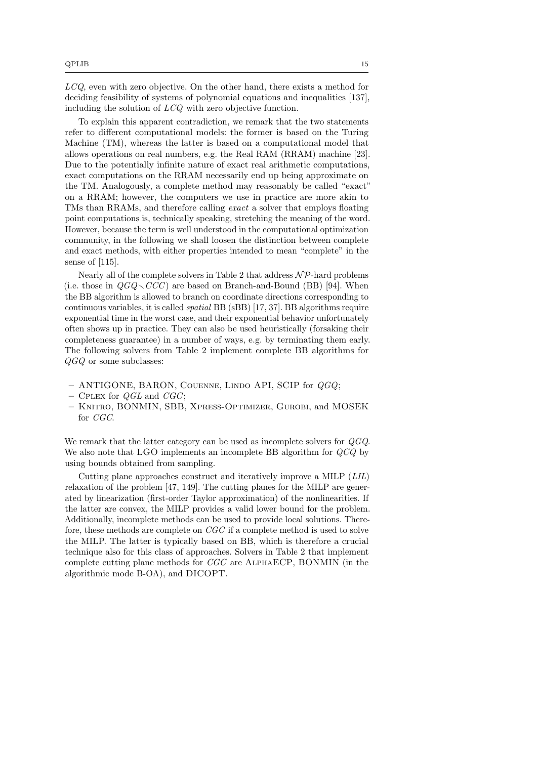LCQ, even with zero objective. On the other hand, there exists a method for deciding feasibility of systems of polynomial equations and inequalities [\[137\]](#page-32-15), including the solution of LCQ with zero objective function.

To explain this apparent contradiction, we remark that the two statements refer to different computational models: the former is based on the Turing Machine (TM), whereas the latter is based on a computational model that allows operations on real numbers, e.g. the Real RAM (RRAM) machine [\[23\]](#page-25-5). Due to the potentially infinite nature of exact real arithmetic computations, exact computations on the RRAM necessarily end up being approximate on the TM. Analogously, a complete method may reasonably be called "exact" on a RRAM; however, the computers we use in practice are more akin to TMs than RRAMs, and therefore calling *exact* a solver that employs floating point computations is, technically speaking, stretching the meaning of the word. However, because the term is well understood in the computational optimization community, in the following we shall loosen the distinction between complete and exact methods, with either properties intended to mean "complete" in the sense of [\[115\]](#page-31-7).

Nearly all of the complete solvers in Table [2](#page-13-1) that address  $N\mathcal{P}$ -hard problems (i.e. those in  $OGO\setminus CCC)$  are based on Branch-and-Bound (BB) [\[94\]](#page-30-13). When the BB algorithm is allowed to branch on coordinate directions corresponding to continuous variables, it is called spatial BB (sBB) [\[17,](#page-25-12) [37\]](#page-26-15). BB algorithms require exponential time in the worst case, and their exponential behavior unfortunately often shows up in practice. They can also be used heuristically (forsaking their completeness guarantee) in a number of ways, e.g. by terminating them early. The following solvers from Table [2](#page-13-1) implement complete BB algorithms for QGQ or some subclasses:

- $-$  ANTIGONE, BARON, COUENNE, LINDO API, SCIP for  $QGQ$ ;
- CPLEX for  $QGL$  and  $CGC$ ;
- Knitro, BONMIN, SBB, Xpress-Optimizer, Gurobi, and MOSEK for CGC.

We remark that the latter category can be used as incomplete solvers for QGQ. We also note that LGO implements an incomplete BB algorithm for  $QCQ$  by using bounds obtained from sampling.

Cutting plane approaches construct and iteratively improve a MILP (LIL) relaxation of the problem [\[47,](#page-27-12) [149\]](#page-33-7). The cutting planes for the MILP are generated by linearization (first-order Taylor approximation) of the nonlinearities. If the latter are convex, the MILP provides a valid lower bound for the problem. Additionally, incomplete methods can be used to provide local solutions. Therefore, these methods are complete on CGC if a complete method is used to solve the MILP. The latter is typically based on BB, which is therefore a crucial technique also for this class of approaches. Solvers in Table [2](#page-13-1) that implement complete cutting plane methods for CGC are AlphaECP, BONMIN (in the algorithmic mode B-OA), and DICOPT.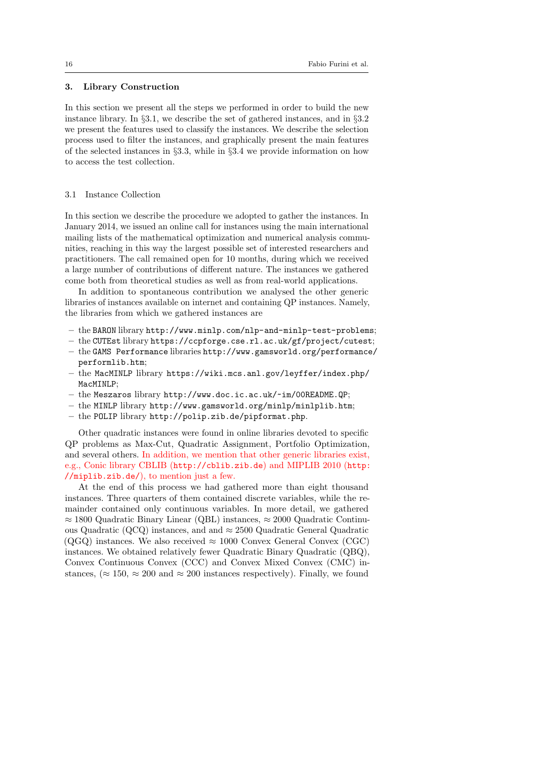## <span id="page-15-0"></span>3. Library Construction

In this section we present all the steps we performed in order to build the new instance library. In §[3.1,](#page-15-1) we describe the set of gathered instances, and in §[3.2](#page-16-0) we present the features used to classify the instances. We describe the selection process used to filter the instances, and graphically present the main features of the selected instances in §[3.3,](#page-17-0) while in §[3.4](#page-22-0) we provide information on how to access the test collection.

#### <span id="page-15-1"></span>3.1 Instance Collection

In this section we describe the procedure we adopted to gather the instances. In January 2014, we issued an online call for instances using the main international mailing lists of the mathematical optimization and numerical analysis communities, reaching in this way the largest possible set of interested researchers and practitioners. The call remained open for 10 months, during which we received a large number of contributions of different nature. The instances we gathered come both from theoretical studies as well as from real-world applications.

In addition to spontaneous contribution we analysed the other generic libraries of instances available on internet and containing QP instances. Namely, the libraries from which we gathered instances are

- the BARON library <http://www.minlp.com/nlp-and-minlp-test-problems>;
- the CUTEst library <https://ccpforge.cse.rl.ac.uk/gf/project/cutest>;
- the GAMS Performance libraries [http://www.gamsworld.org/performance](http://www.gamsworld.org/performance/performlib.htm)/ [performlib.htm](http://www.gamsworld.org/performance/performlib.htm);
- the MacMINLP library [https://wiki.mcs.anl.gov/leyffer/index.php/](https://wiki.mcs.anl.gov/leyffer/index.php/MacMINLP) [MacMINLP](https://wiki.mcs.anl.gov/leyffer/index.php/MacMINLP);
- the Meszaros library <http://www.doc.ic.ac.uk/~im/00README.QP>;
- the MINLP library <http://www.gamsworld.org/minlp/minlplib.htm>;
- the POLIP library <http://polip.zib.de/pipformat.php>.

Other quadratic instances were found in online libraries devoted to specific QP problems as Max-Cut, Quadratic Assignment, Portfolio Optimization, and several others. In addition, we mention that other generic libraries exist, e.g., Conic library CBLIB (<http://cblib.zib.de>) and MIPLIB 2010 ([http:](http://miplib.zib.de/) [//miplib.zib.de/](http://miplib.zib.de/)), to mention just a few.

At the end of this process we had gathered more than eight thousand instances. Three quarters of them contained discrete variables, while the remainder contained only continuous variables. In more detail, we gathered  $\approx 1800$  Quadratic Binary Linear (QBL) instances,  $\approx 2000$  Quadratic Continuous Quadratic (QCQ) instances, and and  $\approx 2500$  Quadratic General Quadratic (QGQ) instances. We also received  $\approx 1000$  Convex General Convex (CGC) instances. We obtained relatively fewer Quadratic Binary Quadratic (QBQ), Convex Continuous Convex (CCC) and Convex Mixed Convex (CMC) instances, ( $\approx 150$ ,  $\approx 200$  and  $\approx 200$  instances respectively). Finally, we found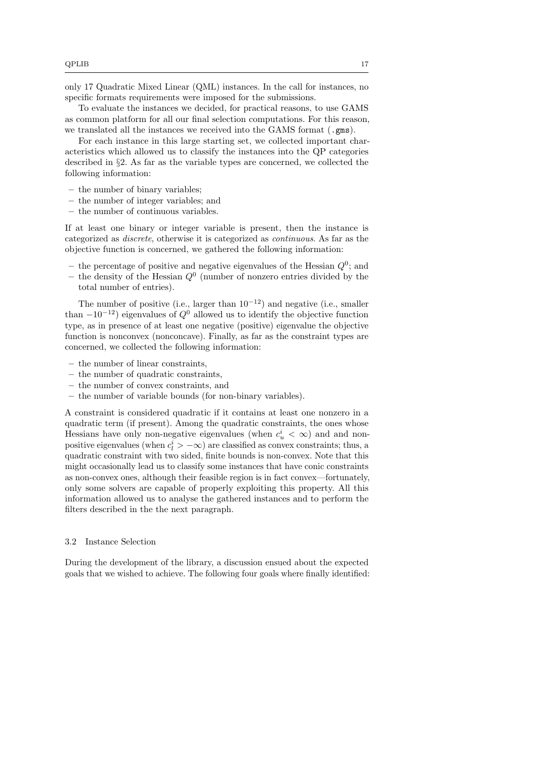only 17 Quadratic Mixed Linear (QML) instances. In the call for instances, no specific formats requirements were imposed for the submissions.

To evaluate the instances we decided, for practical reasons, to use GAMS as common platform for all our final selection computations. For this reason, we translated all the instances we received into the GAMS format (.gms).

For each instance in this large starting set, we collected important characteristics which allowed us to classify the instances into the QP categories described in §[2.](#page-5-0) As far as the variable types are concerned, we collected the following information:

- the number of binary variables;
- the number of integer variables; and
- the number of continuous variables.

If at least one binary or integer variable is present, then the instance is categorized as discrete, otherwise it is categorized as continuous. As far as the objective function is concerned, we gathered the following information:

- the percentage of positive and negative eigenvalues of the Hessian  $Q^0$ ; and
- the density of the Hessian  $Q^0$  (number of nonzero entries divided by the total number of entries).

The number of positive (i.e., larger than  $10^{-12}$ ) and negative (i.e., smaller than  $-10^{-12}$ ) eigenvalues of  $Q^0$  allowed us to identify the objective function type, as in presence of at least one negative (positive) eigenvalue the objective function is nonconvex (nonconcave). Finally, as far as the constraint types are concerned, we collected the following information:

- the number of linear constraints,
- the number of quadratic constraints,
- the number of convex constraints, and
- the number of variable bounds (for non-binary variables).

A constraint is considered quadratic if it contains at least one nonzero in a quadratic term (if present). Among the quadratic constraints, the ones whose Hessians have only non-negative eigenvalues (when  $c_u^i < \infty$ ) and and nonpositive eigenvalues (when  $c_l^i > -\infty$ ) are classified as convex constraints; thus, a quadratic constraint with two sided, finite bounds is non-convex. Note that this might occasionally lead us to classify some instances that have conic constraints as non-convex ones, although their feasible region is in fact convex—fortunately, only some solvers are capable of properly exploiting this property. All this information allowed us to analyse the gathered instances and to perform the filters described in the the next paragraph.

### <span id="page-16-0"></span>3.2 Instance Selection

During the development of the library, a discussion ensued about the expected goals that we wished to achieve. The following four goals where finally identified: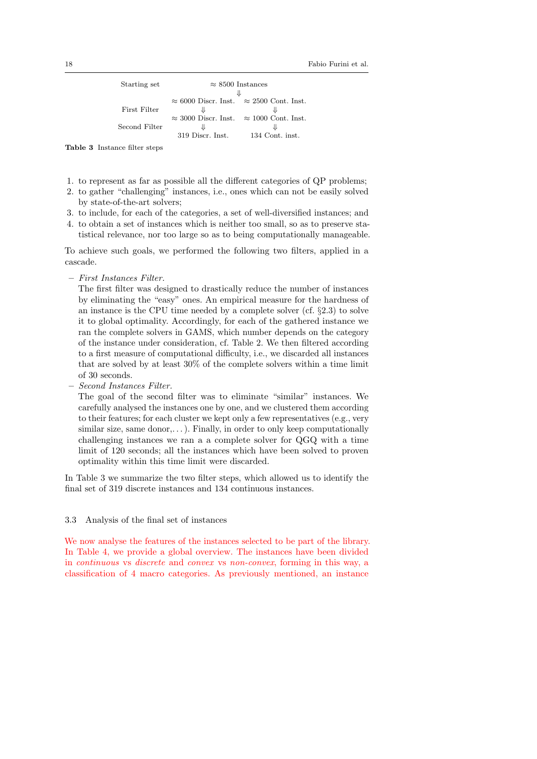| Starting set  | $\approx 8500$ Instances                               |                 |
|---------------|--------------------------------------------------------|-----------------|
|               |                                                        |                 |
|               | $\approx 6000$ Discr. Inst. $\approx 2500$ Cont. Inst. |                 |
| First Filter  | ⇓                                                      |                 |
|               | $\approx$ 3000 Discr. Inst. $\approx$ 1000 Cont. Inst. |                 |
| Second Filter | JL                                                     |                 |
|               | 319 Discr. Inst.                                       | 134 Cont. inst. |

<span id="page-17-1"></span>Table 3 Instance filter steps

- 1. to represent as far as possible all the different categories of QP problems;
- 2. to gather "challenging" instances, i.e., ones which can not be easily solved by state-of-the-art solvers;
- 3. to include, for each of the categories, a set of well-diversified instances; and
- 4. to obtain a set of instances which is neither too small, so as to preserve statistical relevance, nor too large so as to being computationally manageable.

To achieve such goals, we performed the following two filters, applied in a cascade.

– First Instances Filter.

The first filter was designed to drastically reduce the number of instances by eliminating the "easy" ones. An empirical measure for the hardness of an instance is the CPU time needed by a complete solver  $(cf. §2.3)$  $(cf. §2.3)$  to solve it to global optimality. Accordingly, for each of the gathered instance we ran the complete solvers in GAMS, which number depends on the category of the instance under consideration, cf. Table [2.](#page-13-1) We then filtered according to a first measure of computational difficulty, i.e., we discarded all instances that are solved by at least 30% of the complete solvers within a time limit of 30 seconds.

– Second Instances Filter.

The goal of the second filter was to eliminate "similar" instances. We carefully analysed the instances one by one, and we clustered them according to their features; for each cluster we kept only a few representatives (e.g., very similar size, same donor,...). Finally, in order to only keep computationally challenging instances we ran a a complete solver for QGQ with a time limit of 120 seconds; all the instances which have been solved to proven optimality within this time limit were discarded.

In Table [3](#page-17-1) we summarize the two filter steps, which allowed us to identify the final set of 319 discrete instances and 134 continuous instances.

## <span id="page-17-0"></span>3.3 Analysis of the final set of instances

We now analyse the features of the instances selected to be part of the library. In Table [4,](#page-18-0) we provide a global overview. The instances have been divided in continuous vs discrete and convex vs non-convex, forming in this way, a classification of 4 macro categories. As previously mentioned, an instance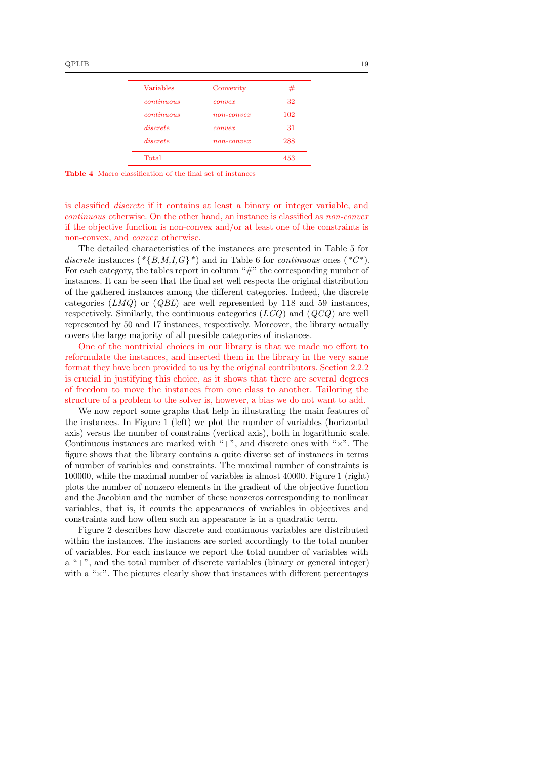| Variables  | Convexity    | #   |
|------------|--------------|-----|
| continuous | convex       | 32  |
| continuous | $non-convex$ | 102 |
| discrete   | convex       | 31  |
| discrete   | $non-convex$ | 288 |

<span id="page-18-0"></span>Table 4 Macro classification of the final set of instances

is classified discrete if it contains at least a binary or integer variable, and continuous otherwise. On the other hand, an instance is classified as non-convex if the objective function is non-convex and/or at least one of the constraints is non-convex, and convex otherwise.

The detailed characteristics of the instances are presented in Table [5](#page-19-0) for discrete instances ( $\langle \{B,M,I,G\} \rangle$ ) and in Table [6](#page-19-1) for continuous ones ( $\langle \mathcal{C} \rangle$ ). For each category, the tables report in column " $\#$ " the corresponding number of instances. It can be seen that the final set well respects the original distribution of the gathered instances among the different categories. Indeed, the discrete categories  $(LMQ)$  or  $(QBL)$  are well represented by 118 and 59 instances, respectively. Similarly, the continuous categories  $(LCQ)$  and  $(QCQ)$  are well represented by 50 and 17 instances, respectively. Moreover, the library actually covers the large majority of all possible categories of instances.

One of the nontrivial choices in our library is that we made no effort to reformulate the instances, and inserted them in the library in the very same format they have been provided to us by the original contributors. Section [2.2.2](#page-8-0) is crucial in justifying this choice, as it shows that there are several degrees of freedom to move the instances from one class to another. Tailoring the structure of a problem to the solver is, however, a bias we do not want to add.

We now report some graphs that help in illustrating the main features of the instances. In Figure [1](#page-20-0) (left) we plot the number of variables (horizontal axis) versus the number of constrains (vertical axis), both in logarithmic scale. Continuous instances are marked with " $+$ ", and discrete ones with " $\times$ ". The figure shows that the library contains a quite diverse set of instances in terms of number of variables and constraints. The maximal number of constraints is 100000, while the maximal number of variables is almost 40000. Figure [1](#page-20-0) (right) plots the number of nonzero elements in the gradient of the objective function and the Jacobian and the number of these nonzeros corresponding to nonlinear variables, that is, it counts the appearances of variables in objectives and constraints and how often such an appearance is in a quadratic term.

Figure [2](#page-20-1) describes how discrete and continuous variables are distributed within the instances. The instances are sorted accordingly to the total number of variables. For each instance we report the total number of variables with a "+", and the total number of discrete variables (binary or general integer) with a " $\times$ ". The pictures clearly show that instances with different percentages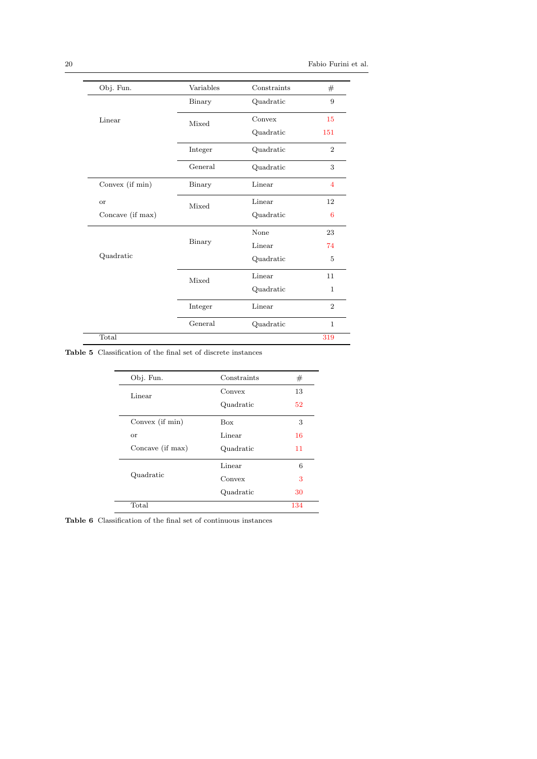| Obj. Fun.                     | Variables | Constraints | #              |
|-------------------------------|-----------|-------------|----------------|
|                               | Binary    | Quadratic   | 9              |
| Linear                        | Mixed     | Convex      | 15             |
|                               |           | Quadratic   | 151            |
|                               | Integer   | Quadratic   | $\overline{2}$ |
|                               | General   | Quadratic   | 3              |
| Convex (if min)               | Binary    | Linear      | $\overline{4}$ |
| <b>or</b><br>Concave (if max) | Mixed     | Linear      | 12             |
|                               |           | Quadratic   | 6              |
|                               |           | None        | 23             |
|                               | Binary    | Linear      | 74             |
| Quadratic                     |           | Quadratic   | 5              |
|                               | Mixed     | Linear      | 11             |
|                               |           | Quadratic   | $\mathbf{1}$   |
|                               | Integer   | Linear      | $\overline{2}$ |
|                               | General   | Quadratic   | $\mathbf{1}$   |
| Total                         |           |             | 319            |

Table 5 Classification of the final set of discrete instances

<span id="page-19-0"></span>

| Obj. Fun.        | Constraints | #   |
|------------------|-------------|-----|
| Linear           | Convex      | 13  |
|                  | Quadratic   | 52  |
| Convex (if min)  | <b>Box</b>  | 3   |
| <b>or</b>        | Linear      | 16  |
| Concave (if max) | Quadratic   | 11  |
|                  | Linear      | 6   |
| Quadratic        | Convex      | 3   |
|                  | Quadratic   | 30  |
| Total            |             | 134 |

<span id="page-19-1"></span>Table 6 Classification of the final set of continuous instances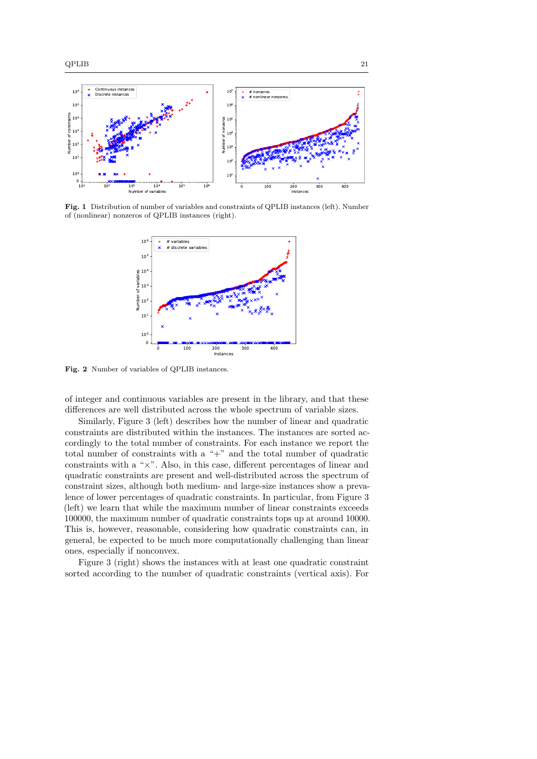

<span id="page-20-0"></span>Fig. 1 Distribution of number of variables and constraints of QPLIB instances (left). Number of (nonlinear) nonzeros of QPLIB instances (right).



<span id="page-20-1"></span>Fig. 2 Number of variables of QPLIB instances.

of integer and continuous variables are present in the library, and that these differences are well distributed across the whole spectrum of variable sizes.

Similarly, Figure [3](#page-21-0) (left) describes how the number of linear and quadratic constraints are distributed within the instances. The instances are sorted accordingly to the total number of constraints. For each instance we report the total number of constraints with a "+" and the total number of quadratic constraints with a "×". Also, in this case, different percentages of linear and quadratic constraints are present and well-distributed across the spectrum of constraint sizes, although both medium- and large-size instances show a prevalence of lower percentages of quadratic constraints. In particular, from Figure [3](#page-21-0) (left) we learn that while the maximum number of linear constraints exceeds 100000, the maximum number of quadratic constraints tops up at around 10000. This is, however, reasonable, considering how quadratic constraints can, in general, be expected to be much more computationally challenging than linear ones, especially if nonconvex.

Figure [3](#page-21-0) (right) shows the instances with at least one quadratic constraint sorted according to the number of quadratic constraints (vertical axis). For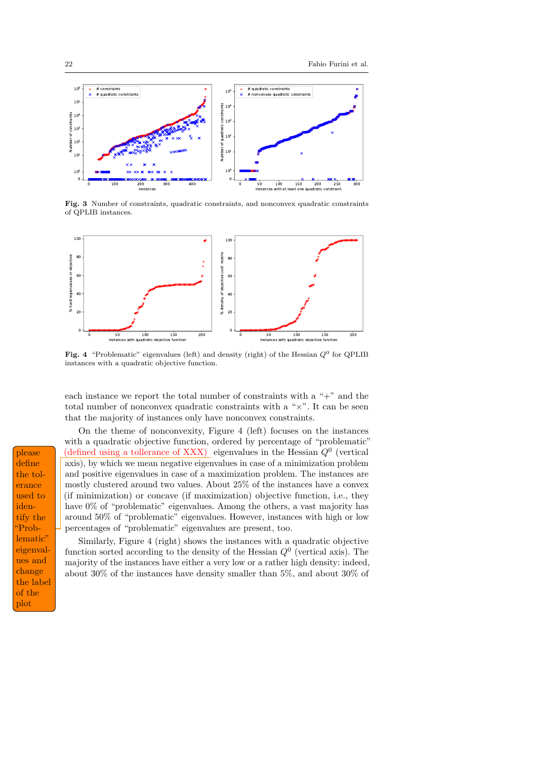

<span id="page-21-0"></span>Fig. 3 Number of constraints, quadratic constraints, and nonconvex quadratic constraints of QPLIB instances.



<span id="page-21-1"></span>Fig. 4 "Problematic" eigenvalues (left) and density (right) of the Hessian  $Q^0$  for QPLIB instances with a quadratic objective function.

each instance we report the total number of constraints with a "+" and the total number of nonconvex quadratic constraints with a " $\times$ ". It can be seen that the majority of instances only have nonconvex constraints.

On the theme of nonconvexity, Figure [4](#page-21-1) (left) focuses on the instances with a quadratic objective function, ordered by percentage of "problematic" (defined using a tollerance of XXX) eigenvalues in the Hessian  $Q<sup>0</sup>$  (vertical axis), by which we mean negative eigenvalues in case of a minimization problem and positive eigenvalues in case of a maximization problem. The instances are mostly clustered around two values. About 25% of the instances have a convex (if minimization) or concave (if maximization) objective function, i.e., they have 0% of "problematic" eigenvalues. Among the others, a vast majority has around 50% of "problematic" eigenvalues. However, instances with high or low percentages of "problematic" eigenvalues are present, too.

Similarly, Figure [4](#page-21-1) (right) shows the instances with a quadratic objective function sorted according to the density of the Hessian  $Q^0$  (vertical axis). The majority of the instances have either a very low or a rather high density: indeed, about 30% of the instances have density smaller than 5%, and about 30% of

define the tolerance used to identify the "Problematic" eigenvalues and change the label of the plot please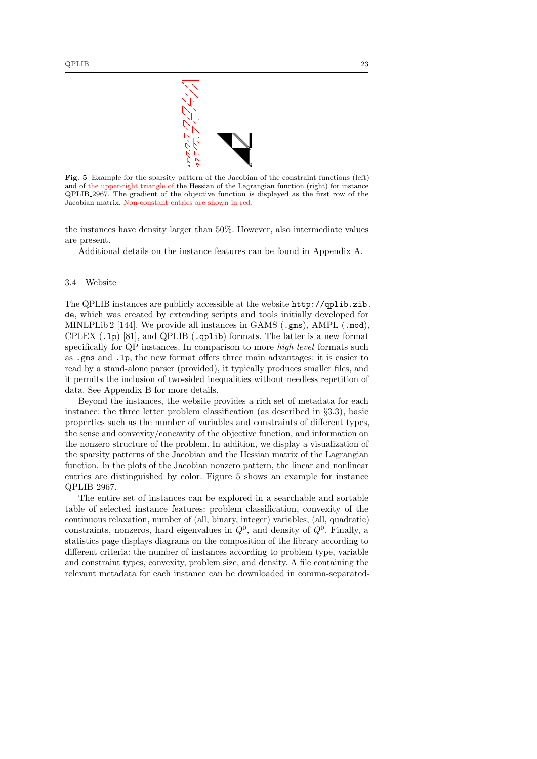

<span id="page-22-1"></span>Fig. 5 Example for the sparsity pattern of the Jacobian of the constraint functions (left) and of the upper-right triangle of the Hessian of the Lagrangian function (right) for instance QPLIB 2967. The gradient of the objective function is displayed as the first row of the Jacobian matrix. Non-constant entries are shown in red.

the instances have density larger than 50%. However, also intermediate values are present.

Additional details on the instance features can be found in Appendix [A.](#page-34-0)

#### <span id="page-22-0"></span>3.4 Website

The QPLIB instances are publicly accessible at the website [http://qplib.zib.](http://qplib.zib.de) [de](http://qplib.zib.de), which was created by extending scripts and tools initially developed for MINLPLib 2 [\[144\]](#page-33-3). We provide all instances in GAMS  $( .gms), AMPL ( .mod),$ CPLEX  $(.1p)$  [\[81\]](#page-29-14), and QPLIB  $(.qplib)$  formats. The latter is a new format specifically for QP instances. In comparison to more high level formats such as .gms and .lp, the new format offers three main advantages: it is easier to read by a stand-alone parser (provided), it typically produces smaller files, and it permits the inclusion of two-sided inequalities without needless repetition of data. See Appendix [B](#page-39-0) for more details.

Beyond the instances, the website provides a rich set of metadata for each instance: the three letter problem classification (as described in §[3.3\)](#page-17-0), basic properties such as the number of variables and constraints of different types, the sense and convexity/concavity of the objective function, and information on the nonzero structure of the problem. In addition, we display a visualization of the sparsity patterns of the Jacobian and the Hessian matrix of the Lagrangian function. In the plots of the Jacobian nonzero pattern, the linear and nonlinear entries are distinguished by color. Figure [5](#page-22-1) shows an example for instance QPLIB 2967.

The entire set of instances can be explored in a searchable and sortable table of selected instance features: problem classification, convexity of the continuous relaxation, number of (all, binary, integer) variables, (all, quadratic) constraints, nonzeros, hard eigenvalues in  $Q^0$ , and density of  $Q^0$ . Finally, a statistics page displays diagrams on the composition of the library according to different criteria: the number of instances according to problem type, variable and constraint types, convexity, problem size, and density. A file containing the relevant metadata for each instance can be downloaded in comma-separated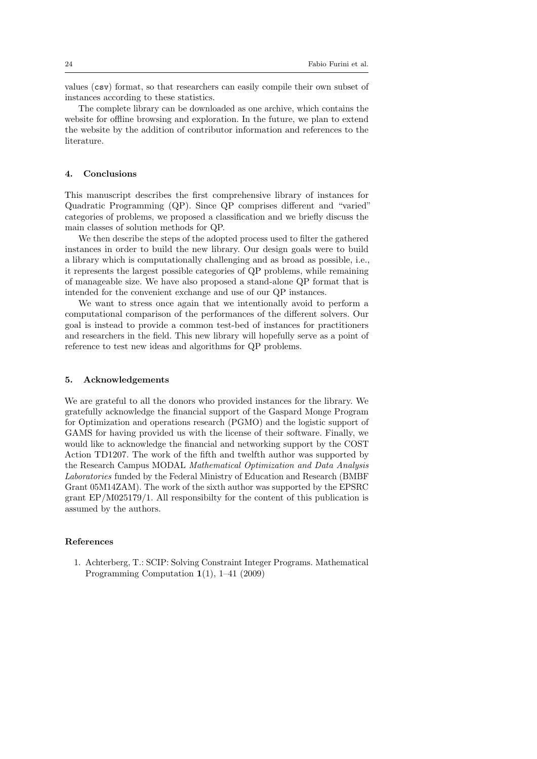values (csv) format, so that researchers can easily compile their own subset of instances according to these statistics.

The complete library can be downloaded as one archive, which contains the website for offline browsing and exploration. In the future, we plan to extend the website by the addition of contributor information and references to the literature.

### <span id="page-23-0"></span>4. Conclusions

This manuscript describes the first comprehensive library of instances for Quadratic Programming (QP). Since QP comprises different and "varied" categories of problems, we proposed a classification and we briefly discuss the main classes of solution methods for QP.

We then describe the steps of the adopted process used to filter the gathered instances in order to build the new library. Our design goals were to build a library which is computationally challenging and as broad as possible, i.e., it represents the largest possible categories of QP problems, while remaining of manageable size. We have also proposed a stand-alone QP format that is intended for the convenient exchange and use of our QP instances.

We want to stress once again that we intentionally avoid to perform a computational comparison of the performances of the different solvers. Our goal is instead to provide a common test-bed of instances for practitioners and researchers in the field. This new library will hopefully serve as a point of reference to test new ideas and algorithms for QP problems.

#### 5. Acknowledgements

We are grateful to all the donors who provided instances for the library. We gratefully acknowledge the financial support of the Gaspard Monge Program for Optimization and operations research (PGMO) and the logistic support of GAMS for having provided us with the license of their software. Finally, we would like to acknowledge the financial and networking support by the COST Action TD1207. The work of the fifth and twelfth author was supported by the Research Campus MODAL Mathematical Optimization and Data Analysis Laboratories funded by the Federal Ministry of Education and Research (BMBF Grant 05M14ZAM). The work of the sixth author was supported by the EPSRC grant EP/M025179/1. All responsibilty for the content of this publication is assumed by the authors.

### References

<span id="page-23-1"></span>1. Achterberg, T.: SCIP: Solving Constraint Integer Programs. Mathematical Programming Computation 1(1), 1–41 (2009)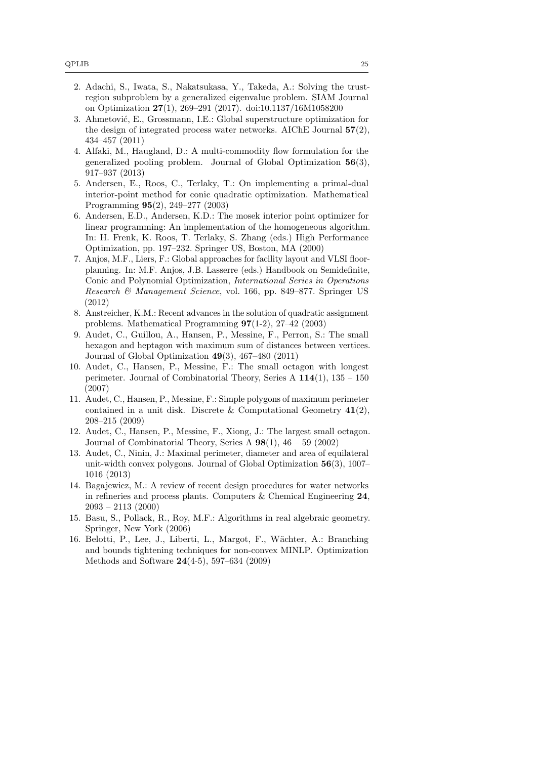- <span id="page-24-7"></span>2. Adachi, S., Iwata, S., Nakatsukasa, Y., Takeda, A.: Solving the trustregion subproblem by a generalized eigenvalue problem. SIAM Journal on Optimization 27(1), 269–291 (2017). doi[:10.1137/16M1058200](http://dx.doi.org/10.1137/16M1058200)
- <span id="page-24-5"></span>3. Ahmetović, E., Grossmann, I.E.: Global superstructure optimization for the design of integrated process water networks. AIChE Journal  $57(2)$ , 434–457 (2011)
- <span id="page-24-4"></span>4. Alfaki, M., Haugland, D.: A multi-commodity flow formulation for the generalized pooling problem. Journal of Global Optimization 56(3), 917–937 (2013)
- <span id="page-24-10"></span>5. Andersen, E., Roos, C., Terlaky, T.: On implementing a primal-dual interior-point method for conic quadratic optimization. Mathematical Programming 95(2), 249–277 (2003)
- <span id="page-24-11"></span>6. Andersen, E.D., Andersen, K.D.: The mosek interior point optimizer for linear programming: An implementation of the homogeneous algorithm. In: H. Frenk, K. Roos, T. Terlaky, S. Zhang (eds.) High Performance Optimization, pp. 197–232. Springer US, Boston, MA (2000)
- <span id="page-24-1"></span>7. Anjos, M.F., Liers, F.: Global approaches for facility layout and VLSI floorplanning. In: M.F. Anjos, J.B. Lasserre (eds.) Handbook on Semidefinite, Conic and Polynomial Optimization, International Series in Operations Research & Management Science, vol. 166, pp. 849–877. Springer US (2012)
- <span id="page-24-0"></span>8. Anstreicher, K.M.: Recent advances in the solution of quadratic assignment problems. Mathematical Programming 97(1-2), 27–42 (2003)
- <span id="page-24-2"></span>9. Audet, C., Guillou, A., Hansen, P., Messine, F., Perron, S.: The small hexagon and heptagon with maximum sum of distances between vertices. Journal of Global Optimization 49(3), 467–480 (2011)
- 10. Audet, C., Hansen, P., Messine, F.: The small octagon with longest perimeter. Journal of Combinatorial Theory, Series A  $114(1)$ ,  $135 - 150$ (2007)
- 11. Audet, C., Hansen, P., Messine, F.: Simple polygons of maximum perimeter contained in a unit disk. Discrete & Computational Geometry  $41(2)$ , 208–215 (2009)
- 12. Audet, C., Hansen, P., Messine, F., Xiong, J.: The largest small octagon. Journal of Combinatorial Theory, Series A  $98(1)$ ,  $46 - 59$  (2002)
- <span id="page-24-3"></span>13. Audet, C., Ninin, J.: Maximal perimeter, diameter and area of equilateral unit-width convex polygons. Journal of Global Optimization 56(3), 1007– 1016 (2013)
- <span id="page-24-6"></span>14. Bagajewicz, M.: A review of recent design procedures for water networks in refineries and process plants. Computers & Chemical Engineering 24, 2093 – 2113 (2000)
- <span id="page-24-8"></span>15. Basu, S., Pollack, R., Roy, M.F.: Algorithms in real algebraic geometry. Springer, New York (2006)
- <span id="page-24-9"></span>16. Belotti, P., Lee, J., Liberti, L., Margot, F., W¨achter, A.: Branching and bounds tightening techniques for non-convex MINLP. Optimization Methods and Software 24(4-5), 597–634 (2009)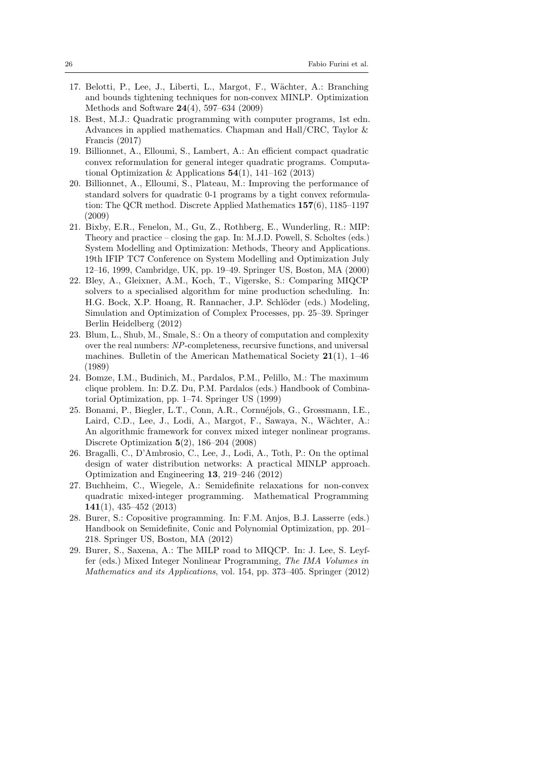- <span id="page-25-12"></span>17. Belotti, P., Lee, J., Liberti, L., Margot, F., W¨achter, A.: Branching and bounds tightening techniques for non-convex MINLP. Optimization Methods and Software 24(4), 597–634 (2009)
- <span id="page-25-9"></span>18. Best, M.J.: Quadratic programming with computer programs, 1st edn. Advances in applied mathematics. Chapman and Hall/CRC, Taylor & Francis (2017)
- <span id="page-25-6"></span>19. Billionnet, A., Elloumi, S., Lambert, A.: An efficient compact quadratic convex reformulation for general integer quadratic programs. Computational Optimization & Applications  $54(1)$ , 141-162 (2013)
- <span id="page-25-7"></span>20. Billionnet, A., Elloumi, S., Plateau, M.: Improving the performance of standard solvers for quadratic 0-1 programs by a tight convex reformulation: The QCR method. Discrete Applied Mathematics 157(6), 1185–1197 (2009)
- <span id="page-25-11"></span>21. Bixby, E.R., Fenelon, M., Gu, Z., Rothberg, E., Wunderling, R.: MIP: Theory and practice – closing the gap. In: M.J.D. Powell, S. Scholtes (eds.) System Modelling and Optimization: Methods, Theory and Applications. 19th IFIP TC7 Conference on System Modelling and Optimization July 12–16, 1999, Cambridge, UK, pp. 19–49. Springer US, Boston, MA (2000)
- <span id="page-25-3"></span>22. Bley, A., Gleixner, A.M., Koch, T., Vigerske, S.: Comparing MIQCP solvers to a specialised algorithm for mine production scheduling. In: H.G. Bock, X.P. Hoang, R. Rannacher, J.P. Schlöder (eds.) Modeling, Simulation and Optimization of Complex Processes, pp. 25–39. Springer Berlin Heidelberg (2012)
- <span id="page-25-5"></span>23. Blum, L., Shub, M., Smale, S.: On a theory of computation and complexity over the real numbers: NP-completeness, recursive functions, and universal machines. Bulletin of the American Mathematical Society  $21(1)$ , 1–46 (1989)
- <span id="page-25-2"></span>24. Bomze, I.M., Budinich, M., Pardalos, P.M., Pelillo, M.: The maximum clique problem. In: D.Z. Du, P.M. Pardalos (eds.) Handbook of Combinatorial Optimization, pp. 1–74. Springer US (1999)
- <span id="page-25-10"></span>25. Bonami, P., Biegler, L.T., Conn, A.R., Cornuéjols, G., Grossmann, I.E., Laird, C.D., Lee, J., Lodi, A., Margot, F., Sawaya, N., Wächter, A.: An algorithmic framework for convex mixed integer nonlinear programs. Discrete Optimization 5(2), 186–204 (2008)
- <span id="page-25-4"></span>26. Bragalli, C., D'Ambrosio, C., Lee, J., Lodi, A., Toth, P.: On the optimal design of water distribution networks: A practical MINLP approach. Optimization and Engineering 13, 219–246 (2012)
- <span id="page-25-8"></span>27. Buchheim, C., Wiegele, A.: Semidefinite relaxations for non-convex quadratic mixed-integer programming. Mathematical Programming 141(1), 435–452 (2013)
- <span id="page-25-1"></span>28. Burer, S.: Copositive programming. In: F.M. Anjos, B.J. Lasserre (eds.) Handbook on Semidefinite, Conic and Polynomial Optimization, pp. 201– 218. Springer US, Boston, MA (2012)
- <span id="page-25-0"></span>29. Burer, S., Saxena, A.: The MILP road to MIQCP. In: J. Lee, S. Leyffer (eds.) Mixed Integer Nonlinear Programming, The IMA Volumes in Mathematics and its Applications, vol. 154, pp. 373–405. Springer (2012)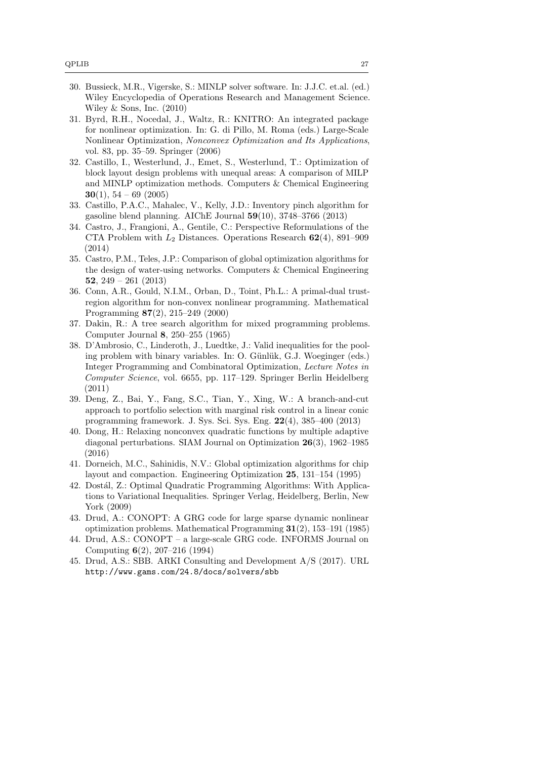- <span id="page-26-9"></span>30. Bussieck, M.R., Vigerske, S.: MINLP solver software. In: J.J.C. et.al. (ed.) Wiley Encyclopedia of Operations Research and Management Science. Wiley & Sons, Inc. (2010)
- <span id="page-26-12"></span>31. Byrd, R.H., Nocedal, J., Waltz, R.: KNITRO: An integrated package for nonlinear optimization. In: G. di Pillo, M. Roma (eds.) Large-Scale Nonlinear Optimization, Nonconvex Optimization and Its Applications, vol. 83, pp. 35–59. Springer (2006)
- <span id="page-26-0"></span>32. Castillo, I., Westerlund, J., Emet, S., Westerlund, T.: Optimization of block layout design problems with unequal areas: A comparison of MILP and MINLP optimization methods. Computers & Chemical Engineering 30(1),  $54 - 69$  (2005)
- <span id="page-26-3"></span>33. Castillo, P.A.C., Mahalec, V., Kelly, J.D.: Inventory pinch algorithm for gasoline blend planning. AIChE Journal 59(10), 3748–3766 (2013)
- <span id="page-26-6"></span>34. Castro, J., Frangioni, A., Gentile, C.: Perspective Reformulations of the CTA Problem with  $L_2$  Distances. Operations Research  $62(4)$ , 891–909 (2014)
- <span id="page-26-5"></span>35. Castro, P.M., Teles, J.P.: Comparison of global optimization algorithms for the design of water-using networks. Computers & Chemical Engineering 52,  $249 - 261$  (2013)
- <span id="page-26-14"></span>36. Conn, A.R., Gould, N.I.M., Orban, D., Toint, Ph.L.: A primal-dual trustregion algorithm for non-convex nonlinear programming. Mathematical Programming 87(2), 215–249 (2000)
- <span id="page-26-15"></span>37. Dakin, R.: A tree search algorithm for mixed programming problems. Computer Journal 8, 250–255 (1965)
- <span id="page-26-4"></span>38. D'Ambrosio, C., Linderoth, J., Luedtke, J.: Valid inequalities for the pooling problem with binary variables. In: O. Günlük, G.J. Woeginger (eds.) Integer Programming and Combinatoral Optimization, Lecture Notes in Computer Science, vol. 6655, pp. 117–129. Springer Berlin Heidelberg (2011)
- <span id="page-26-2"></span>39. Deng, Z., Bai, Y., Fang, S.C., Tian, Y., Xing, W.: A branch-and-cut approach to portfolio selection with marginal risk control in a linear conic programming framework. J. Sys. Sci. Sys. Eng. 22(4), 385–400 (2013)
- <span id="page-26-8"></span>40. Dong, H.: Relaxing nonconvex quadratic functions by multiple adaptive diagonal perturbations. SIAM Journal on Optimization 26(3), 1962–1985 (2016)
- <span id="page-26-1"></span>41. Dorneich, M.C., Sahinidis, N.V.: Global optimization algorithms for chip layout and compaction. Engineering Optimization 25, 131–154 (1995)
- <span id="page-26-7"></span>42. Dostál, Z.: Optimal Quadratic Programming Algorithms: With Applications to Variational Inequalities. Springer Verlag, Heidelberg, Berlin, New York (2009)
- <span id="page-26-10"></span>43. Drud, A.: CONOPT: A GRG code for large sparse dynamic nonlinear optimization problems. Mathematical Programming 31(2), 153–191 (1985)
- <span id="page-26-11"></span>44. Drud, A.S.: CONOPT – a large-scale GRG code. INFORMS Journal on Computing 6(2), 207–216 (1994)
- <span id="page-26-13"></span>45. Drud, A.S.: SBB. ARKI Consulting and Development A/S (2017). URL <http://www.gams.com/24.8/docs/solvers/sbb>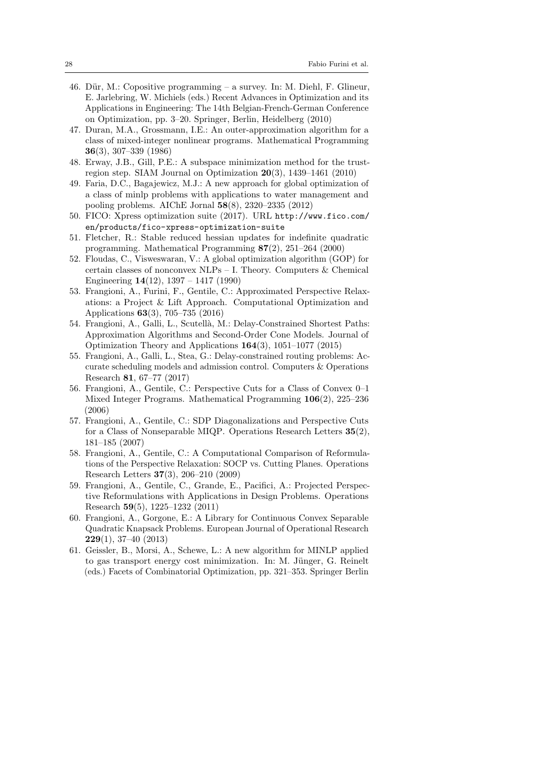- <span id="page-27-0"></span>46. Dür, M.: Copositive programming – a survey. In: M. Diehl, F. Glineur, E. Jarlebring, W. Michiels (eds.) Recent Advances in Optimization and its Applications in Engineering: The 14th Belgian-French-German Conference on Optimization, pp. 3–20. Springer, Berlin, Heidelberg (2010)
- <span id="page-27-12"></span>47. Duran, M.A., Grossmann, I.E.: An outer-approximation algorithm for a class of mixed-integer nonlinear programs. Mathematical Programming 36(3), 307–339 (1986)
- <span id="page-27-9"></span>48. Erway, J.B., Gill, P.E.: A subspace minimization method for the trustregion step. SIAM Journal on Optimization 20(3), 1439–1461 (2010)
- <span id="page-27-5"></span>49. Faria, D.C., Bagajewicz, M.J.: A new approach for global optimization of a class of minlp problems with applications to water management and pooling problems. AIChE Jornal 58(8), 2320–2335 (2012)
- <span id="page-27-13"></span>50. FICO: Xpress optimization suite (2017). URL [http://www.fico.com/](http://www.fico.com/en/products/fico-xpress-optimization-suite) [en/products/fico-xpress-optimization-suite](http://www.fico.com/en/products/fico-xpress-optimization-suite)
- <span id="page-27-14"></span>51. Fletcher, R.: Stable reduced hessian updates for indefinite quadratic programming. Mathematical Programming 87(2), 251–264 (2000)
- <span id="page-27-10"></span>52. Floudas, C., Visweswaran, V.: A global optimization algorithm (GOP) for certain classes of nonconvex NLPs – I. Theory. Computers & Chemical Engineering 14(12), 1397 – 1417 (1990)
- <span id="page-27-1"></span>53. Frangioni, A., Furini, F., Gentile, C.: Approximated Perspective Relaxations: a Project & Lift Approach. Computational Optimization and Applications 63(3), 705–735 (2016)
- <span id="page-27-7"></span>54. Frangioni, A., Galli, L., Scutellà, M.: Delay-Constrained Shortest Paths: Approximation Algorithms and Second-Order Cone Models. Journal of Optimization Theory and Applications 164(3), 1051–1077 (2015)
- <span id="page-27-8"></span>55. Frangioni, A., Galli, L., Stea, G.: Delay-constrained routing problems: Accurate scheduling models and admission control. Computers & Operations Research 81, 67–77 (2017)
- <span id="page-27-3"></span>56. Frangioni, A., Gentile, C.: Perspective Cuts for a Class of Convex 0–1 Mixed Integer Programs. Mathematical Programming 106(2), 225–236 (2006)
- 57. Frangioni, A., Gentile, C.: SDP Diagonalizations and Perspective Cuts for a Class of Nonseparable MIQP. Operations Research Letters 35(2), 181–185 (2007)
- <span id="page-27-4"></span>58. Frangioni, A., Gentile, C.: A Computational Comparison of Reformulations of the Perspective Relaxation: SOCP vs. Cutting Planes. Operations Research Letters 37(3), 206–210 (2009)
- <span id="page-27-2"></span>59. Frangioni, A., Gentile, C., Grande, E., Pacifici, A.: Projected Perspective Reformulations with Applications in Design Problems. Operations Research 59(5), 1225–1232 (2011)
- <span id="page-27-11"></span>60. Frangioni, A., Gorgone, E.: A Library for Continuous Convex Separable Quadratic Knapsack Problems. European Journal of Operational Research 229(1), 37–40 (2013)
- <span id="page-27-6"></span>61. Geissler, B., Morsi, A., Schewe, L.: A new algorithm for MINLP applied to gas transport energy cost minimization. In: M. Jünger, G. Reinelt (eds.) Facets of Combinatorial Optimization, pp. 321–353. Springer Berlin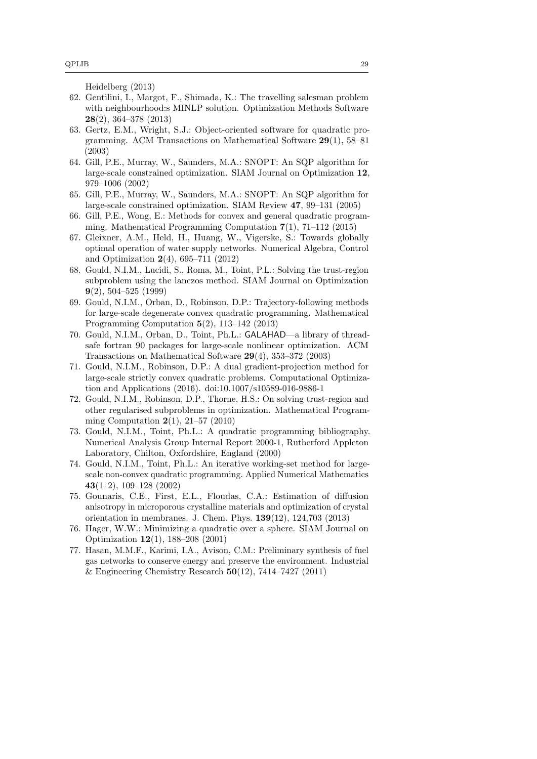Heidelberg (2013)

- <span id="page-28-4"></span>62. Gentilini, I., Margot, F., Shimada, K.: The travelling salesman problem with neighbourhood:s MINLP solution. Optimization Methods Software 28(2), 364–378 (2013)
- <span id="page-28-12"></span>63. Gertz, E.M., Wright, S.J.: Object-oriented software for quadratic programming. ACM Transactions on Mathematical Software 29(1), 58–81 (2003)
- <span id="page-28-8"></span>64. Gill, P.E., Murray, W., Saunders, M.A.: SNOPT: An SQP algorithm for large-scale constrained optimization. SIAM Journal on Optimization 12, 979–1006 (2002)
- <span id="page-28-9"></span>65. Gill, P.E., Murray, W., Saunders, M.A.: SNOPT: An SQP algorithm for large-scale constrained optimization. SIAM Review 47, 99–131 (2005)
- <span id="page-28-15"></span>66. Gill, P.E., Wong, E.: Methods for convex and general quadratic programming. Mathematical Programming Computation 7(1), 71–112 (2015)
- <span id="page-28-3"></span>67. Gleixner, A.M., Held, H., Huang, W., Vigerske, S.: Towards globally optimal operation of water supply networks. Numerical Algebra, Control and Optimization 2(4), 695–711 (2012)
- <span id="page-28-5"></span>68. Gould, N.I.M., Lucidi, S., Roma, M., Toint, P.L.: Solving the trust-region subproblem using the lanczos method. SIAM Journal on Optimization 9(2), 504–525 (1999)
- <span id="page-28-10"></span>69. Gould, N.I.M., Orban, D., Robinson, D.P.: Trajectory-following methods for large-scale degenerate convex quadratic programming. Mathematical Programming Computation 5(2), 113–142 (2013)
- <span id="page-28-14"></span>70. Gould, N.I.M., Orban, D., Toint, Ph.L.: GALAHAD—a library of threadsafe fortran 90 packages for large-scale nonlinear optimization. ACM Transactions on Mathematical Software 29(4), 353–372 (2003)
- <span id="page-28-11"></span>71. Gould, N.I.M., Robinson, D.P.: A dual gradient-projection method for large-scale strictly convex quadratic problems. Computational Optimization and Applications (2016). doi[:10.1007/s10589-016-9886-1](http://dx.doi.org/10.1007/s10589-016-9886-1)
- <span id="page-28-6"></span>72. Gould, N.I.M., Robinson, D.P., Thorne, H.S.: On solving trust-region and other regularised subproblems in optimization. Mathematical Programming Computation  $2(1)$ ,  $21-57$   $(2010)$
- <span id="page-28-0"></span>73. Gould, N.I.M., Toint, Ph.L.: A quadratic programming bibliography. Numerical Analysis Group Internal Report 2000-1, Rutherford Appleton Laboratory, Chilton, Oxfordshire, England (2000)
- <span id="page-28-13"></span>74. Gould, N.I.M., Toint, Ph.L.: An iterative working-set method for largescale non-convex quadratic programming. Applied Numerical Mathematics 43(1–2), 109–128 (2002)
- <span id="page-28-1"></span>75. Gounaris, C.E., First, E.L., Floudas, C.A.: Estimation of diffusion anisotropy in microporous crystalline materials and optimization of crystal orientation in membranes. J. Chem. Phys. 139(12), 124,703 (2013)
- <span id="page-28-7"></span>76. Hager, W.W.: Minimizing a quadratic over a sphere. SIAM Journal on Optimization 12(1), 188–208 (2001)
- <span id="page-28-2"></span>77. Hasan, M.M.F., Karimi, I.A., Avison, C.M.: Preliminary synthesis of fuel gas networks to conserve energy and preserve the environment. Industrial & Engineering Chemistry Research  $50(12)$ , 7414–7427 (2011)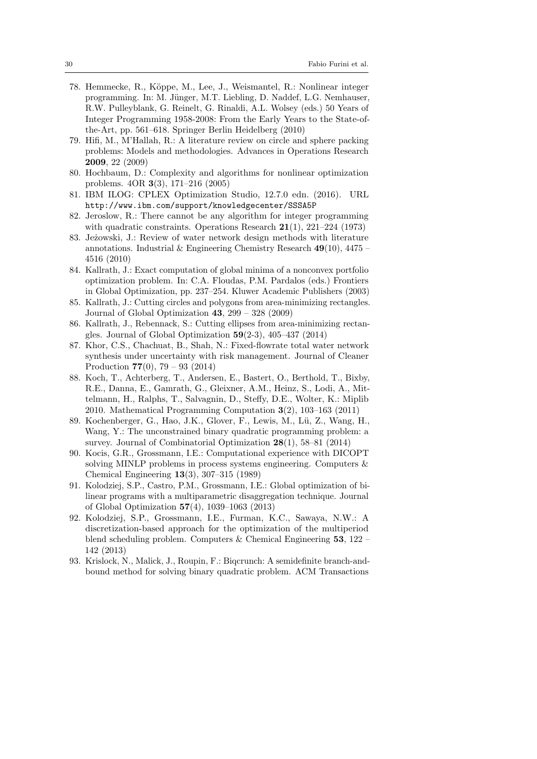- <span id="page-29-13"></span>78. Hemmecke, R., K¨oppe, M., Lee, J., Weismantel, R.: Nonlinear integer programming. In: M. Jünger, M.T. Liebling, D. Naddef, L.G. Nemhauser, R.W. Pulleyblank, G. Reinelt, G. Rinaldi, A.L. Wolsey (eds.) 50 Years of Integer Programming 1958-2008: From the Early Years to the State-ofthe-Art, pp. 561–618. Springer Berlin Heidelberg (2010)
- <span id="page-29-3"></span>79. Hifi, M., M'Hallah, R.: A literature review on circle and sphere packing problems: Models and methodologies. Advances in Operations Research 2009, 22 (2009)
- <span id="page-29-11"></span>80. Hochbaum, D.: Complexity and algorithms for nonlinear optimization problems. 4OR 3(3), 171–216 (2005)
- <span id="page-29-14"></span>81. IBM ILOG: CPLEX Optimization Studio, 12.7.0 edn. (2016). URL <http://www.ibm.com/support/knowledgecenter/SSSA5P>
- <span id="page-29-12"></span>82. Jeroslow, R.: There cannot be any algorithm for integer programming with quadratic constraints. Operations Research  $21(1)$ ,  $221-224$  (1973)
- <span id="page-29-9"></span>83. Jeżowski, J.: Review of water network design methods with literature annotations. Industrial & Engineering Chemistry Research 49(10), 4475 – 4516 (2010)
- <span id="page-29-6"></span>84. Kallrath, J.: Exact computation of global minima of a nonconvex portfolio optimization problem. In: C.A. Floudas, P.M. Pardalos (eds.) Frontiers in Global Optimization, pp. 237–254. Kluwer Academic Publishers (2003)
- <span id="page-29-4"></span>85. Kallrath, J.: Cutting circles and polygons from area-minimizing rectangles. Journal of Global Optimization  $43, 299 - 328$  (2009)
- <span id="page-29-5"></span>86. Kallrath, J., Rebennack, S.: Cutting ellipses from area-minimizing rectangles. Journal of Global Optimization 59(2-3), 405–437 (2014)
- <span id="page-29-10"></span>87. Khor, C.S., Chachuat, B., Shah, N.: Fixed-flowrate total water network synthesis under uncertainty with risk management. Journal of Cleaner Production 77(0), 79 – 93 (2014)
- <span id="page-29-0"></span>88. Koch, T., Achterberg, T., Andersen, E., Bastert, O., Berthold, T., Bixby, R.E., Danna, E., Gamrath, G., Gleixner, A.M., Heinz, S., Lodi, A., Mittelmann, H., Ralphs, T., Salvagnin, D., Steffy, D.E., Wolter, K.: Miplib 2010. Mathematical Programming Computation 3(2), 103–163 (2011)
- <span id="page-29-1"></span>89. Kochenberger, G., Hao, J.K., Glover, F., Lewis, M., Lü, Z., Wang, H., Wang, Y.: The unconstrained binary quadratic programming problem: a survey. Journal of Combinatorial Optimization 28(1), 58–81 (2014)
- <span id="page-29-15"></span>90. Kocis, G.R., Grossmann, I.E.: Computational experience with DICOPT solving MINLP problems in process systems engineering. Computers & Chemical Engineering 13(3), 307–315 (1989)
- <span id="page-29-7"></span>91. Kolodziej, S.P., Castro, P.M., Grossmann, I.E.: Global optimization of bilinear programs with a multiparametric disaggregation technique. Journal of Global Optimization 57(4), 1039–1063 (2013)
- <span id="page-29-8"></span>92. Kolodziej, S.P., Grossmann, I.E., Furman, K.C., Sawaya, N.W.: A discretization-based approach for the optimization of the multiperiod blend scheduling problem. Computers & Chemical Engineering  $53$ ,  $122 -$ 142 (2013)
- <span id="page-29-2"></span>93. Krislock, N., Malick, J., Roupin, F.: Biqcrunch: A semidefinite branch-andbound method for solving binary quadratic problem. ACM Transactions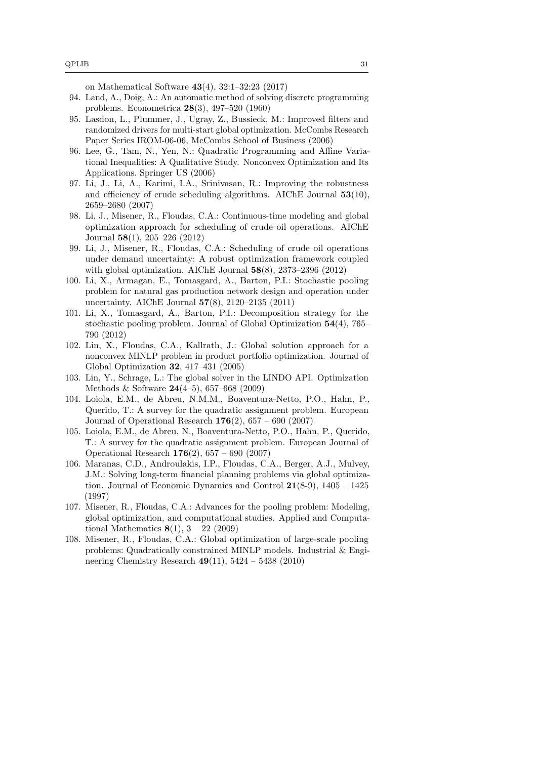on Mathematical Software 43(4), 32:1–32:23 (2017)

- <span id="page-30-13"></span>94. Land, A., Doig, A.: An automatic method of solving discrete programming problems. Econometrica 28(3), 497–520 (1960)
- <span id="page-30-12"></span>95. Lasdon, L., Plummer, J., Ugray, Z., Bussieck, M.: Improved filters and randomized drivers for multi-start global optimization. McCombs Research Paper Series IROM-06-06, McCombs School of Business (2006)
- <span id="page-30-10"></span>96. Lee, G., Tam, N., Yen, N.: Quadratic Programming and Affine Variational Inequalities: A Qualitative Study. Nonconvex Optimization and Its Applications. Springer US (2006)
- <span id="page-30-3"></span>97. Li, J., Li, A., Karimi, I.A., Srinivasan, R.: Improving the robustness and efficiency of crude scheduling algorithms. AIChE Journal 53(10), 2659–2680 (2007)
- 98. Li, J., Misener, R., Floudas, C.A.: Continuous-time modeling and global optimization approach for scheduling of crude oil operations. AIChE Journal 58(1), 205–226 (2012)
- <span id="page-30-4"></span>99. Li, J., Misener, R., Floudas, C.A.: Scheduling of crude oil operations under demand uncertainty: A robust optimization framework coupled with global optimization. AIChE Journal 58(8), 2373–2396 (2012)
- <span id="page-30-5"></span>100. Li, X., Armagan, E., Tomasgard, A., Barton, P.I.: Stochastic pooling problem for natural gas production network design and operation under uncertainty. AIChE Journal 57(8), 2120–2135 (2011)
- <span id="page-30-6"></span>101. Li, X., Tomasgard, A., Barton, P.I.: Decomposition strategy for the stochastic pooling problem. Journal of Global Optimization 54(4), 765– 790 (2012)
- <span id="page-30-1"></span>102. Lin, X., Floudas, C.A., Kallrath, J.: Global solution approach for a nonconvex MINLP problem in product portfolio optimization. Journal of Global Optimization 32, 417–431 (2005)
- <span id="page-30-11"></span>103. Lin, Y., Schrage, L.: The global solver in the LINDO API. Optimization Methods & Software 24(4–5), 657–668 (2009)
- <span id="page-30-0"></span>104. Loiola, E.M., de Abreu, N.M.M., Boaventura-Netto, P.O., Hahn, P., Querido, T.: A survey for the quadratic assignment problem. European Journal of Operational Research  $176(2)$ ,  $657 - 690$  (2007)
- <span id="page-30-9"></span>105. Loiola, E.M., de Abreu, N., Boaventura-Netto, P.O., Hahn, P., Querido, T.: A survey for the quadratic assignment problem. European Journal of Operational Research 176(2), 657 – 690 (2007)
- <span id="page-30-2"></span>106. Maranas, C.D., Androulakis, I.P., Floudas, C.A., Berger, A.J., Mulvey, J.M.: Solving long-term financial planning problems via global optimization. Journal of Economic Dynamics and Control  $21(8-9)$ ,  $1405 - 1425$ (1997)
- <span id="page-30-7"></span>107. Misener, R., Floudas, C.A.: Advances for the pooling problem: Modeling, global optimization, and computational studies. Applied and Computational Mathematics  $8(1)$ ,  $3 - 22$  (2009)
- <span id="page-30-8"></span>108. Misener, R., Floudas, C.A.: Global optimization of large-scale pooling problems: Quadratically constrained MINLP models. Industrial & Engineering Chemistry Research  $49(11)$ ,  $5424 - 5438$  (2010)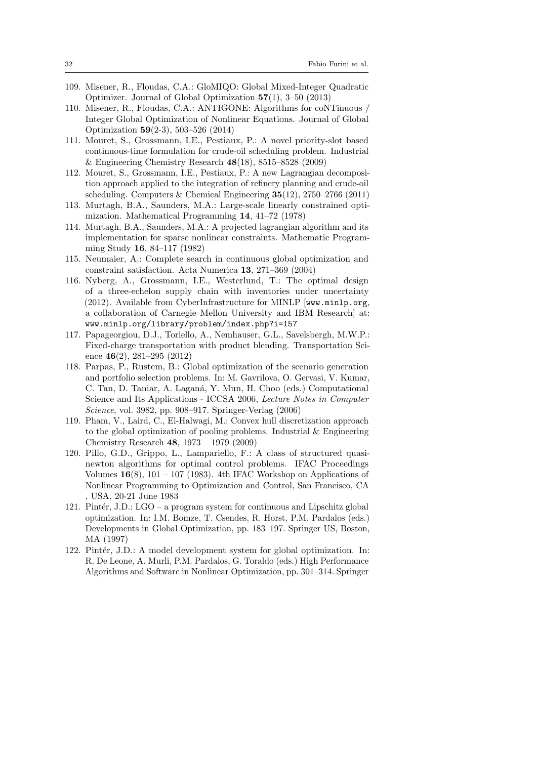- <span id="page-31-8"></span>109. Misener, R., Floudas, C.A.: GloMIQO: Global Mixed-Integer Quadratic Optimizer. Journal of Global Optimization 57(1), 3–50 (2013)
- <span id="page-31-9"></span>110. Misener, R., Floudas, C.A.: ANTIGONE: Algorithms for coNTinuous / Integer Global Optimization of Nonlinear Equations. Journal of Global Optimization 59(2-3), 503–526 (2014)
- <span id="page-31-1"></span>111. Mouret, S., Grossmann, I.E., Pestiaux, P.: A novel priority-slot based continuous-time formulation for crude-oil scheduling problem. Industrial & Engineering Chemistry Research 48(18), 8515–8528 (2009)
- <span id="page-31-2"></span>112. Mouret, S., Grossmann, I.E., Pestiaux, P.: A new Lagrangian decomposition approach applied to the integration of refinery planning and crude-oil scheduling. Computers & Chemical Engineering  $35(12)$ , 2750–2766 (2011)
- <span id="page-31-12"></span>113. Murtagh, B.A., Saunders, M.A.: Large-scale linearly constrained optimization. Mathematical Programming 14, 41–72 (1978)
- <span id="page-31-13"></span>114. Murtagh, B.A., Saunders, M.A.: A projected lagrangian algorithm and its implementation for sparse nonlinear constraints. Mathematic Programming Study 16, 84–117 (1982)
- <span id="page-31-7"></span>115. Neumaier, A.: Complete search in continuous global optimization and constraint satisfaction. Acta Numerica 13, 271–369 (2004)
- <span id="page-31-5"></span>116. Nyberg, A., Grossmann, I.E., Westerlund, T.: The optimal design of a three-echelon supply chain with inventories under uncertainty (2012). Available from CyberInfrastructure for MINLP [www.minlp.org, a collaboration of Carnegie Mellon University and IBM Research] at: www.minlp.org/library/problem/index.php?i=157
- <span id="page-31-3"></span>117. Papageorgiou, D.J., Toriello, A., Nemhauser, G.L., Savelsbergh, M.W.P.: Fixed-charge transportation with product blending. Transportation Science  $46(2)$ , 281–295 (2012)
- <span id="page-31-0"></span>118. Parpas, P., Rustem, B.: Global optimization of the scenario generation and portfolio selection problems. In: M. Gavrilova, O. Gervasi, V. Kumar, C. Tan, D. Taniar, A. Laganá, Y. Mun, H. Choo (eds.) Computational Science and Its Applications - ICCSA 2006, Lecture Notes in Computer Science, vol. 3982, pp. 908–917. Springer-Verlag (2006)
- <span id="page-31-4"></span>119. Pham, V., Laird, C., El-Halwagi, M.: Convex hull discretization approach to the global optimization of pooling problems. Industrial & Engineering Chemistry Research 48, 1973 – 1979 (2009)
- <span id="page-31-6"></span>120. Pillo, G.D., Grippo, L., Lampariello, F.: A class of structured quasinewton algorithms for optimal control problems. IFAC Proceedings Volumes  $16(8)$ , 101 – 107 (1983). 4th IFAC Workshop on Applications of Nonlinear Programming to Optimization and Control, San Francisco, CA , USA, 20-21 June 1983
- <span id="page-31-10"></span>121. Pintér, J.D.:  $LGO - a program system$  for continuous and Lipschitz global optimization. In: I.M. Bomze, T. Csendes, R. Horst, P.M. Pardalos (eds.) Developments in Global Optimization, pp. 183–197. Springer US, Boston, MA (1997)
- <span id="page-31-11"></span>122. Pintér, J.D.: A model development system for global optimization. In: R. De Leone, A. Murli, P.M. Pardalos, G. Toraldo (eds.) High Performance Algorithms and Software in Nonlinear Optimization, pp. 301–314. Springer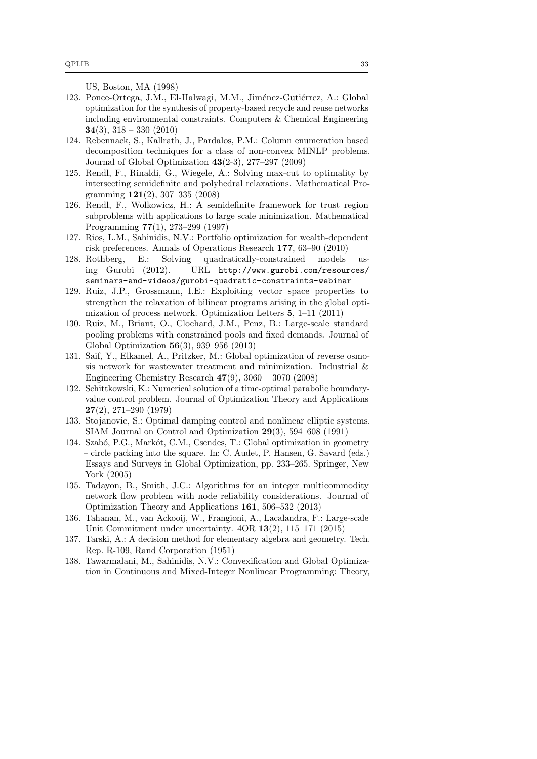US, Boston, MA (1998)

- <span id="page-32-8"></span>123. Ponce-Ortega, J.M., El-Halwagi, M.M., Jiménez-Gutiérrez, A.: Global optimization for the synthesis of property-based recycle and reuse networks including environmental constraints. Computers & Chemical Engineering 34(3),  $318 - 330$  (2010)
- <span id="page-32-2"></span>124. Rebennack, S., Kallrath, J., Pardalos, P.M.: Column enumeration based decomposition techniques for a class of non-convex MINLP problems. Journal of Global Optimization 43(2-3), 277–297 (2009)
- <span id="page-32-0"></span>125. Rendl, F., Rinaldi, G., Wiegele, A.: Solving max-cut to optimality by intersecting semidefinite and polyhedral relaxations. Mathematical Programming 121(2), 307–335 (2008)
- <span id="page-32-10"></span>126. Rendl, F., Wolkowicz, H.: A semidefinite framework for trust region subproblems with applications to large scale minimization. Mathematical Programming 77(1), 273–299 (1997)
- <span id="page-32-3"></span>127. Rios, L.M., Sahinidis, N.V.: Portfolio optimization for wealth-dependent risk preferences. Annals of Operations Research 177, 63–90 (2010)
- <span id="page-32-14"></span>128. Rothberg, E.: Solving quadratically-constrained models using Gurobi (2012). URL [http://www.gurobi.com/resources/](http://www.gurobi.com/resources/seminars-and-videos/gurobi-quadratic-constraints-webinar) [seminars-and-videos/gurobi-quadratic-constraints-webinar](http://www.gurobi.com/resources/seminars-and-videos/gurobi-quadratic-constraints-webinar)
- <span id="page-32-4"></span>129. Ruiz, J.P., Grossmann, I.E.: Exploiting vector space properties to strengthen the relaxation of bilinear programs arising in the global optimization of process network. Optimization Letters 5, 1–11 (2011)
- <span id="page-32-6"></span>130. Ruiz, M., Briant, O., Clochard, J.M., Penz, B.: Large-scale standard pooling problems with constrained pools and fixed demands. Journal of Global Optimization 56(3), 939–956 (2013)
- <span id="page-32-7"></span>131. Saif, Y., Elkamel, A., Pritzker, M.: Global optimization of reverse osmosis network for wastewater treatment and minimization. Industrial & Engineering Chemistry Research  $47(9)$ ,  $3060 - 3070$  (2008)
- <span id="page-32-11"></span>132. Schittkowski, K.: Numerical solution of a time-optimal parabolic boundaryvalue control problem. Journal of Optimization Theory and Applications 27(2), 271–290 (1979)
- <span id="page-32-12"></span>133. Stojanovic, S.: Optimal damping control and nonlinear elliptic systems. SIAM Journal on Control and Optimization 29(3), 594–608 (1991)
- <span id="page-32-1"></span>134. Szabó, P.G., Markót, C.M., Csendes, T.: Global optimization in geometry – circle packing into the square. In: C. Audet, P. Hansen, G. Savard (eds.) Essays and Surveys in Global Optimization, pp. 233–265. Springer, New York (2005)
- <span id="page-32-5"></span>135. Tadayon, B., Smith, J.C.: Algorithms for an integer multicommodity network flow problem with node reliability considerations. Journal of Optimization Theory and Applications 161, 506–532 (2013)
- <span id="page-32-9"></span>136. Tahanan, M., van Ackooij, W., Frangioni, A., Lacalandra, F.: Large-scale Unit Commitment under uncertainty. 4OR 13(2), 115–171 (2015)
- <span id="page-32-15"></span>137. Tarski, A.: A decision method for elementary algebra and geometry. Tech. Rep. R-109, Rand Corporation (1951)
- <span id="page-32-13"></span>138. Tawarmalani, M., Sahinidis, N.V.: Convexification and Global Optimization in Continuous and Mixed-Integer Nonlinear Programming: Theory,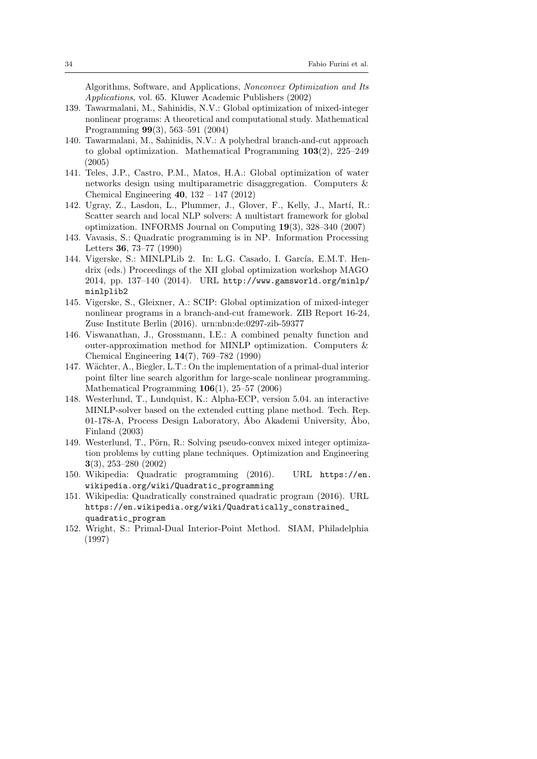Algorithms, Software, and Applications, Nonconvex Optimization and Its Applications, vol. 65. Kluwer Academic Publishers (2002)

- 139. Tawarmalani, M., Sahinidis, N.V.: Global optimization of mixed-integer nonlinear programs: A theoretical and computational study. Mathematical Programming 99(3), 563–591 (2004)
- <span id="page-33-8"></span>140. Tawarmalani, M., Sahinidis, N.V.: A polyhedral branch-and-cut approach to global optimization. Mathematical Programming 103(2), 225–249 (2005)
- <span id="page-33-2"></span>141. Teles, J.P., Castro, P.M., Matos, H.A.: Global optimization of water networks design using multiparametric disaggregation. Computers & Chemical Engineering 40, 132 – 147 (2012)
- <span id="page-33-11"></span>142. Ugray, Z., Lasdon, L., Plummer, J., Glover, F., Kelly, J., Martí, R.: Scatter search and local NLP solvers: A multistart framework for global optimization. INFORMS Journal on Computing 19(3), 328–340 (2007)
- <span id="page-33-4"></span>143. Vavasis, S.: Quadratic programming is in NP. Information Processing Letters 36, 73–77 (1990)
- <span id="page-33-3"></span>144. Vigerske, S.: MINLPLib 2. In: L.G. Casado, I. García, E.M.T. Hendrix (eds.) Proceedings of the XII global optimization workshop MAGO 2014, pp. 137–140 (2014). URL [http://www.gamsworld.org/minlp/](http://www.gamsworld.org/minlp/minlplib2) [minlplib2](http://www.gamsworld.org/minlp/minlplib2)
- <span id="page-33-12"></span>145. Vigerske, S., Gleixner, A.: SCIP: Global optimization of mixed-integer nonlinear programs in a branch-and-cut framework. ZIB Report 16-24, Zuse Institute Berlin (2016). urn[:nbn:de:0297-zib-59377](http://nbn-resolving.de/urn:nbn:de:0297-zib-59377)
- <span id="page-33-9"></span>146. Viswanathan, J., Grossmann, I.E.: A combined penalty function and outer-approximation method for MINLP optimization. Computers & Chemical Engineering 14(7), 769–782 (1990)
- <span id="page-33-10"></span>147. Wächter, A., Biegler, L.T.: On the implementation of a primal-dual interior point filter line search algorithm for large-scale nonlinear programming. Mathematical Programming 106(1), 25–57 (2006)
- <span id="page-33-6"></span>148. Westerlund, T., Lundquist, K.: Alpha-ECP, version 5.04. an interactive MINLP-solver based on the extended cutting plane method. Tech. Rep. 01-178-A, Process Design Laboratory, Åbo Akademi University, Åbo, Finland (2003)
- <span id="page-33-7"></span>149. Westerlund, T., Pörn, R.: Solving pseudo-convex mixed integer optimization problems by cutting plane techniques. Optimization and Engineering 3(3), 253–280 (2002)
- <span id="page-33-0"></span>150. Wikipedia: Quadratic programming (2016). URL [https://en.](https://en.wikipedia.org/wiki/Quadratic_programming) [wikipedia.org/wiki/Quadratic\\_programming](https://en.wikipedia.org/wiki/Quadratic_programming)
- <span id="page-33-1"></span>151. Wikipedia: Quadratically constrained quadratic program (2016). URL [https://en.wikipedia.org/wiki/Quadratically\\_constrained\\_](https://en.wikipedia.org/wiki/Quadratically_constrained_quadratic_program) [quadratic\\_program](https://en.wikipedia.org/wiki/Quadratically_constrained_quadratic_program)
- <span id="page-33-5"></span>152. Wright, S.: Primal-Dual Interior-Point Method. SIAM, Philadelphia (1997)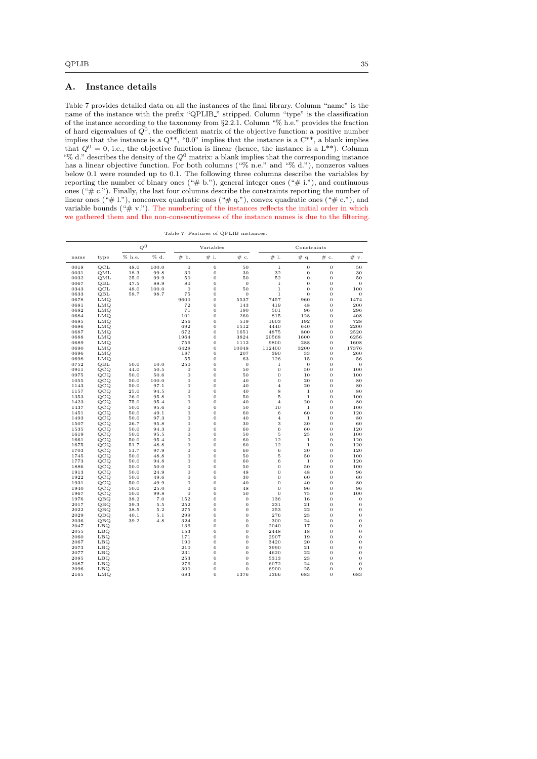# <span id="page-34-0"></span>A. Instance details

Table [7](#page-34-1) provides detailed data on all the instances of the final library. Column "name" is the name of the instance with the prefix "QPLIB<sub>"</sub> stripped. Column "type" is the classification of the instance according to the taxonomy from §[2.2.1.](#page-7-0) Column "% h.e." provides the fraction of hard eigenvalues of  $Q^0$ , the coefficient matrix of the objective function: a positive number implies that the instance is a  $Q^{**}$ , "0.0" implies that the instance is a  $C^{**}$ , a blank implies that  $Q^0 = 0$ , i.e., the objective function is linear (hence, the instance is a L<sup>\*\*</sup>). Column "% d." describes the density of the  $Q^0$  matrix: a blank implies that the corresponding instance has a linear objective function. For both columns ("% n.e." and "% d."), nonzeros values below 0.1 were rounded up to 0.1. The following three columns describe the variables by reporting the number of binary ones  $(*# b.")$ , general integer ones  $(*# i.")$ , and continuous ones ("# c."). Finally, the last four columns describe the constraints reporting the number of linear ones (" $\#$ 1."), nonconvex quadratic ones (" $\#$  q."), convex quadratic ones (" $\#$  c."), and variable bounds ("# v."). The numbering of the instances reflects the initial order in which we gathered them and the non-consecutiveness of the instance names is due to the filtering.

Table 7: Features of QPLIB instances.

<span id="page-34-1"></span>

|              |            | $\varphi^0$  |              |                                  | Variables                        |                |                     | Constraints       |                                  |                |
|--------------|------------|--------------|--------------|----------------------------------|----------------------------------|----------------|---------------------|-------------------|----------------------------------|----------------|
| name         | type       | % h.e.       | % d.         | # b.                             | # i.                             | # c.           | #1.                 | # q.              | $\#\mathbf{c}.$                  | # v.           |
| 0018         | QCL        | 48.0         | 100.0        | $\overline{0}$                   | $\mathbf 0$                      | 50             | $\mathbf 1$         | $\overline{0}$    | $\overline{0}$                   | 50             |
| 0031         | QML        | 18.3         | 99.8         | 30                               | $\overline{0}$                   | 30             | 32                  | $\overline{0}$    | $\overline{0}$                   | 30             |
| 0032         | QML        | 25.0         | 99.9         | 50                               | $\mathbf 0$                      | 50             | 52                  | $\overline{0}$    | $\overline{0}$                   | 50             |
| 0067         | QBL        | 47.5         | 88.9         | 80                               | $\overline{0}$                   | $\theta$       | $\mathbf{1}$        | $\overline{0}$    | $\overline{0}$                   | $\theta$       |
| 0343         | QCL        | 48.0         | 100.0        | $\bf{0}$                         | $\bf{0}$                         | 50             | $\mathbf{1}$        | $\overline{0}$    | $\overline{0}$                   | 100            |
| 0633         | QBL        | 58.7         | 98.7         | 75                               | $\overline{0}$                   | $\sigma$       | $\mathbf{1}$        | $\overline{0}$    | $\overline{0}$                   | $\Omega$       |
| 0678         | LMQ        |              |              | 9600                             | $\overline{0}$                   | 5537           | 7457                | 960               | $\overline{0}$                   | 1474           |
| 0681         | LMQ        |              |              | 72                               | $\bf{0}$                         | 143            | 419                 | 48                | $\overline{0}$                   | 200            |
| 0682         | LMQ        |              |              | 71                               | $\overline{0}$                   | 190            | 501                 | 96                | $\mathbf{0}$                     | 296            |
| 0684         | LMQ        |              |              | 101                              | $\mathbf 0$                      | 260            | 815                 | 128               | $\overline{0}$                   | 408            |
| 0685         | LMQ        |              |              | 256                              | $\overline{0}$                   | 519            | 1603                | 192               | $\mathbf{0}$                     | 728            |
| 0686         | LMQ        |              |              | 692                              | $\bf{0}$                         | 1512           | 4440                | 640               | $\overline{0}$                   | 2200           |
| 0687         | LMQ        |              |              | 672                              | $\overline{0}$                   | 1651           | 4875                | 800               | $\mathbf{0}$                     | 2520           |
| 0688         | LMQ        |              |              | 1964                             | $\overline{0}$                   | 3824           | 20568               | 1600              | $\overline{0}$                   | 6256           |
| 0689         | LMQ        |              |              | 756                              | $\overline{0}$                   | 1112           | 9800                | 288               | $\overline{0}$                   | 1608           |
| 0690         | LMQ        |              |              | 6428                             | $\overline{0}$                   | 10048          | 112400              | 3200              | $\overline{0}$                   | 17376          |
| 0696         | LMQ        |              |              | 187                              | $\overline{0}$                   | 207            | 390                 | 33                | $\overline{0}$                   | 260            |
| 0698         | LMQ        |              |              | 55                               | $\bf{0}$                         | 63             | 126                 | 15                | $\overline{0}$                   | 56             |
| 0752         | QBL        | 50.0         | 10.0         | 250                              | $\overline{0}$                   | $\sigma$       | $\mathbf{1}$        | $\mathbf{0}$      | $\mathbf{0}$                     | $\theta$       |
| 0911         | QCQ        | 44.0         | 50.5         | $\overline{0}$                   | $\overline{0}$                   | 50             | $\overline{0}$      | 50                | $\overline{0}$                   | 100            |
| 0975         | QCQ        | 50.0         | 50.6         | $\theta$                         | 0                                | 50             | $\overline{0}$      | 10                | $\mathbf{0}$                     | 100            |
| 1055         | QCQ        | 50.0         | 100.0        | $\overline{0}$                   | $\overline{0}$                   | 40             | $\overline{0}$      | 20                | $\overline{0}$                   | 80             |
| 1143         | QCQ        | 50.0         | 97.1         | $\overline{0}$                   | $\bf{0}$                         | 40             | $\overline{4}$      | 20                | $\overline{0}$                   | 80             |
| 1157         | QCQ        | 25.0         | 94.5         | $\overline{0}$                   | $\overline{0}$                   | 40             | 8                   | $\mathbf 1$       | $\overline{0}$                   | 80             |
| 1353         | QCQ        | 26.0         | 95.8         | $\mathbf 0$                      | $\bf{0}$                         | 50             | 5                   | $\,1\,$           | $\overline{0}$                   | 100            |
| 1423         | QCQ        | 75.0         | 95.4         | $\overline{0}$                   | 0                                | 40             | $\overline{4}$      | 20                | $\mathbf{0}$                     | 80             |
| 1437         | QCQ        | 50.0         | 95.6         | $\overline{0}$                   | $\overline{0}$                   | 50             | 10                  | $1\,$             | $\mathbf{0}$                     | 100            |
| 1451         | QCQ        | 50.0         | 49.1         | $\overline{0}$<br>$\overline{0}$ | $\overline{0}$<br>$\overline{0}$ | 60             | 6<br>$\overline{4}$ | 60                | $\overline{0}$                   | 120            |
| 1493         | QCQ        | 50.0         | 97.3         | $\overline{0}$                   | $\overline{0}$                   | 40             | 3                   | $\,1\,$<br>30     | $\overline{0}$<br>$\overline{0}$ | 80             |
| 1507         | QCQ        | 26.7         | 95.8         |                                  |                                  | 30             |                     |                   |                                  | 60             |
| 1535         | QCQ        | 50.0         | 94.3         | $\mathbf 0$<br>$\overline{0}$    | $\bf{0}$                         | 60             | 6                   | 60                | $\overline{0}$                   | 120            |
| 1619<br>1661 | QCQ        | 50.0<br>50.0 | 95.5<br>95.4 | $\overline{0}$                   | $\overline{0}$<br>$\overline{0}$ | 50<br>60       | 5<br>12             | 25<br>$\mathbf 1$ | $\mathbf{0}$<br>$\overline{0}$   | 100            |
|              | QCQ        |              |              | $\overline{0}$                   | $\overline{0}$                   |                | 12                  | $\,1\,$           |                                  | 120            |
| 1675<br>1703 | QCQ        | 51.7<br>51.7 | 48.8<br>97.9 | $\overline{0}$                   | 0                                | 60<br>60       | 6                   | 30                | $\mathbf{0}$<br>$\overline{0}$   | 120<br>120     |
| 1745         | QCQ<br>QCQ | 50.0         | 48.8         | $\bf{0}$                         | $\bf{0}$                         | 50             | 5                   | 50                | $\overline{0}$                   | 100            |
| 1773         | QCQ        | 50.0         | 94.8         | $\overline{0}$                   | $\overline{0}$                   | 60             | 6                   | $1\,$             | $\mathbf{0}$                     | 120            |
| 1886         | QCQ        | 50.0         | 50.0         | $\bf{0}$                         | $\overline{0}$                   | 50             | $\overline{0}$      | 50                | $\overline{0}$                   | 100            |
| 1913         | QCQ        | 50.0         | 24.9         | $\overline{0}$                   | $\overline{0}$                   | 48             | $\overline{0}$      | 48                | $\mathbf{0}$                     | 96             |
| 1922         | QCQ        | 50.0         | 49.6         | $\overline{0}$                   | $\bf{0}$                         | 30             | $\overline{0}$      | 60                | $\mathbf 0$                      | 60             |
| 1931         | QCQ        | 50.0         | 49.9         | $\overline{0}$                   | $\overline{0}$                   | 40             | $\overline{0}$      | 40                | $\mathbf{0}$                     | 80             |
| 1940         | QCQ        | 50.0         | 25.0         | $\overline{0}$                   | $\overline{0}$                   | 48             | $\overline{0}$      | 96                | $\mathbf{0}$                     | 96             |
| 1967         | QCQ        | 50.0         | 99.8         | $\overline{0}$                   | $\overline{0}$                   | 50             | $\overline{0}$      | 75                | $\overline{0}$                   | 100            |
| 1976         | QBQ        | 38.2         | 7.0          | 152                              | $\overline{0}$                   | $\bf{0}$       | 136                 | 16                | $\overline{0}$                   | $\mathbf{0}$   |
| 2017         | QBQ        | 39.3         | 5.5          | 252                              | $\overline{0}$                   | $\overline{0}$ | 231                 | 21                | $\overline{0}$                   | $\overline{0}$ |
| 2022         | QBQ        | 38.5         | 5.2          | 275                              | $\overline{0}$                   | 0              | 253                 | 22                | $\mathbf{0}$                     | $\mathbf{0}$   |
| 2029         | QBQ        | 40.1         | 5.1          | 299                              | $\overline{0}$                   | $\mathbf 0$    | 276                 | 23                | $\mathbf{0}$                     | $\overline{0}$ |
| 2036         | QBQ        | 39.2         | 4.8          | 324                              | $\overline{0}$                   | $\sigma$       | 300                 | 24                | $\overline{0}$                   | $\overline{0}$ |
| 2047         | LBQ        |              |              | 136                              | 0                                | $\mathbf 0$    | 2040                | 17                | $\overline{0}$                   | $\overline{0}$ |
| 2055         | LBQ        |              |              | 153                              | $\overline{0}$                   | $\mathbf 0$    | 2448                | 18                | $\overline{0}$                   | $\bf{0}$       |
| 2060         | LBQ        |              |              | 171                              | $\mathbf 0$                      | $\mathbf 0$    | 2907                | 19                | $\overline{0}$                   | $\bf{0}$       |
| 2067         | LBQ        |              |              | 190                              | $\overline{0}$                   | $\sigma$       | 3420                | 20                | $\mathbf{0}$                     | $\mathbf 0$    |
| 2073         | LBQ        |              |              | 210                              | $\overline{0}$                   | $\overline{0}$ | 3990                | 21                | $\overline{0}$                   | $\mathbf 0$    |
| 2077         | LBQ        |              |              | 231                              | 0                                | $\sigma$       | 4620                | 22                | $\mathbf{0}$                     | $\overline{0}$ |
| 2085         | LBQ        |              |              | 253                              | $\overline{0}$                   | $\overline{0}$ | 5313                | 23                | $\overline{0}$                   | $\overline{0}$ |
| 2087         | LBQ        |              |              | 276                              | $\sigma$                         | $\sigma$       | 6072                | 24                | $\overline{0}$                   | $\overline{0}$ |
| 2096         | LBQ        |              |              | 300                              | $\Omega$                         | $\Omega$       | 6900                | 25                | $\overline{0}$                   | $\overline{0}$ |

2165 LMQ 683 0 1376 1366 683 0 683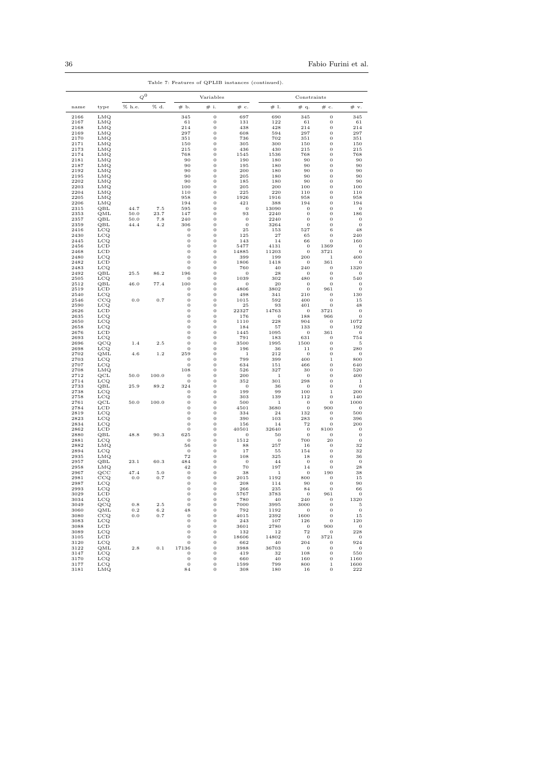|              |                              | $\boldsymbol{Q}^0$ |             | Variables                            |                                      |                       | Constraints        |                                  |                                  |                              |
|--------------|------------------------------|--------------------|-------------|--------------------------------------|--------------------------------------|-----------------------|--------------------|----------------------------------|----------------------------------|------------------------------|
| name         | type                         | % h.e.             | % d.        | # b.                                 | # i.                                 | # c.                  | #1.                | # q.                             | $\#\mathbf{c}.$                  | # v.                         |
| 2166         | LMQ                          |                    |             | 345                                  | $\mathbf 0$                          | 697                   | 690                | 345                              | $\mathbf 0$                      | 345                          |
| 2167         | LMQ                          |                    |             | 61                                   | $\mathbf 0$                          | 131                   | 122                | 61                               | $\mathbf 0$                      | 61                           |
| 2168<br>2169 | <b>LMQ</b><br>LMQ            |                    |             | 214<br>297                           | $\mathbf{0}$<br>$\boldsymbol{0}$     | 438<br>608            | 428<br>594         | 214<br>297                       | $\mathbf 0$<br>$\bf{0}$          | 214<br>297                   |
| 2170         | <b>LMQ</b>                   |                    |             | 351                                  | $\boldsymbol{0}$                     | 736                   | 702                | 351                              | $\bf{0}$                         | 351                          |
| 2171         | LMQ                          |                    |             | 150                                  | $\boldsymbol{0}$                     | 305                   | 300                | 150                              | $\bf{0}$                         | 150                          |
| 2173         | <b>LMQ</b>                   |                    |             | 215                                  | $\boldsymbol{0}$                     | 436                   | 430                | 215                              | $\bf{0}$                         | 215                          |
| 2174<br>2181 | LMQ<br>LMQ                   |                    |             | 768<br>90                            | $\boldsymbol{0}$<br>$\boldsymbol{0}$ | 1545<br>190           | 1536<br>180        | 768<br>90                        | $\bf{0}$<br>$\bf{0}$             | 768<br>90                    |
| 2187         | LMQ                          |                    |             | 90                                   | $\boldsymbol{0}$                     | 195                   | 180                | 90                               | $\bf{0}$                         | 90                           |
| 2192         | LMQ                          |                    |             | 90                                   | $\boldsymbol{0}$                     | 200                   | 180                | 90                               | $\bf{0}$                         | 90                           |
| 2195         | LMQ                          |                    |             | 90                                   | $\boldsymbol{0}$                     | 205                   | 180                | 90                               | $\bf{0}$                         | 90                           |
| 2202         | LMQ<br><b>LMQ</b>            |                    |             | 90<br>100                            | $\boldsymbol{0}$                     | 185                   | 180                | 90                               | $\bf{0}$                         | 90                           |
| 2203<br>2204 | <b>LMQ</b>                   |                    |             | 110                                  | $\bf{0}$<br>$\bf{0}$                 | 205<br>225            | 200<br>220         | 100<br>110                       | $\bf{0}$<br>$\bf{0}$             | 100<br>110                   |
| 2205         | <b>LMQ</b>                   |                    |             | 958                                  | $\bf{0}$                             | 1926                  | 1916               | 958                              | $\bf{0}$                         | 958                          |
| 2206         | LMQ                          |                    |             | 194                                  | $\bf{0}$                             | 421                   | 388                | 194                              | $\bf{0}$                         | 194                          |
| 2315         | QBL                          | 44.7               | 7.5         | 595                                  | $\bf{0}$                             | 0                     | 13090              | 0                                | $\bf{0}$                         | $\bf{0}$                     |
| 2353<br>2357 | QML<br>QBL                   | 50.0<br>50.0       | 23.7<br>7.8 | 147<br>240                           | $\bf{0}$<br>$\bf{0}$                 | 93<br>$\bf{0}$        | 2240<br>2240       | 0<br>0                           | $\bf{0}$<br>$\bf{0}$             | 186<br>$\boldsymbol{0}$      |
| 2359         | QBL                          | 44.4               | 4.2         | 306                                  | $\bf{0}$                             | $\bf{0}$              | 3264               | $\bf{0}$                         | $\mathbf 0$                      | $\mathbf{0}$                 |
| 2416         | LCQ                          |                    |             | $\bf{0}$                             | $\bf{0}$                             | 25                    | 153                | 527                              | 6                                | 48                           |
| 2430         | $_{\rm LCQ}$                 |                    |             | $\boldsymbol{0}$                     | $\boldsymbol{0}$                     | 125                   | 27                 | 65                               | $\bf{0}$                         | 240                          |
| 2445<br>2456 | $_{\rm LCQ}$<br>LCD          |                    |             | $\,0$<br>$\,0$                       | $\bf{0}$<br>$\bf{0}$                 | 143<br>5477           | 14<br>4131         | 66<br>0                          | $\mathbf 0$<br>1369              | 160<br>$\boldsymbol{0}$      |
| 2468         | LCD                          |                    |             | $\boldsymbol{0}$                     | $\bf{0}$                             | 14885                 | 11203              | 0                                | 3721                             | $\boldsymbol{0}$             |
| 2480         | $_{\rm LCQ}$                 |                    |             | $\boldsymbol{0}$                     | $\boldsymbol{0}$                     | 399                   | 199                | 200                              | 1                                | 400                          |
| 2482         | LCD                          |                    |             | $\boldsymbol{0}$                     | $\boldsymbol{0}$                     | 1806                  | 1418               | 0                                | 361                              | 0                            |
| 2483<br>2492 | $_{\rm LCQ}$<br>QBL          | 25.5               | 86.2        | $\boldsymbol{0}$<br>196              | $\boldsymbol{0}$<br>$\boldsymbol{0}$ | 760<br>0              | 40<br>28           | 240<br>0                         | $\bf{0}$<br>$\boldsymbol{0}$     | 1320<br>0                    |
| 2505         | $_{\rm LCQ}$                 |                    |             | $\bf{0}$                             | $\boldsymbol{0}$                     | 1039                  | 302                | 480                              | $\overline{0}$                   | 540                          |
| 2512         | QBL                          | 46.0               | 77.4        | 100                                  | $\boldsymbol{0}$                     | 0                     | 20                 | 0                                | $\boldsymbol{0}$                 | 0                            |
| 2519         | LCD                          |                    |             | $\bf{0}$                             | $\boldsymbol{0}$                     | 4806                  | 3802               | 0                                | 961                              | $\boldsymbol{0}$             |
| 2540<br>2546 | $_{\rm LCQ}$<br>CCQ          | 0.0                | 0.7         | $\boldsymbol{0}$<br>$\boldsymbol{0}$ | $\boldsymbol{0}$<br>$\bf{0}$         | 498<br>1015           | 341<br>592         | 210<br>400                       | $\boldsymbol{0}$<br>$\bf{0}$     | 130<br>15                    |
| 2590         | $_{\rm LCQ}$                 |                    |             | $\boldsymbol{0}$                     | $\bf{0}$                             | 25                    | 93                 | 401                              | $\boldsymbol{0}$                 | 48                           |
| 2626         | LCD                          |                    |             | $\boldsymbol{0}$                     | $\,0$                                | 22327                 | 14763              | 0                                | 3721                             | 0                            |
| 2635         | $_{\rm LCQ}$                 |                    |             | $\boldsymbol{0}$                     | $\,0$                                | 176                   | $\mathbf 0$        | 188                              | 966                              | $\bf{0}$                     |
| 2650<br>2658 | $_{\rm LCQ}$<br>LCQ          |                    |             | $\boldsymbol{0}$<br>$\boldsymbol{0}$ | $\bf{0}$<br>$\bf{0}$                 | 1110<br>184           | 228<br>57          | 904<br>133                       | $\bf{0}$<br>$\boldsymbol{0}$     | 1072<br>192                  |
| 2676         | LCD                          |                    |             | $\mathbf{0}$                         | $\mathbf 0$                          | 1445                  | 1095               | 0                                | 361                              | $\bf{0}$                     |
| 2693         | $_{\text{LCQ}}$              |                    |             | $\mathbf{0}$                         | $\mathbf 0$                          | 791                   | 183                | 631                              | $\boldsymbol{0}$                 | 754                          |
| 2696         | QCQ                          | 1.4                | 2.5         | $\bf{0}$                             | $\mathbf 0$                          | 3500                  | 1995               | 1500                             | $\mathbf 0$                      | 5                            |
| 2698<br>2702 | $_{\rm LCQ}$<br>$_{\rm QML}$ | 4.6                | 1.2         | $\mathbf{0}$<br>259                  | $\mathbf 0$<br>$\mathbf 0$           | 196<br>$\,1\,$        | 36<br>212          | $1\,1$<br>$\bf{0}$               | $\mathbf 0$<br>$\mathbf 0$       | 280<br>$\boldsymbol{0}$      |
| 2703         | $_{\text{LCQ}}$              |                    |             | $\boldsymbol{0}$                     | $\mathbf 0$                          | 799                   | 399                | 400                              | $\,1\,$                          | 800                          |
| 2707         | $_{\rm LCQ}$                 |                    |             | $\boldsymbol{0}$                     | $\mathbf 0$                          | 634                   | 151                | 466                              | $\bf{0}$                         | 640                          |
| 2708         | LMQ                          |                    |             | 108                                  | $\mathbf 0$                          | 526                   | 327                | 30                               | $\bf{0}$                         | 520                          |
| 2712<br>2714 | $\rm QCL$<br>$_{\text{LCQ}}$ | 50.0               | 100.0       | $\boldsymbol{0}$<br>$\mathbf{0}$     | $\mathbf 0$<br>$\mathbf 0$           | 200<br>352            | $1\,$<br>301       | $\bf{0}$<br>298                  | $\bf{0}$<br>$\bf{0}$             | 400<br>$1\,$                 |
| 2733         | QBL                          | 25.9               | 89.2        | 324                                  | $\mathbf 0$                          | 0                     | 36                 | $\bf{0}$                         | $\bf{0}$                         | $\boldsymbol{0}$             |
| 2738         | $_{\rm LCQ}$                 |                    |             | $\boldsymbol{0}$                     | $\mathbf 0$                          | 199                   | 99                 | 100                              | $\,1\,$                          | 200                          |
| 2758         | $_{\rm LCQ}$                 |                    |             | $\mathbf{0}$                         | $\mathbf 0$                          | 303                   | 139                | 112                              | $\bf{0}$                         | 140                          |
| 2761         | QCL<br>LCD                   | 50.0               | 100.0       | $\bf{0}$<br>$\mathbf{0}$             | $\mathbf 0$<br>$\mathbf 0$           | 500<br>4501           | 1<br>3680          | $\bf{0}$                         | $\boldsymbol{0}$<br>900          | 1000                         |
| 2784<br>2819 | LCQ                          |                    |             | $\mathbf{0}$                         | $\mathbf 0$                          | 334                   | 24                 | $\boldsymbol{0}$<br>132          | $\boldsymbol{0}$                 | $\boldsymbol{0}$<br>500      |
| 2823         | $_{\text{LCQ}}$              |                    |             | $\mathbf{0}$                         | $\mathbf 0$                          | 390                   | 103                | 283                              | $\mathbf 0$                      | 396                          |
| 2834         | LCQ                          |                    |             | $\mathbf{0}$                         | $\mathbf 0$                          | 156                   | 14                 | 72                               | $\boldsymbol{0}$                 | 200                          |
| 2862<br>2880 | LCD<br>QBL                   | 48.8               | 90.3        | $\mathbf{0}$<br>625                  | $\mathbf 0$<br>$\mathbf 0$           | 40501<br>$\mathbf{0}$ | 32640              | $\boldsymbol{0}$<br>$\mathbf{0}$ | 8100                             | $\mathbf{0}$<br>$\mathbf{0}$ |
| 2881         | LCQ                          |                    |             | $\mathbf{0}$                         | $\mathbf 0$                          | 1512                  | 50<br>$\mathbf{0}$ | 700                              | $\mathbf 0$<br>20                | $\mathbf{0}$                 |
| 2882         | LMQ                          |                    |             | 56                                   | $\mathbf 0$                          | 88                    | 257                | 16                               | $\mathbf{0}$                     | 32                           |
| 2894         | LCQ                          |                    |             | $\theta$                             | $\mathbf 0$                          | 17                    | 55                 | 154                              | $\mathbf{0}$                     | 32                           |
| 2935         | LMQ                          |                    |             | 72                                   | $\mathbf 0$                          | 108                   | 325                | 18                               | $\mathbf{0}$                     | 36                           |
| 2957<br>2958 | QBL<br>LMQ                   | 23.1               | 60.3        | 484<br>42                            | $\mathbf 0$<br>$\mathbf 0$           | $\theta$<br>70        | 44<br>197          | $\mathbf{0}$<br>14               | $\mathbf{0}$<br>$\mathbf{0}$     | $\overline{0}$<br>28         |
| 2967         | $_{\rm QCC}$                 | 47.4               | 5.0         | $\boldsymbol{0}$                     | $\mathbf 0$                          | 38                    | 1                  | $\mathbf{0}$                     | 190                              | 38                           |
| 2981         | CCQ                          | 0.0                | 0.7         | $\boldsymbol{0}$                     | $\mathbf 0$                          | 2015                  | 1192               | 800                              | $\mathbf{0}$                     | 15                           |
| 2987         | $_{\rm LCQ}$                 |                    |             | $\mathbf{0}$                         | $\mathbf 0$                          | 208                   | 114                | 90                               | $\mathbf 0$                      | 90                           |
| 2993<br>3029 | LCQ<br>LCD                   |                    |             | 0<br>$\mathbf 0$                     | v<br>0                               | -266<br>5767          | -235<br>3783       | 84<br>$\overline{0}$             | - 0<br>961                       | 66<br>$\overline{0}$         |
| 3034         | $_{\rm LCQ}$                 |                    |             | $\mathbf 0$                          | 0                                    | 780                   | 40                 | 240                              | $\overline{0}$                   | 1320                         |
| 3049         | QCQ                          | 0.8                | $2.5\,$     | $\mathbf{0}$                         | 0                                    | 7000                  | 3995               | 3000                             | $\overline{0}$                   | - 5                          |
| 3060         | QML                          | 0.2                | $6.2\,$     | 48                                   | 0                                    | 792                   | 1192               | $\sim$ 0                         | $\overline{0}$                   | $\overline{0}$               |
| 3080<br>3083 | CCQ<br>$_{\rm LCQ}$          | $_{0.0}$           | 0.7         | $\mathbf{0}$<br>$\overline{0}$       | 0<br>$\mathbf 0$                     | 4015<br>243           | 2392<br>107        | 1600<br>126                      | $\overline{0}$<br>$\overline{0}$ | 15<br>120                    |
| 3088         | LCD                          |                    |             | $\mathbf 0$                          | $\mathbf 0$                          | 3601                  | 2780               | $\overline{\phantom{0}}$         | 900                              | $\overline{0}$               |
| 3089         | LCQ                          |                    |             | $\mathbf 0$                          | $\mathbf 0$                          | 132                   | <b>12</b>          | 72                               | $\overline{\phantom{0}}$         | 228                          |
| 3105         | LCD                          |                    |             | $\mathbf 0$                          | $\boldsymbol{0}$                     | 18606                 | 14802              | $\overline{0}$                   | 3721                             | $\overline{\phantom{0}}$     |
| 3120<br>3122 | LCQ<br>QML                   | 2.8                | 0.1         | $\mathbf 0$<br>17136                 | $\boldsymbol{0}$<br>$\boldsymbol{0}$ | 662<br>3988           | 40<br>36703        | 204<br>$\overline{0}$            | $\overline{0}$<br>$\bf{0}$       | 924<br>$\overline{0}$        |
| 3147         | LCQ                          |                    |             | $\boldsymbol{0}$                     | $\mathbf 0$                          | 419                   | 32                 | 108                              | $\mathbf{0}$                     | 550                          |
| 3170         | LCQ                          |                    |             | $\boldsymbol{0}$                     | $\bf{0}$                             | 660                   | 40                 | 160                              | $\bf{0}$                         | 1160                         |

3177 LCQ 0 0 1599 799 800 1 1600 3181 LMQ 84 0 308 180 16 0 222

Table 7: Features of QPLIB instances (continued).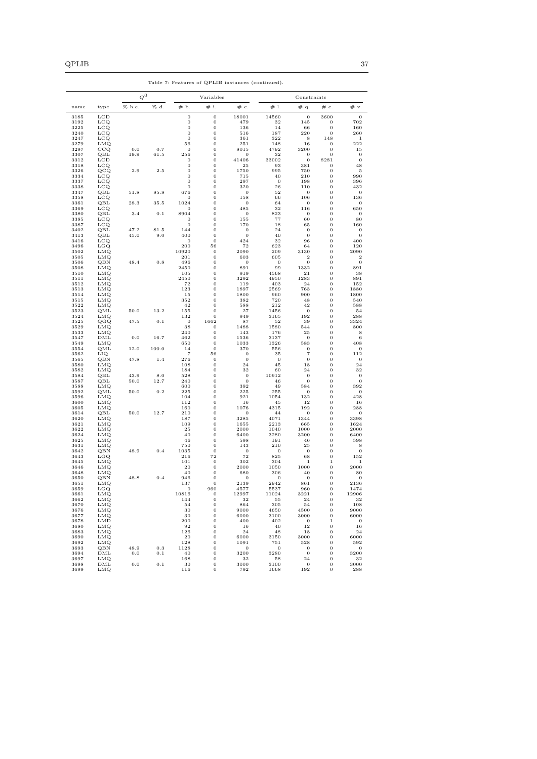|              |                                 | $Q^0$  |       |                                  | Variables                    |                         |                     | Constraints                       |                                      |                                         |  |
|--------------|---------------------------------|--------|-------|----------------------------------|------------------------------|-------------------------|---------------------|-----------------------------------|--------------------------------------|-----------------------------------------|--|
| name         | type                            | % h.e. | % d.  | # b.                             | # i.                         | # c.                    | #1.                 | # q.                              | $\#\;$ c.                            | # v.                                    |  |
| 3185         | <b>LCD</b>                      |        |       | $\boldsymbol{0}$                 | $\bf{0}$                     | 18001                   | 14560               | $\mathbf{0}$                      | 3600                                 | $\boldsymbol{0}$                        |  |
| 3192         | $_{\text{LCQ}}$                 |        |       | $\boldsymbol{0}$                 | $\bf{0}$                     | 479                     | 32                  | 145                               | 0                                    | 702                                     |  |
| 3225         | $_{\rm LCQ}$                    |        |       | $\boldsymbol{0}$                 | $\bf{0}$                     | 136                     | 14                  | 66                                | $\bf{0}$                             | 160                                     |  |
| 3240<br>3247 | $_{\rm LCQ}$<br>$_{\text{LCQ}}$ |        |       | $\boldsymbol{0}$<br>$\mathbf 0$  | $\bf{0}$<br>$\bf{0}$         | 516<br>361              | 187<br>322          | 220<br>8                          | $\bf{0}$<br>148                      | 260<br>1                                |  |
| 3279         | LMQ                             |        |       | 56                               | $\bf{0}$                     | 251                     | 148                 | 16                                | $\bf{0}$                             | 222                                     |  |
| 3297         | CCQ                             | 0.0    | 0.7   | $\mathbf{0}$                     | $\bf{0}$                     | 8015                    | 4792                | 3200                              | 0                                    | 15                                      |  |
| 3307         | QBL                             | 19.9   | 61.5  | 256                              | $\bf{0}$                     | $\mathbf{0}$            | 32                  | $\boldsymbol{0}$                  | $\mathbf{0}$                         | $\mathbf 0$                             |  |
| 3312         | LCD                             |        |       | $\boldsymbol{0}$                 | $\bf{0}$                     | 41406                   | 33002               | $\boldsymbol{0}$                  | 8281                                 | $\mathbf{0}$                            |  |
| 3318<br>3326 | $_{\rm LCQ}$<br>QCQ             | 2.9    | 2.5   | $\boldsymbol{0}$<br>$\mathbf{0}$ | $\bf{0}$<br>$\bf{0}$         | 25<br>1750              | 93<br>995           | 381<br>750                        | 0<br>$\bf{0}$                        | 48<br>5                                 |  |
| 3334         | $_{\rm LCQ}$                    |        |       | $\mathbf 0$                      | $\bf{0}$                     | 715                     | 40                  | 210                               | $\bf{0}$                             | 990                                     |  |
| 3337         | $_{\text{LCQ}}$                 |        |       | $\boldsymbol{0}$                 | $\bf{0}$                     | 297                     | $\overline{0}$      | 198                               | $\bf{0}$                             | 396                                     |  |
| 3338         | $_{\rm LCQ}$                    |        |       | $\mathbf 0$                      | $\bf{0}$                     | 320                     | 26                  | 110                               | $\bf{0}$                             | 432                                     |  |
| 3347         | QBL                             | 51.8   | 85.8  | 676                              | $\bf{0}$                     | $\theta$                | 52                  | $\mathbf{0}$                      | $\bf{0}$                             | $\mathbf 0$                             |  |
| 3358<br>3361 | $_{\rm LCQ}$<br>QBL             | 28.3   | 35.5  | $\theta$<br>1024                 | $\bf{0}$<br>$\bf{0}$         | 158<br>$\mathbf{0}$     | 66<br>64            | 106<br>$\mathbf{0}$               | $\bf{0}$<br>$\bf{0}$                 | 136<br>$\overline{0}$                   |  |
| 3369         | $_{\rm LCQ}$                    |        |       | $\Omega$                         | $\bf{0}$                     | 485                     | 32                  | 116                               | $\bf{0}$                             | 650                                     |  |
| 3380         | QBL                             | 3.4    | 0.1   | 8904                             | $\bf{0}$                     | $\mathbf{0}$            | 823                 | $\boldsymbol{0}$                  | $\bf{0}$                             | $\boldsymbol{0}$                        |  |
| 3385         | $_{\text{LCQ}}$                 |        |       | 0                                | $\bf{0}$                     | 155                     | 77                  | 60                                | $\bf{0}$                             | 80                                      |  |
| 3387<br>3402 | $_{\rm LCQ}$<br>QBL             | 47.2   | 81.5  | $\mathbf{0}$<br>144              | $\mathbf{0}$<br>$\mathbf{0}$ | 170<br>$\theta$         | 18<br>24            | 65<br>$\mathbf{0}$                | $\mathbf{0}$<br>$\mathbf 0$          | 160<br>$\mathbf{0}$                     |  |
| 3413         | QBL                             | 45.0   | 9.0   | 400                              | $\mathbf{0}$                 | $\mathbf{0}$            | 40                  | $\mathbf{0}$                      | $\mathbf{0}$                         | $\mathbf{0}$                            |  |
| 3416         | $_{\rm LCQ}$                    |        |       | $\mathbf{0}$                     | $\mathbf{0}$                 | 424                     | 32                  | 96                                | $\mathbf{0}$                         | 400                                     |  |
| 3496         | LGQ                             |        |       | 200                              | 56                           | 72                      | 623                 | 64                                | $\mathbf{0}$                         | 120                                     |  |
| 3502         | LMQ                             |        |       | 10920                            | $\mathbf{0}$                 | 2090                    | 209                 | 3130                              | $\mathbf{0}$                         | 2090                                    |  |
| 3505<br>3506 | LMQ<br>QBN                      | 48.4   | 0.8   | 201<br>496                       | $\mathbf{0}$<br>$\mathbf{0}$ | 603<br>$\mathbf{0}$     | 605<br>$\mathbf{0}$ | $\,2$<br>$\mathbf{0}$             | $\mathbf{0}$<br>$\mathbf{0}$         | $\overline{\mathbf{2}}$<br>$\mathbf{0}$ |  |
| 3508         | LMQ                             |        |       | 2450                             | $\mathbf{0}$                 | 891                     | 99                  | 1332                              | $\mathbf{0}$                         | 891                                     |  |
| 3510         | LMQ                             |        |       | 105                              | 0                            | 919                     | 4568                | 21                                | $\mathbf{0}$                         | 38                                      |  |
| 3511         | LMQ                             |        |       | 2450                             | $\mathbf{0}$                 | 3292                    | 4950                | 1283                              | $\mathbf{0}$                         | 891                                     |  |
| 3512         | LMQ                             |        |       | 72                               | $\mathbf{0}$                 | 119                     | 403                 | 24                                | $\mathbf{0}$                         | 152                                     |  |
| 3513<br>3514 | LMQ<br>LMQ                      |        |       | 123<br>15                        | $\mathbf{0}$<br>$\mathbf{0}$ | 1897<br>1800            | 2569<br>960         | 763<br>900                        | $\mathbf{0}$<br>$\mathbf{0}$         | 1880<br>1800                            |  |
| 3515         | LMQ                             |        |       | 352                              | $\mathbf{0}$                 | 382                     | 720                 | 48                                | $\mathbf{0}$                         | 540                                     |  |
| 3522         | LMQ                             |        |       | 42                               | 0                            | 588                     | 212                 | 42                                | $\mathbf{0}$                         | 588                                     |  |
| 3523         | QML                             | 50.0   | 13.2  | 155                              | 0                            | 27                      | 1456                | $\mathbf{0}$                      | $\mathbf{0}$                         | 54                                      |  |
| 3524         | LMQ                             |        |       | 132                              | 0                            | 949                     | 3165                | 192                               | $\mathbf{0}$                         | 288                                     |  |
| 3525<br>3529 | QGQ<br>LMQ                      | 47.5   | 0.1   | $\mathbf{0}$<br>38               | 1662<br>$\mathbf 0$          | 87<br>1488              | 52<br>1580          | 39<br>544                         | $\mathbf{0}$<br>$\mathbf{0}$         | 3324<br>800                             |  |
| 3533         | LMQ                             |        |       | 240                              | 0                            | 143                     | 176                 | 25                                | 0                                    | 8                                       |  |
| 3547         | DML                             | 0.0    | 16.7  | 462                              | $\bf{0}$                     | 1536                    | 3137                | $\mathbf{0}$                      | 0                                    | 6                                       |  |
| 3549         | LMQ                             |        |       | 650                              | $\bf{0}$                     | 1033                    | 1326                | 583                               | 0                                    | 408                                     |  |
| 3554         | QML                             | 12.0   | 100.0 | 14                               | $\bf{0}$                     | 370                     | 556                 | $\boldsymbol{0}$                  | 0<br>0                               | $\bf{0}$                                |  |
| 3562<br>3565 | LIQ<br>QBN                      | 47.8   | 1.4   | $\overline{7}$<br>276            | 56<br>$\bf{0}$               | $\mathbf 0$<br>$\bf{0}$ | 35<br>$\mathbf{0}$  | $\scriptstyle{7}$<br>$\mathbf{0}$ | 0                                    | 112<br>$\mathbf 0$                      |  |
| 3580         | LMQ                             |        |       | 108                              | 0                            | 24                      | 45                  | 18                                | $\mathbf{0}$                         | 24                                      |  |
| 3582         | LMQ                             |        |       | 184                              | 0                            | 32                      | 60                  | 24                                | $\mathbf 0$                          | 32                                      |  |
| 3584         | QBL                             | 43.9   | 8.0   | 528                              | 0                            | $\mathbf 0$             | 10912               | $\mathbf 0$                       | $\bf{0}$                             | $\boldsymbol{0}$                        |  |
| 3587<br>3588 | QBL<br>LMQ                      | 50.0   | 12.7  | 240<br>600                       | 0<br>0                       | $\mathbf{0}$<br>392     | 46<br>49            | $\mathbf{0}$<br>584               | $\mathbf{0}$<br>$\mathbf{0}$         | $\boldsymbol{0}$<br>392                 |  |
| 3592         | QML                             | 50.0   | 0.2   | 225                              | 0                            | 225                     | 255                 | $\mathbf{0}$                      | $\mathbf{0}$                         | $\boldsymbol{0}$                        |  |
| 3596         | LMQ                             |        |       | 104                              | 0                            | 921                     | 1054                | 132                               | $\mathbf{0}$                         | 428                                     |  |
| 3600         | LMQ                             |        |       | 112                              | 0                            | 16                      | 45                  | 12                                | $\mathbf{0}$                         | 16                                      |  |
| 3605         | LMQ                             |        |       | 160                              | 0                            | 1076                    | 4315                | 192                               | $\bf{0}$                             | 288                                     |  |
| 3614<br>3620 | QBL<br>LMQ                      | 50.0   | 12.7  | 210<br>187                       | 0<br>0                       | 0<br>3285               | 44<br>4071          | $\mathbf{0}$<br>1344              | $\bf{0}$<br>0                        | $\boldsymbol{0}$<br>3398                |  |
| 3621         | LMQ                             |        |       | 109                              | 0                            | 1655                    | 2213                | 665                               | $\bf{0}$                             | 1624                                    |  |
| 3622         | LMQ                             |        |       | 25                               | 0                            | 2000                    | 1040                | 1000                              | 0                                    | 2000                                    |  |
| 3624         | LMQ                             |        |       | 40                               | 0                            | 6400                    | 3280                | 3200                              | 0                                    | 6400                                    |  |
| 3625         | LMQ                             |        |       | 46                               | 0                            | 598                     | 191                 | 46                                | $\bf{0}$                             | 598                                     |  |
| 3631<br>3642 | LMQ<br>QBN                      | 48.9   | 0.4   | 750<br>1035                      | $\bf{0}$<br>$\bf{0}$         | 143<br>$\mathbf 0$      | 210<br>0            | 25<br>$\mathbf 0$                 | $\bf{0}$<br>$\bf{0}$                 | 8<br>$\boldsymbol{0}$                   |  |
| 3643         | LGQ                             |        |       | 216                              | 72                           | 72                      | 825                 | 68                                | $\bf{0}$                             | 152                                     |  |
| 3645         | LMQ                             |        |       | 101                              | $\bf{0}$                     | 302                     | 304                 | 1                                 | 1                                    | $\mathbf{1}$                            |  |
| 3646         | LMQ                             |        |       | 20                               | 0                            | 2000                    | 1050                | 1000                              | 0                                    | 2000                                    |  |
| 3648         | LMQ                             |        |       | 40                               | 0                            | 680                     | 306                 | 40                                | 0                                    | 80                                      |  |
| 3650<br>3651 | QBN<br>LMQ                      | 48.8   | 0.4   | 946<br>137                       | 0<br>0                       | $\theta$<br>2139        | 0<br>2942           | 0<br>861                          | 0<br>0                               | $\mathbf 0$<br>2136                     |  |
| 3659         | LGQ                             |        |       | $\,0$                            | 960                          | 4577                    | 5537                | 960                               | $\boldsymbol{0}$                     | 1474                                    |  |
| 3661         | LMQ                             |        |       | 10816                            | $\boldsymbol{0}$             | 12997                   | 11024               | 3221                              | $\boldsymbol{0}$                     | 12906                                   |  |
| 3662         | LMQ                             |        |       | 144                              | 0                            | $^{\rm 32}$             | 55                  | $\bf{^{24}}$                      | $\boldsymbol{0}$                     | $^{\rm 32}$                             |  |
| 3670<br>3676 | LMQ<br>LMQ                      |        |       | 54<br>$_{\rm 30}$                | $\bf{0}$<br>$\bf{0}$         | 864<br>9000             | 305<br>4650         | 54<br>4500                        | $\boldsymbol{0}$<br>$\boldsymbol{0}$ | 108<br>9000                             |  |
| 3677         | LMQ                             |        |       | $_{\rm 30}$                      | 0                            | 6000                    | 3100                | 3000                              | $\boldsymbol{0}$                     | 6000                                    |  |
| 3678         | LMD                             |        |       | 200                              | 0                            | 400                     | 402                 | $\bf{0}$                          | $\,1$                                | $\mathbf 0$                             |  |
| 3680         | <b>LMQ</b>                      |        |       | 92                               | 0                            | 16                      | 40                  | $1\,2$                            | $\boldsymbol{0}$                     | 16                                      |  |
| 3683         | LMQ                             |        |       | 126                              | $\bf{0}$                     | 24                      | 48                  | 18                                | $\boldsymbol{0}$                     | 24                                      |  |
| 3690         | LMQ<br>LMQ                      |        |       | $\bf{20}$<br>128                 | $\mathbf 0$<br>$\mathbf 0$   | 6000<br>1091            | 3150<br>751         | 3000<br>528                       | $\bf{0}$<br>$\boldsymbol{0}$         | 6000<br>592                             |  |
| 3692<br>3693 | QBN                             | 48.9   | 0.3   | 1128                             | $\mathbf 0$                  | $\mathbf 0$             | $\mathbf 0$         | $\mathbf 0$                       | $\boldsymbol{0}$                     | $\mathbf{0}$                            |  |
| 3694         | DML                             | 0.0    | 0.1   | 40                               | $\mathbf 0$                  | 3200                    | 3280                | $\mathbf 0$                       | $\boldsymbol{0}$                     | 3200                                    |  |
| 3697         | LMQ                             |        |       | 168                              | $\mathbf{0}$                 | $^{\rm 32}$             | 58                  | 24                                | $\boldsymbol{0}$                     | 32                                      |  |
| 3698         | DML                             | 0.0    | 0.1   | 30                               | $\mathbf 0$                  | 3000                    | 3100                | $\mathbf 0$                       | 0                                    | 3000                                    |  |
| 3699         | LMQ                             |        |       | 116                              | $\bf{0}$                     | 792                     | 1668                | 192                               | 0                                    | 288                                     |  |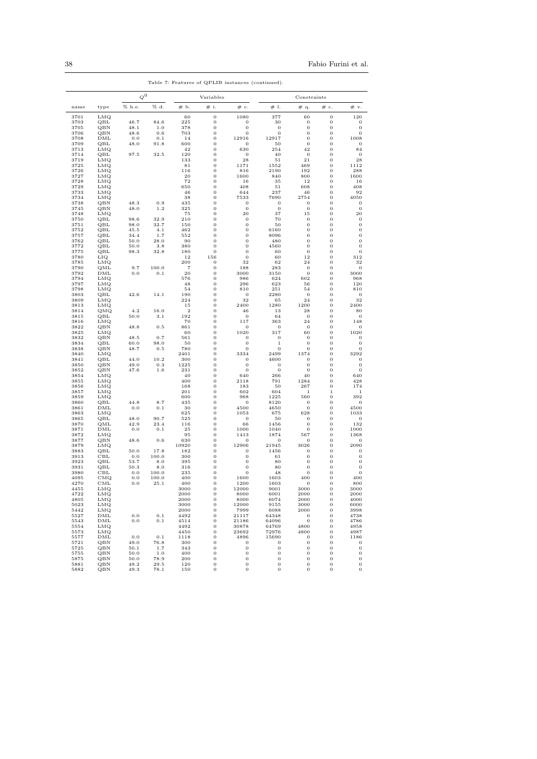|              |                              |              | $Q^0$          |                       | Variables                    |                              |                              | Constraints                      |                                  |                              |  |
|--------------|------------------------------|--------------|----------------|-----------------------|------------------------------|------------------------------|------------------------------|----------------------------------|----------------------------------|------------------------------|--|
| name         | type                         | % h.e.       | % d.           | #Ь.                   | # i.                         | $\#$ c.                      | # 1.                         | # q.                             | $\#\;c.$                         | # v.                         |  |
| 3701         | LMQ                          |              |                | 60                    | $\,0$                        | 1080                         | 377                          | 60                               | $\boldsymbol{0}$                 | 120                          |  |
| 3703<br>3705 | QBL<br>QBN                   | 46.7<br>48.1 | 84.6           | 225<br>378            | $\bf{0}$<br>$\bf{0}$         | 0<br>0                       | 30<br>$\mathbf{0}$           | 0<br>0                           | 0<br>0                           | 0<br>0                       |  |
| 3706         | QBN                          | 48.6         | 1.0<br>0.6     | 703                   | $\mathbf{0}$                 | 0                            | $\mathbf{0}$                 | 0                                | $\mathbf{0}$                     | $\mathbf 0$                  |  |
| 3708         | DML                          | 0.0          | 0.1            | 14                    | $\mathbf{0}$                 | 12916                        | 12917                        | $\mathbf 0$                      | $\overline{0}$                   | 1008                         |  |
| 3709         | QBL                          | 48.0         | 91.8           | 600                   | $\mathbf{0}$                 | 0                            | 50                           | $\bf{0}$                         | $\overline{0}$                   | $\bf{0}$                     |  |
| 3713<br>3714 | LMQ<br>QBL                   | 97.5         | 32.5           | 42<br>120             | $\mathbf{0}$<br>$\mathbf{0}$ | 630<br>0                     | 254<br>40                    | 42<br>$\bf{0}$                   | $\overline{0}$<br>$\overline{0}$ | 84<br>$\mathbf{0}$           |  |
| 3719         | LMQ                          |              |                | 133                   | $\mathbf{0}$                 | 28                           | 51                           | 21                               | $\overline{0}$                   | 28                           |  |
| 3725         | LMQ                          |              |                | 81                    | $\mathbf{0}$                 | 1171                         | 1552                         | 469                              | $\overline{0}$                   | 1112                         |  |
| 3726         | LMQ                          |              |                | 116                   | $\mathbf{0}$                 | 816                          | 2190                         | 192                              | $\overline{0}$                   | 288                          |  |
| 3727         | LMQ                          |              |                | 20<br>72              | $\mathbf{0}$<br>$\mathbf{0}$ | 1600                         | 840<br>35                    | 800<br>12                        | $\mathbf{0}$<br>$\mathbf{0}$     | 1600<br>16                   |  |
| 3728<br>3729 | LMQ<br>LMQ                   |              |                | 650                   | $\mathbf{0}$                 | 16<br>408                    | 51                           | 608                              | $\overline{0}$                   | 408                          |  |
| 3733         | LMQ                          |              |                | 46                    | $\mathbf{0}$                 | 644                          | 237                          | 46                               | $\overline{0}$                   | 92                           |  |
| 3734         | LMQ                          |              |                | 38                    | $\mathbf{0}$                 | 7533                         | 7690                         | 2754                             | $\overline{0}$                   | 4050                         |  |
| 3738<br>3745 | $_{\rm QBN}$<br>$_{\rm QBN}$ | 48.3<br>48.0 | 0.9<br>$1.2\,$ | 435<br>325            | $\mathbf{0}$<br>$\mathbf{0}$ | $\bf{0}$<br>$\bf{0}$         | $\mathbf{0}$<br>$\mathbf 0$  | 0<br>$\bf{0}$                    | $\overline{0}$<br>$\overline{0}$ | $\bf{0}$<br>$\mathbf 0$      |  |
| 3748         | LMQ                          |              |                | 75                    | $\mathbf{0}$                 | 20                           | 37                           | 15                               | $\overline{0}$                   | 20                           |  |
| 3750         | $_{\rm QBL}$                 | 98.6         | 32.9           | 210                   | $\mathbf{0}$                 | 0                            | 70                           | 0                                | $\overline{0}$                   | $\bf{0}$                     |  |
| 3751         | QBL                          | 98.0         | 32.7           | 150                   | $\mathbf{0}$                 | 0                            | 50                           | $\overline{0}$                   | $\bf{0}$                         | $\mathbf 0$                  |  |
| 3752<br>3757 | QBL<br>QBL                   | 45.5<br>34.4 | 4.1<br>1.7     | 462<br>552            | $\mathbf{0}$<br>$\mathbf{0}$ | $\mathbf{0}$<br>$\mathbf{0}$ | 6160<br>8096                 | $\mathbf{0}$<br>$\mathbf{0}$     | $\mathbf 0$<br>$\mathbf 0$       | $\mathbf{0}$<br>$\mathbf{0}$ |  |
| 3762         | QBL                          | 50.0         | 28.0           | 90                    | $\mathbf{0}$                 | 0                            | 480                          | $\mathbf{0}$                     | $\mathbf 0$                      | $\mathbf{0}$                 |  |
| 3772         | QBL                          | 50.0         | 3.8            | 380                   | $\mathbf{0}$                 | 0                            | 4560                         | $\mathbf{0}$                     | $\mathbf{0}$                     | $\mathbf{0}$                 |  |
| 3775         | QBL                          | 98.3         | 32.8           | 180                   | $\mathbf{0}$                 | 0                            | 60                           | $\mathbf{0}$                     | $\mathbf{0}$                     | $\mathbf{0}$                 |  |
| 3780         | LIQ                          |              |                | 12                    | 156                          | $\mathbf{0}$                 | 60                           | 12                               | $\mathbf{0}$                     | 312                          |  |
| 3785<br>3790 | LMQ<br>QML                   | 9.7          | 100.0          | 200<br>$\overline{7}$ | $\mathbf{0}$<br>$\mathbf{0}$ | 32<br>188                    | 62<br>283                    | 24<br>$\mathbf{0}$               | $\mathbf{0}$<br>$\mathbf{0}$     | 32<br>$\mathbf{0}$           |  |
| 3792         | DML                          | 0.0          | 0.1            | 20                    | $\mathbf{0}$                 | 3000                         | 3150                         | $\mathbf{0}$                     | $\mathbf{0}$                     | 3000                         |  |
| 3794         | LMQ                          |              |                | 576                   | $\mathbf{0}$                 | 986                          | 624                          | 602                              | $\mathbf 0$                      | 968                          |  |
| 3797         | LMQ                          |              |                | 48                    | $\mathbf{0}$                 | 296                          | 623                          | 56                               | $\mathbf{0}$                     | 120                          |  |
| 3798<br>3803 | LMQ<br>QBL                   | 42.6         | 14.1           | 54<br>190             | $\mathbf{0}$<br>$\mathbf{0}$ | 810<br>0                     | 251<br>2280                  | 54<br>$\mathbf{0}$               | $\mathbf{0}$<br>$\mathbf{0}$     | 810<br>$\overline{0}$        |  |
| 3809         | LMQ                          |              |                | 224                   | $\mathbf{0}$                 | 32                           | 65                           | 24                               | $\mathbf{0}$                     | 32                           |  |
| 3813         | LMQ                          |              |                | 15                    | $\mathbf{0}$                 | 2400                         | 1280                         | 1200                             | $\mathbf{0}$                     | 2400                         |  |
| 3814         | QMQ                          | 4.2          | 16.0           | $\overline{2}$        | $\mathbf{0}$                 | 46                           | 13                           | 28                               | $\mathbf{0}$                     | 80                           |  |
| 3815<br>3816 | QBL<br>LMQ                   | 50.0         | 3.1            | 192<br>70             | $\mathbf{0}$<br>$\mathbf{0}$ | $\mathbf{0}$<br>117          | 64<br>363                    | $\mathbf{0}$<br>24               | $\mathbf{0}$<br>$\mathbf{0}$     | $\overline{0}$<br>148        |  |
| 3822         | QBN                          | 48.8         | 0.5            | 861                   | $\mathbf{0}$                 | 0                            | $\mathbf{0}$                 | $\mathbf{0}$                     | $\mathbf{0}$                     | $\mathbf{0}$                 |  |
| 3825         | LMQ                          |              |                | 60                    | $\bf{0}$                     | 1020                         | 317                          | 60                               | $\bf{0}$                         | 1020                         |  |
| 3832         | QBN                          | 48.5         | 0.7            | 561                   | $\bf{0}$                     | 0                            | $\mathbf{0}$                 | $\bf{0}$                         | $\bf{0}$                         | 0                            |  |
| 3834<br>3838 | QBL<br>QBN                   | 60.0<br>48.7 | 98.0<br>0.5    | 50<br>780             | $\bf{0}$<br>$\bf{0}$         | 0<br>$\bf{0}$                | 1<br>$\mathbf{0}$            | $\bf{0}$<br>$\bf{0}$             | 0<br>0                           | $\bf{0}$<br>$\bf{0}$         |  |
| 3840         | LMQ                          |              |                | 2401                  | $\bf{0}$                     | 3334                         | 2499                         | 1374                             | 0                                | 3292                         |  |
| 3841         | QBL                          | 44.0         | 10.2           | 300                   | $\bf{0}$                     | 0                            | 4600                         | 0                                | 0                                | $\boldsymbol{0}$             |  |
| 3850         | QBN                          | 49.0         | 0.3            | 1225                  | $\bf{0}$                     | 0                            | $\bf{0}$                     | 0                                | 0                                | $\bf{0}$                     |  |
| 3852<br>3854 | QBN<br>LMQ                   | 47.6         | 1.6            | 231<br>40             | $\bf{0}$<br>$\bf{0}$         | 0<br>640                     | $\mathbf{0}$<br>266          | 0<br>40                          | 0<br>0                           | $\bf{0}$<br>640              |  |
| 3855         | LMQ                          |              |                | 400                   | $\bf{0}$                     | 2118                         | 791                          | 1284                             | 0                                | 428                          |  |
| 3856         | LMQ                          |              |                | 168                   | $\bf{0}$                     | 183                          | 50                           | 267                              | 0                                | 174                          |  |
| 3857         | LMQ                          |              |                | 201                   | $\bf{0}$                     | 602                          | 604                          | $\,1\,$                          | $1\,$                            | $\mathbf{1}$                 |  |
| 3859<br>3860 | LMQ<br>QBL                   | 44.8         | 8.7            | 600<br>435            | $\bf{0}$<br>$\bf{0}$         | 968                          | 1225<br>8120                 | 560<br>0                         | 0<br>0                           | 392                          |  |
| 3861         | DML                          | 0.0          | 0.1            | 30                    | $\bf{0}$                     | 0<br>4500                    | 4650                         | 0                                | 0                                | 0<br>4500                    |  |
| 3863         | LMQ                          |              |                | 625                   | $\bf{0}$                     | 1053                         | 675                          | 628                              | 0                                | 1033                         |  |
| 3865         | QBL                          | 48.0         | 90.7           | 525                   | $\bf{0}$                     | $\bf{0}$                     | 50                           | 0                                | 0                                | $\boldsymbol{0}$             |  |
| 3870<br>3871 | QML<br>DML                   | 42.9<br>0.0  | 23.4<br>0.1    | 116<br>25             | $\bf{0}$<br>$\bf{0}$         | 66<br>1000                   | 1456<br>1040                 | 0<br>0                           | 0<br>0                           | 132<br>1000                  |  |
| 3872         | LMQ                          |              |                | 95                    | $\bf{0}$                     | 1413                         | 1874                         | 567                              | 0                                | 1368                         |  |
| 3877         | QBN                          | 48.6         | 0.6            | 630                   | $\bf{0}$                     | 0                            | 0                            | 0                                | 0                                | 0                            |  |
| 3879         | LMQ                          |              |                | 10920                 | $\bf{0}$                     | 12906                        | 21945                        | 3026                             | 0                                | 2090                         |  |
| 3883         | QBL<br>CBL                   | 50.0<br>0.0  | 17.8<br>100.0  | 182<br>300            | $\bf{0}$<br>$\bf{0}$         | 0                            | 1456<br>61                   | 0<br>0                           | 0<br>0                           | 0<br>0                       |  |
| 3913<br>3923 | QBL                          | 53.7         | 8.0            | 395                   | $\bf{0}$                     | 0<br>0                       | 80                           | 0                                | 0                                | 0                            |  |
| 3931         | QBL                          | 50.3         | 8.0            | 316                   | $\bf{0}$                     | 0                            | 80                           | 0                                | 0                                | 0                            |  |
| 3980         | CBL                          | $_{0.0}$     | 100.0          | 235                   | $\bf{0}$                     | 0                            | 48                           | 0                                | 0                                | 0                            |  |
| 4095         | CMQ                          | 0.0          | 100.0          | 400                   | $\bf{0}$                     | 1600                         | 1603                         | 400                              | 0                                | 400                          |  |
| 4270<br>4455 | CML<br>LMQ                   | 0.0          | 25.1           | 400<br>3000           | $\boldsymbol{0}$<br>0        | 1200<br>12000                | 1603<br>9001                 | 0<br>3000                        | 0<br>0                           | 800<br>3000                  |  |
| 4722         | LMQ                          |              |                | 2000                  | 0                            | 8000                         | 6001                         | 2000                             | $\bf{0}$                         | 2000                         |  |
| 4805         | LMQ                          |              |                | 2000                  | 0                            | 8000                         | 6074                         | 2000                             | $\bf{0}$                         | 4000                         |  |
| 5023         | LMQ                          |              |                | 3000                  | $\boldsymbol{0}$             | 12000                        | 9155                         | 3000                             | $\mathbf 0$                      | 6000                         |  |
| 5442<br>5527 | LMQ<br>DML                   | $_{\rm 0.0}$ |                | 2000                  | 0                            | 7999                         | 6088                         | 2000                             | $\bf{0}$                         | 3998                         |  |
| 5543         | DML                          | 0.0          | 0.1<br>0.1     | 4492<br>4514          | $\bf{0}$<br>0                | 21117<br>21186               | 64348<br>64096               | $\overline{0}$<br>$\overline{0}$ | $\bf{0}$<br>$\bf{0}$             | 4738<br>4786                 |  |
| 5554         | LMQ                          |              |                | 4492                  | 0                            | 30878                        | 64769                        | 4800                             | $\bf{0}$                         | 4958                         |  |
| 5573         | LMQ                          |              |                | 4450                  | $\boldsymbol{0}$             | 23692                        | 72976                        | 4800                             | $\bf{0}$                         | 4987                         |  |
| 5577         | DML                          | $0.0\,$      | $0.1\,$        | 1118                  | $\mathbf 0$                  | 4896                         | 15690                        | $\bf{0}$                         | $\mathbf 0$<br>$\mathbf 0$       | 1186                         |  |
| 5721<br>5725 | QBN<br>QBN                   | 49.0<br>50.1 | 76.8<br>1.7    | 300<br>343            | $\mathbf 0$<br>$\mathbf 0$   | $\mathbf{0}$<br>$\mathbf{0}$ | $\mathbf{0}$<br>$\mathbf{0}$ | $\,0\,$<br>$\mathbf 0$           | $\mathbf 0$                      | $\mathbf{0}$<br>$\bf{0}$     |  |
| 5755         | QBN                          | 50.0         | 1.0            | 400                   | $\mathbf 0$                  | $\mathbf 0$                  | $\mathbf{0}$                 | $\,0\,$                          | $\mathbf 0$                      | $\bf{0}$                     |  |
| 5875         | QBN                          | 50.0         | 78.9           | 200                   | $\mathbf 0$                  | $\mathbf 0$                  | $\mathbf 0$                  | $\bf{0}$                         | $\mathbf 0$                      | 0                            |  |
| 5881         | QBN                          | 49.2         | 29.5           | 120                   | $\boldsymbol{0}$             | $\mathbf 0$                  | $\bf{0}$                     | $\boldsymbol{0}$                 | $\boldsymbol{0}$                 | $\boldsymbol{0}$             |  |

5882 QBN 49.3 78.1 150 0 0 0 0 0 0

Table 7: Features of QPLIB instances (continued).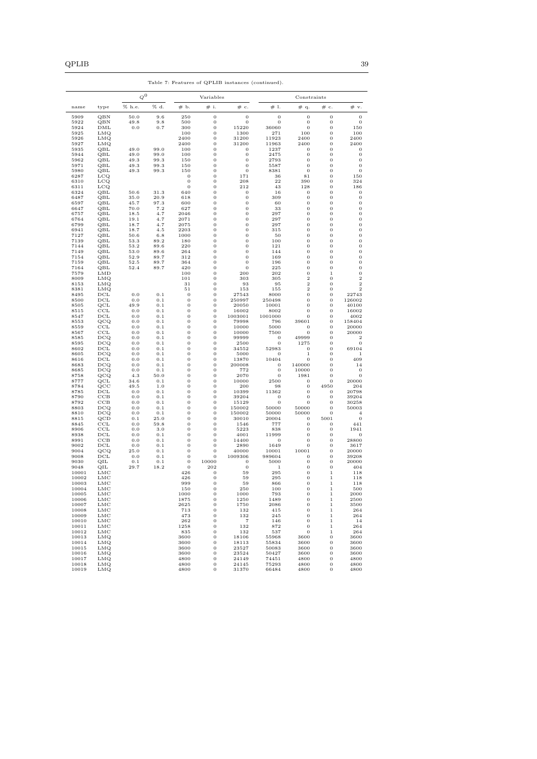|                |                     | $\boldsymbol{Q}^0$ |                    |                      | Variables                        |                                |                            | Constraints                          |                                  |                                         |  |
|----------------|---------------------|--------------------|--------------------|----------------------|----------------------------------|--------------------------------|----------------------------|--------------------------------------|----------------------------------|-----------------------------------------|--|
| name           | type                | % h.e.             | % d.               | # Ь.                 | # i.                             | # c.                           | # 1.                       | # q.                                 | $\#\;$ c.                        | # v.                                    |  |
| 5909           | QBN                 | 50.0               | 9.6                | 250                  | 0                                | $\mathbf{0}$                   | 0                          | $\mathbf{0}$                         | 0                                | $\boldsymbol{0}$                        |  |
| 5922           | QBN                 | 49.8               | 9.8                | 500                  | 0                                | 0<br>15220                     | $\mathbf 0$                | $\mathbf{0}$                         | 0                                | $\boldsymbol{0}$                        |  |
| 5924<br>5925   | DML<br>LMQ          | 0.0                | 0.7                | 300<br>100           | 0<br>0                           | 1300                           | 36060<br>271               | $\mathbf 0$<br>100                   | 0<br>0                           | 150<br>100                              |  |
| 5926           | LMQ                 |                    |                    | 2400                 | 0                                | 31200                          | 11923                      | 2400                                 | 0                                | 2400                                    |  |
| 5927           | LMQ                 |                    |                    | 2400                 | 0                                | 31200                          | 11963                      | 2400                                 | 0                                | 2400                                    |  |
| 5935           | QBL                 | 49.0               | 99.0               | 100                  | 0                                | $\mathbf 0$                    | 1237                       | $\bf{0}$                             | 0                                | $\boldsymbol{0}$                        |  |
| 5944<br>5962   | QBL<br>QBL          | 49.0<br>49.3       | 99.0<br>99.3       | 100<br>150           | 0<br>0                           | $\mathbf 0$<br>$\theta$        | 2475<br>2793               | $\,0\,$<br>$\mathbf 0$               | 0<br>0                           | $\boldsymbol{0}$<br>$\boldsymbol{0}$    |  |
| 5971           | QBL                 | 49.3               | 99.3               | 150                  | 0                                | $\mathbf{0}$                   | 5587                       | $\boldsymbol{0}$                     | 0                                | $\boldsymbol{0}$                        |  |
| 5980           | QBL                 | 49.3               | 99.3               | 150                  | 0                                | $\mathbf{0}$                   | 8381                       | $\mathbf 0$                          | $\bf{0}$                         | $\mathbf{0}$                            |  |
| 6287           | LCQ<br>LCQ          |                    |                    | 0<br>$\,0$           | 0<br>0                           | 171<br>208                     | 36<br>22                   | 81<br>390                            | $\bf{0}$<br>$\bf{0}$             | 150<br>324                              |  |
| 6310<br>6311   | LCQ                 |                    |                    | $\mathbf 0$          | 0                                | 212                            | 43                         | 128                                  | $\bf{0}$                         | 186                                     |  |
| 6324           | QBL                 | 50.6               | 31.3               | 640                  | 0                                | $\mathbf{0}$                   | 16                         | $\boldsymbol{0}$                     | 0                                | $\mathbf 0$                             |  |
| 6487           | QBL                 | 35.0               | 20.9               | 618                  | 0                                | $\mathbf 0$                    | 309                        | $\boldsymbol{0}$                     | 0                                | $\boldsymbol{0}$                        |  |
| 6597<br>6647   | QBL<br>QBL          | 45.7<br>70.0       | 97.3<br>7.2        | 600<br>627           | 0<br>0                           | $\mathbf{0}$<br>$\mathbf{0}$   | 60<br>33                   | $\boldsymbol{0}$<br>$\boldsymbol{0}$ | 0<br>$\bf{0}$                    | $\boldsymbol{0}$<br>$\boldsymbol{0}$    |  |
| 6757           | QBL                 | 18.5               | 4.7                | 2046                 | 0                                | $\mathbf{0}$                   | 297                        | $\boldsymbol{0}$                     | 0                                | $\boldsymbol{0}$                        |  |
| 6764           | QBL                 | 19.1               | 4.7                | 2071                 | 0                                | $\mathbf{0}$                   | 297                        | $\boldsymbol{0}$                     | 0                                | $\boldsymbol{0}$                        |  |
| 6799           | QBL                 | 18.7               | 4.7                | 2075                 | 0                                | $\mathbf{0}$                   | 297                        | $\boldsymbol{0}$                     | 0                                | $\boldsymbol{0}$                        |  |
| 6941<br>7127   | QBL<br>QBL          | 18.7<br>50.6       | 4.5<br>6.8         | 2203<br>1000         | 0<br>$\mathbf 0$                 | $\mathbf{0}$<br>$\mathbf{0}$   | 315<br>50                  | $\mathbf 0$<br>$\mathbf 0$           | $\mathbf{0}$<br>$\overline{0}$   | $\boldsymbol{0}$<br>$\mathbf{0}$        |  |
| 7139           | QBL                 | 53.3               | 89.2               | 180                  | $\mathbf 0$                      | $\mathbf{0}$                   | 100                        | $\mathbf 0$                          | $\overline{0}$                   | $\mathbf{0}$                            |  |
| 7144           | QBL                 | 53.2               | 89.6               | 220                  | $\mathbf 0$                      | $\mathbf{0}$                   | 121                        | $\mathbf 0$                          | $\overline{0}$                   | $\mathbf{0}$                            |  |
| 7149           | QBL                 | 53.0               | 89.6               | 264                  | $\mathbf 0$                      | $\mathbf{0}$                   | 144                        | $\mathbf 0$                          | $\overline{0}$                   | $\mathbf{0}$                            |  |
| 7154<br>7159   | QBL<br>QBL          | 52.9<br>52.5       | 89.7<br>89.7       | 312<br>364           | $\mathbf 0$<br>$\mathbf 0$       | $\overline{0}$<br>$\mathbf{0}$ | 169<br>196                 | $\mathbf 0$<br>$\mathbf 0$           | $\overline{0}$<br>$\overline{0}$ | $\mathbf{0}$<br>$\mathbf{0}$            |  |
| 7164           | QBL                 | 52.4               | 89.7               | 420                  | $\mathbf 0$                      | $\mathbf{0}$                   | 225                        | $\mathbf 0$                          | $\overline{0}$                   | $\mathbf{0}$                            |  |
| 7579           | LMD                 |                    |                    | 100                  | $\mathbf 0$                      | 200                            | 202                        | $\mathbf 0$                          | $1\,$                            | $\bf{0}$                                |  |
| 8009           | LMQ                 |                    |                    | 101                  | $\mathbf 0$                      | 303                            | 305                        | $\,2$                                | $\mathbf{0}$                     | $\,2$                                   |  |
| 8153<br>8381   | LMQ<br>LMQ          |                    |                    | 31<br>51             | $\mathbf 0$<br>0                 | 93<br>153                      | 95<br>155                  | $\overline{2}$<br>$\overline{2}$     | $\mathbf{0}$<br>$\mathbf{0}$     | $\,2$<br>$\overline{2}$                 |  |
| 8495           | $_{\rm DCL}$        | 0.0                | $0.1\,$            | $\mathbf{0}$         | $\overline{0}$                   | 27543                          | 8000                       | $\mathbf 0$                          | $\overline{0}$                   | 22743                                   |  |
| 8500           | $_{\rm DCL}$        | 0.0                | 0.1                | $\bf{0}$             | $\overline{0}$                   | 250997                         | 250498                     | $\mathbf 0$                          | $\mathbf{0}$                     | 126002                                  |  |
| 8505           | QCL                 | 49.9               | 0.1                | $\bf{0}$             | $\overline{0}$                   | 20050                          | 10001                      | $\mathbf 0$                          | $\mathbf{0}$                     | 40100                                   |  |
| 8515<br>8547   | CCL<br>DCL          | 0.0<br>0.0         | $0.1\,$<br>$0.1\,$ | $\bf{0}$<br>$\bf{0}$ | $\overline{0}$<br>$\overline{0}$ | 16002<br>1003001               | 8002<br>1001000            | $\overline{0}$<br>$\mathbf 0$        | $\mathbf{0}$<br>$\mathbf{0}$     | 16002<br>4002                           |  |
| 8553           | QCQ                 | 0.0                | $0.1\,$            | $\bf{0}$             | $\overline{0}$                   | 79998                          | 796                        | 39601                                | $\mathbf{0}$                     | 158404                                  |  |
| 8559           | CCL                 | 0.0                | 0.1                | $\overline{0}$       | $\overline{0}$                   | 10000                          | 5000                       | $\mathbf{0}$                         | $\mathbf{0}$                     | 20000                                   |  |
| 8567           | $_{\rm CCL}$        | 0.0                | 0.1                | 0                    | 0                                | 10000                          | 7500                       | $\mathbf{0}$                         | $\mathbf{0}$                     | 20000                                   |  |
| 8585<br>8595   | DCQ<br>DCQ          | 0.0<br>0.0         | 0.1<br>0.1         | 0<br>0               | 0<br>0                           | 99999<br>2500                  | $\mathbf 0$<br>$\mathbf 0$ | 49999<br>1275                        | $\mathbf{0}$<br>$\mathbf{0}$     | $\overline{\mathbf{2}}$<br>$\mathbf{0}$ |  |
| 8602           | $_{\rm DCL}$        | 0.0                | 0.1                | 0                    | 0                                | 34552                          | 52983                      | $\mathbf{0}$                         | $\mathbf{0}$                     | 69104                                   |  |
| 8605           | DCQ                 | 0.0                | 0.1                | 0                    | 0                                | 5000                           | $\mathbf{0}$               | $1\,$                                | $\mathbf{0}$                     | $\,1\,$                                 |  |
| 8616           | $_{\rm DCL}$        | 0.0                | 0.1                | 0                    | 0                                | 13870                          | 10404                      | $\mathbf 0$                          | $\mathbf{0}$                     | 409                                     |  |
| 8683<br>8685   | DCQ<br>DCQ          | 0.0<br>0.0         | 0.1<br>0.1         | 0<br>0               | 0<br>0                           | 200008<br>772                  | $\mathbf 0$<br>$\mathbf 0$ | 140000<br>10000                      | $\mathbf{0}$<br>$\mathbf{0}$     | 14<br>$\mathbf{0}$                      |  |
| 8758           | QCQ                 | 4.3                | 50.0               | 0                    | 0                                | 2070                           | $\mathbf{0}$               | 1981                                 | $\mathbf{0}$                     | $\mathbf{0}$                            |  |
| 8777           | QCL                 | 34.6               | 0.1                | 0                    | 0                                | 10000                          | 2500                       | $\mathbf 0$                          | $\mathbf{0}$                     | 20000                                   |  |
| 8784           | QCC                 | 49.5               | 1.0                | 0                    | 0                                | 200                            | 98                         | $\mathbf 0$                          | 4950                             | 204                                     |  |
| 8785<br>8790   | $_{\rm DCL}$<br>CCB | 0.0<br>0.0         | 0.1<br>0.1         | 0<br>0               | 0<br>0                           | 10399<br>39204                 | 11362<br>$\mathbf{0}$      | $\mathbf 0$<br>$\mathbf{0}$          | $\mathbf{0}$<br>$\mathbf{0}$     | 20798<br>39204                          |  |
| 8792           | CCB                 | 0.0                | 0.1                | 0                    | 0                                | 15129                          | $\mathbf{0}$               | $\mathbf{0}$                         | $\mathbf{0}$                     | 30258                                   |  |
| 8803           | DCQ                 | 0.0                | 0.1                | 0                    | 0                                | 150002                         | 50000                      | 50000                                | $\mathbf{0}$                     | 50003                                   |  |
| 8810           | DCQ                 | 0.0                | 0.1                | 0                    | 0                                | 150002                         | 50000                      | 50000                                | $\mathbf{0}$                     | $\overline{4}$                          |  |
| 8815<br>8845   | QCD<br>CCL          | 0.1<br>0.0         | 25.0<br>59.8       | 0<br>0               | 0<br>0                           | 30010<br>1546                  | 20004<br>777               | $\mathbf 0$<br>$\mathbf 0$           | 5001<br>$\mathbf{0}$             | $\mathbf{0}$<br>441                     |  |
| 8906           | CCL                 | 0.0                | 3.0                | 0                    | 0                                | 5223                           | 838                        | $\mathbf{0}$                         | $\mathbf{0}$                     | 1941                                    |  |
| 8938           | DCL                 | 0.0                | 0.1                | 0                    | 0                                | 4001                           | 11999                      | $\mathbf{0}$                         | $\Omega$                         | 0                                       |  |
| 8991<br>9002   | CCB<br>DCL          | 0.0<br>0.0         | 0.1<br>0.1         | 0<br>0               | 0<br>0                           | 14400<br>2890                  | $\mathbf{0}$<br>1649       | $\mathbf{0}$<br>0                    | $\mathbf{0}$<br>$\mathbf{0}$     | 28800<br>3617                           |  |
| 9004           | QCQ                 | 25.0               | 0.1                | $\mathbf{0}$         | 0                                | 40000                          | 10001                      | 10001                                | $\mathbf{0}$                     | 20000                                   |  |
| 9008           | DCL                 | 0.0                | 0.1                | $\mathbf{0}$         | 0                                | 1009306                        | 989604                     | $\mathbf 0$                          | $\mathbf{0}$                     | 39208                                   |  |
| 9030           | QIL                 | 0.1                | 0.1                | $\mathbf{0}$         | 10000                            | $\mathbf{0}$                   | 5000                       | $\boldsymbol{0}$                     | $\mathbf{0}$                     | 20000                                   |  |
| 9048<br>10001  | QIL                 | 29.7               | 18.2               | $\mathbf{0}$<br>426  | 202                              | $\mathbf{0}$<br>59             | 1<br>295                   | $\bf{0}$<br>$\mathbf{0}$             | $\mathbf{0}$<br>1                | 404                                     |  |
| 10002          | LMC<br>LMC          |                    |                    | 426                  | 0<br>0                           | 59                             | 295                        | $\mathbf{0}$                         | $\mathbf 1$                      | 118<br>118                              |  |
| 10003          | LMC                 |                    |                    | 999                  | $\mathbf{0}$                     | 59                             | 866                        | $\mathbf{0}$                         | 1                                | 118                                     |  |
| 10004          | LMC                 |                    |                    | 150                  | 0                                | 250                            | 100                        | $\boldsymbol{0}$                     | $\,1$                            | 500                                     |  |
| 10005          | LMC<br>LMC          |                    |                    | 1000                 | 0                                | 1000                           | 793                        | $\mathbf{0}$                         | $\,1$                            | 2000                                    |  |
| 10006<br>10007 | LMC                 |                    |                    | 1875<br>2625         | 0<br>0                           | 1250<br>1750                   | 1489<br>2086               | $\mathbf{0}$<br>$\mathbf{0}$         | $\mathbf 1$<br>$\mathbf 1$       | 2500<br>3500                            |  |
| 10008          | LMC                 |                    |                    | 713                  | 0                                | 132                            | 415                        | $\mathbf{0}$                         | $\mathbf 1$                      | 264                                     |  |
| 10009          | LMC                 |                    |                    | 473                  | 0                                | 132                            | 245                        | $\mathbf{0}$                         | $\mathbf 1$                      | 264                                     |  |
| 10010          | LMC                 |                    |                    | 262                  | 0                                | $\overline{7}$                 | 146                        | $\mathbf{0}$                         | $\mathbf 1$                      | 14                                      |  |
| 10011<br>10012 | LMC<br>LMC          |                    |                    | 1258<br>835          | 0<br>0                           | 132<br>132                     | 872<br>537                 | $\mathbf{0}$<br>$\mathbf{0}$         | $\mathbf 1$<br>$\mathbf 1$       | 264<br>264                              |  |
| 10013          | LMQ                 |                    |                    | 3600                 | 0                                | 18106                          | 55968                      | 3600                                 | 0                                | 3600                                    |  |
| 10014          | LMQ                 |                    |                    | 3600                 | 0                                | 18113                          | 55834                      | 3600                                 | 0                                | 3600                                    |  |
| 10015          | LMQ                 |                    |                    | 3600                 | 0                                | 23527                          | 50083                      | 3600                                 | 0                                | 3600                                    |  |
| 10016<br>10017 | LMQ<br>LMQ          |                    |                    | 3600<br>4800         | 0<br>0                           | 23524<br>24149                 | 50427<br>74451             | 3600<br>4800                         | 0<br>0                           | 3600<br>4800                            |  |
| 10018          | LMQ                 |                    |                    | 4800                 | 0                                | 24145                          | 75293                      | 4800                                 | 0                                | 4800                                    |  |
| 10019          | <b>LMQ</b>          |                    |                    | 4800                 | 0                                | 31370                          | 66484                      | 4800                                 | $\Omega$                         | 4800                                    |  |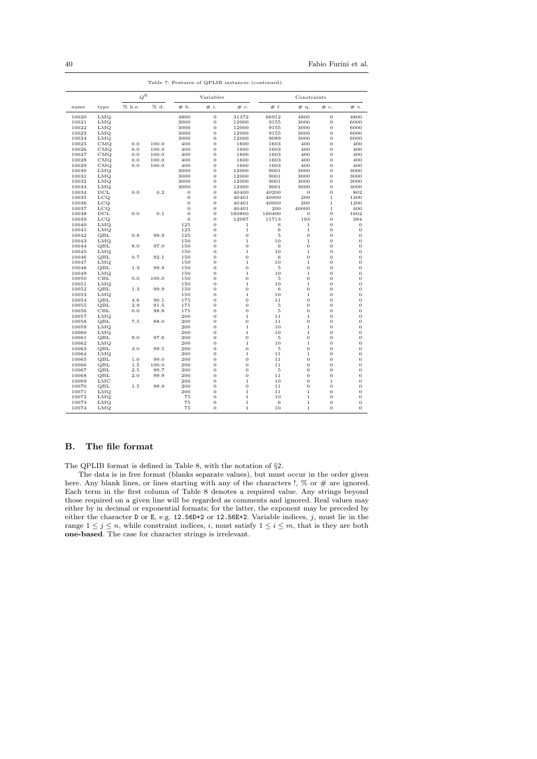40 Fabio Furini et al.

| Table 7: Features of QPLIB instances (continued). |              |             |       |                  |                |                               |             |                               |                                |                |
|---------------------------------------------------|--------------|-------------|-------|------------------|----------------|-------------------------------|-------------|-------------------------------|--------------------------------|----------------|
|                                                   |              | $\varphi^0$ |       | Variables        |                |                               | Constraints |                               |                                |                |
| name                                              | type         | % h.e.      | % d.  | #b.              | # i.           | # c.                          | #1.         | # q.                          | # c.                           | # v.           |
| 10020                                             | LMQ          |             |       | 4800             | $\bf{0}$       | 31372                         | 66912       | 4800                          | $\overline{0}$                 | 4800           |
| 10021                                             | LMQ          |             |       | 3000             | 0              | 12000                         | 9155        | 3000                          | $\mathbf{0}$                   | 6000           |
| 10022                                             | LMQ          |             |       | 3000             | $\overline{0}$ | 12000                         | 9155        | 3000                          | $\overline{0}$                 | 6000           |
| 10023                                             | LMQ          |             |       | 3000             | 0              | 12000                         | 9155        | 3000                          | $\mathbf{0}$                   | 6000           |
| 10024                                             | LMQ          |             |       | 3000             | $\overline{0}$ | 12000                         | 9089        | 3000                          | $\overline{0}$                 | 6000           |
| 10025                                             | CMQ          | 0.0         | 100.0 | 400              | $\overline{0}$ | 1600                          | 1603        | 400                           | $\overline{0}$                 | 400            |
| 10026                                             | CMQ          | 0.0         | 100.0 | 400              | $\overline{0}$ | 1600                          | 1603        | 400                           | $\overline{0}$                 | 400            |
| 10027                                             | CMQ          | 0.0         | 100.0 | 400              | 0              | 1600                          | 1603        | 400                           | $\mathbf{0}$                   | 400            |
| 10028                                             | CMQ          | 0.0         | 100.0 | 400              | 0              | 1600                          | 1603        | 400                           | $\overline{0}$                 | 400            |
| 10029                                             | CMQ          | 0.0         | 100.0 | 400              | $\overline{0}$ | 1600                          | 1603        | 400                           | $\overline{0}$                 | 400            |
| 10030                                             | LMQ          |             |       | 3000             | $\overline{0}$ | 12000                         | 9001        | 3000                          | $\overline{0}$                 | 3000           |
| 10031                                             | LMQ          |             |       | 3000             | 0              | 12000                         | 9001        | 3000                          | $\mathbf{0}$                   | 3000           |
| 10032                                             | LMQ          |             |       | 3000             | $\overline{0}$ | 12000                         | 9001        | 3000                          | $\overline{0}$                 | 3000           |
| 10033                                             | LMQ          |             |       | 3000             | 0              | 12000                         | 9001        | 3000                          | $\overline{0}$                 | 3000           |
| 10034                                             | $_{\rm DCL}$ | 0.0         | 0.2   | $\mathbf{0}$     | 0              | 40400                         | 40200       | $\mathbf 0$                   | $\mathbf{0}$                   | 802            |
| 10035                                             | LCQ          |             |       | $\boldsymbol{0}$ | $\overline{0}$ | 40401                         | 40000       | 200                           | $\,1\,$                        | 1200           |
| 10036                                             | $_{\rm LCQ}$ |             |       | $\mathbf{0}$     | 0              | 40401                         | 40000       | 200                           | $1\,$                          | 1200           |
| 10037                                             | $_{\rm LCQ}$ |             |       | $\bf{0}$         | 0              | 40401                         | 200         | 40000                         | $\,1\,$                        | 400            |
| 10038                                             | $_{\rm DCL}$ | 0.0         | 0.1   | $\mathbf{0}$     | 0              | 160800                        | 160400      | 0                             | $\overline{0}$                 | 1602           |
| 10039                                             | LCQ          |             |       | $\mathbf{0}$     | 0              | 12097                         | 11713       | 193                           | $\mathbf{0}$                   | 384            |
| 10040                                             | LMQ          |             |       | 125              | $\overline{0}$ | 1                             | 6           | $\,1\,$                       | $\overline{0}$                 | 0              |
| 10041                                             | LMQ          |             |       | 125              | 0              | $\,1\,$                       | 6           | $\,1\,$                       | $\mathbf{0}$                   | 0              |
| 10042                                             | QBL          | 0.8         | 99.9  | 125              | 0              | $\mathbf 0$                   | 5           | $\mathbf{0}$                  | $\mathbf{0}$                   | 0              |
| 10043                                             | LMQ          |             |       | 150              | 0              | $\mathbf 1$                   | 10          | $\mathbf 1$                   | $\overline{0}$                 | 0              |
| 10044                                             | QBL          | 8.0         | 97.0  | 150              | 0              | $\overline{0}$                | 6           | $\overline{0}$                | $\overline{0}$                 | 0              |
| 10045                                             | LMQ          | 0.7         |       | 150              | $\overline{0}$ | $\mathbf 1$<br>$\overline{0}$ | 10          | $\,1\,$<br>$\overline{0}$     | $\overline{0}$                 | $\bf{0}$       |
| 10046                                             | QBL          |             | 92.1  | 150              | 0              |                               | 6           |                               | $\mathbf{0}$                   | 0              |
| 10047                                             | LMQ          |             | 99.9  | 150              | 0              | $\mathbf 1$<br>$\overline{0}$ | 10          | $\mathbf 1$<br>$\overline{0}$ | $\mathbf{0}$<br>$\overline{0}$ | 0              |
| 10048                                             | QBL          | 1.3         |       | 150<br>150       | 0<br>0         | $\mathbf{1}$                  | 5<br>10     | $\mathbf{1}$                  | $\overline{0}$                 | 0<br>0         |
| 10049<br>10050                                    | LMQ<br>CBL   | 0.0         | 100.0 | 150              | $\overline{0}$ | $\overline{0}$                | $\bf 5$     | $\overline{0}$                | $\overline{0}$                 | $\bf{0}$       |
| 10051                                             | LMQ          |             |       | 150              | 0              | $\mathbf 1$                   | 10          | $\,1\,$                       | $\mathbf{0}$                   | 0              |
| 10052                                             | QBL          | $1.3\,$     | 99.9  | 150              | $\overline{0}$ | $\overline{0}$                | 6           | $\overline{0}$                | $\overline{0}$                 | $\mathbf 0$    |
| 10053                                             | LMQ          |             |       | 150              | 0              | $\mathbf 1$                   | 10          | $\mathbf 1$                   | $\overline{0}$                 | 0              |
| 10054                                             | QBL          | 4.6         | 90.1  | 175              | 0              | 0                             | 11          | $\mathbf 0$                   | $\mathbf{0}$                   | 0              |
| 10055                                             | QBL          | 2.9         | 91.5  | 175              | 0              | $\overline{0}$                | $\bf 5$     | $\boldsymbol{0}$              | $\mathbf 0$                    | 0              |
| 10056                                             | CBL          | 0.0         | 98.8  | 175              | $\overline{0}$ | $\overline{0}$                | 5           | $\mathbf{0}$                  | $\overline{0}$                 | 0              |
| 10057                                             | LMQ          |             |       | 200              | $\overline{0}$ | $\mathbf{1}$                  | 11          | $\mathbf 1$                   | $\overline{0}$                 | $\overline{0}$ |
| 10058                                             | QBL          | 7.5         | 88.0  | 200              | 0              | $\overline{0}$                | 11          | $\overline{0}$                | $\overline{0}$                 | 0              |
| 10059                                             | LMQ          |             |       | 200              | 0              | $\mathbf 1$                   | 10          | $1\,$                         | $\mathbf{0}$                   | 0              |
| 10060                                             | LMQ          |             |       | 200              | 0              | $\mathbf 1$                   | 10          | $\,1\,$                       | $\mathbf{0}$                   | 0              |
| 10061                                             | QBL          | 9.0         | 97.6  | 200              | 0              | $\overline{0}$                | 5           | $\overline{0}$                | $\overline{0}$                 | 0              |
| 10062                                             | LMQ          |             |       | 200              | 0              | $\mathbf 1$                   | 10          | $\mathbf 1$                   | $\mathbf{0}$                   | 0              |
| 10063                                             | QBL          | $3.0\,$     | 99.5  | 200              | $\overline{0}$ | $\overline{0}$                | 5           | $\overline{0}$                | $\overline{0}$                 | 0              |
| 10064                                             | LMQ          |             |       | 200              | 0              | $\mathbf 1$                   | 11          | $1\,$                         | $\mathbf{0}$                   | 0              |
| 10065                                             | QBL          | $1.0\,$     | 99.0  | 200              | $\overline{0}$ | $\overline{0}$                | 11          | $\overline{0}$                | $\overline{0}$                 | 0              |
| 10066                                             | QBL          | 1.5         | 100.0 | 200              | 0              | 0                             | 11          | $\mathbf{0}$                  | $\mathbf{0}$                   | 0              |
| 10067                                             | QBL          | $2.5\,$     | 99.7  | 200              | 0              | $\overline{0}$                | 5           | $\overline{0}$                | $\overline{0}$                 | 0              |
| 10068                                             | QBL          | 2.0         | 99.9  | 200              | 0              | 0                             | 11          | $\mathbf{0}$                  | $\overline{0}$                 | 0              |
| 10069                                             | LMC          |             |       | 200              | 0              | $\mathbf 1$                   | 10          | $\mathbf{0}$                  | $1\,$                          | 0              |
| 10070                                             | QBL          | $1\,.5$     | 99.9  | 200              | 0              | $\overline{0}$                | 11          | $\overline{0}$                | $\overline{0}$                 | 0              |
| 10071                                             | LMQ          |             |       | 200              | 0              | $\mathbf 1$                   | 11          | $\mathbf 1$                   | $\mathbf{0}$                   | 0              |
| 10072                                             | LMQ          |             |       | 75               | $\overline{0}$ | $\mathbf 1$                   | 10          | $\mathbf 1$                   | $\overline{0}$                 | $\bf{0}$       |
| 10073                                             | LMQ          |             |       | 75               | 0              | $\mathbf 1$                   | 6           | $\mathbf 1$                   | $\mathbf{0}$                   | 0              |
| 10074                                             | LMQ          |             |       | 75               | 0              | $\mathbf 1$                   | 10          | $\mathbf 1$                   | $\mathbf{0}$                   | $\overline{0}$ |
|                                                   |              |             |       |                  |                |                               |             |                               |                                |                |

# <span id="page-39-0"></span>B. The file format

The QPLIB format is defined in Table [8,](#page-40-0) with the notation of §[2.](#page-5-0)

The data is in free format (blanks separate values), but must occur in the order given here. Any blank lines, or lines starting with any of the characters !,  $\%$  or  $\#$  are ignored. Each term in the first column of Table [8](#page-40-0) denotes a required value. Any strings beyond those required on a given line will be regarded as comments and ignored. Real values may either by in decimal or exponential formats; for the latter, the exponent may be preceded by either the character D or E, e.g.  $12.56D+2$  or  $12.56E+2$ . Variable indices, j, must lie in the range  $1 \leq j \leq n$ , while constraint indices, i, must satisfy  $1 \leq i \leq m$ , that is they are both one-based. The case for character strings is irrelevant.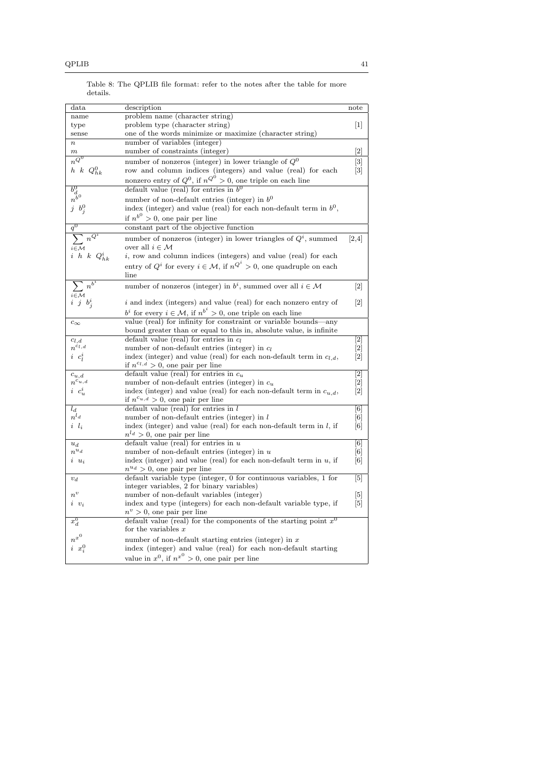| data                                                       | description                                                                                                 | note                                                                                                                                                                                                            |
|------------------------------------------------------------|-------------------------------------------------------------------------------------------------------------|-----------------------------------------------------------------------------------------------------------------------------------------------------------------------------------------------------------------|
| name                                                       | problem name (character string)                                                                             |                                                                                                                                                                                                                 |
| type                                                       | problem type (character string)                                                                             | 1                                                                                                                                                                                                               |
| sense                                                      | one of the words minimize or maximize (character string)                                                    |                                                                                                                                                                                                                 |
| $\boldsymbol{n}$                                           | number of variables (integer)                                                                               |                                                                                                                                                                                                                 |
| $\boldsymbol{m}$                                           | number of constraints (integer)                                                                             | $\left[2\right]$                                                                                                                                                                                                |
| $n^{Q^0}$                                                  | number of nonzeros (integer) in lower triangle of ${\cal Q}^0$                                              | $[3]$                                                                                                                                                                                                           |
| $h \thinspace k \thinspace Q_{hk}^0$                       | row and column indices (integers) and value (real) for each                                                 | 3                                                                                                                                                                                                               |
|                                                            | nonzero entry of $Q^0$ , if $n^Q0^0 > 0$ , one triple on each line                                          |                                                                                                                                                                                                                 |
| $\begin{matrix}\nb^0_d\\n^b\\j&b^0_j\end{matrix}$          | default value (real) for entries in $b^0$                                                                   |                                                                                                                                                                                                                 |
|                                                            | number of non-default entries (integer) in $b^0$                                                            |                                                                                                                                                                                                                 |
|                                                            | index (integer) and value (real) for each non-default term in $b^0$ ,                                       |                                                                                                                                                                                                                 |
|                                                            | if $n^{b^0} > 0$ , one pair per line                                                                        |                                                                                                                                                                                                                 |
|                                                            | constant part of the objective function                                                                     |                                                                                                                                                                                                                 |
|                                                            | number of nonzeros (integer) in lower triangles of $Q^i$ , summed                                           | [2,4]                                                                                                                                                                                                           |
| $\sum_{i\in\mathcal{M}} n^{Q^i}$                           | over all $i \in \mathcal{M}$                                                                                |                                                                                                                                                                                                                 |
| $i\hskip 0.6em h\hskip 0.6em k\hskip 0.6em Q^i_{hk}$       | <i>i</i> , row and column indices (integers) and value (real) for each                                      |                                                                                                                                                                                                                 |
|                                                            | entry of $Q^i$ for every $i \in \mathcal{M}$ , if $n^{Q^i} > 0$ , one quadruple on each                     |                                                                                                                                                                                                                 |
|                                                            | line                                                                                                        |                                                                                                                                                                                                                 |
|                                                            | number of nonzeros (integer) in $b^i$ , summed over all $i \in \mathcal{M}$                                 |                                                                                                                                                                                                                 |
| $\sum_{\substack{i \in \mathcal{M} \\ i \ j \ b^i_j}} n^b$ |                                                                                                             | 2                                                                                                                                                                                                               |
|                                                            | <i>i</i> and index (integers) and value (real) for each nonzero entry of                                    | $[2]$                                                                                                                                                                                                           |
|                                                            | $b^i$ for every $i \in \mathcal{M}$ , if $n^{b^i} > 0$ , one triple on each line                            |                                                                                                                                                                                                                 |
| $c_{\infty}$                                               | value (real) for infinity for constraint or variable bounds-any                                             |                                                                                                                                                                                                                 |
|                                                            | bound greater than or equal to this in, absolute value, is infinite                                         |                                                                                                                                                                                                                 |
| $c_{l,d}$                                                  | default value (real) for entries in $c_l$                                                                   | $\overline{[2]}$                                                                                                                                                                                                |
| $n^{c_l,d}$                                                | number of non-default entries (integer) in $c_l$                                                            | [2]                                                                                                                                                                                                             |
| $i\,c_l^i$                                                 | index (integer) and value (real) for each non-default term in $c_{l,d}$ ,                                   | $[2]$                                                                                                                                                                                                           |
|                                                            | if $n^{c_l,d} > 0$ , one pair per line                                                                      |                                                                                                                                                                                                                 |
| $c_{u,d}$                                                  | default value (real) for entries in $c_u$                                                                   | $\overline{[2]}$                                                                                                                                                                                                |
| $n^{c_{u,d}}$                                              | number of non-default entries (integer) in $c_u$                                                            | $[2]$                                                                                                                                                                                                           |
| $i\,c_u^i$                                                 | index (integer) and value (real) for each non-default term in $c_{u,d}$ ,                                   | $\left\lceil 2 \right\rceil$                                                                                                                                                                                    |
|                                                            | if $n^{c_{u,d}} > 0$ , one pair per line                                                                    |                                                                                                                                                                                                                 |
| $l_d$                                                      | default value (real) for entries in $l$                                                                     | $\overline{[6]}$                                                                                                                                                                                                |
| $n^{l_d}$                                                  | number of non-default entries (integer) in $l$                                                              | $\left[ 6\right]$<br>$\lceil 6 \rceil$                                                                                                                                                                          |
| $i \, l_i$                                                 | index (integer) and value (real) for each non-default term in $l$ , if<br>$n^{l_d} > 0$ , one pair per line |                                                                                                                                                                                                                 |
| $u_d$                                                      | default value (real) for entries in $u$                                                                     | $\overline{[6]}$                                                                                                                                                                                                |
| $n^{u_d}$                                                  | number of non-default entries (integer) in $u$                                                              | [6]                                                                                                                                                                                                             |
| $i\ u_i$                                                   | index (integer) and value (real) for each non-default term in $u$ , if                                      | $[6] % \includegraphics[width=0.9\columnwidth]{figures/fig_10.pdf} \caption{A small number of samples in the left and right. The left and right is the number of samples in the right.} \label{fig:fig_10.pdf}$ |
|                                                            | $n^{u_d} > 0$ , one pair per line                                                                           |                                                                                                                                                                                                                 |
| $v_d$                                                      | default variable type (integer, 0 for continuous variables, 1 for                                           | $\lceil 5 \rceil$                                                                                                                                                                                               |
|                                                            | integer variables, 2 for binary variables)                                                                  |                                                                                                                                                                                                                 |
| $n^{v}$                                                    | number of non-default variables (integer)                                                                   | 5                                                                                                                                                                                                               |
| $i \, v_i$                                                 | index and type (integers) for each non-default variable type, if                                            | 5                                                                                                                                                                                                               |
|                                                            | $n^v > 0$ , one pair per line                                                                               |                                                                                                                                                                                                                 |
| $x_d^0$                                                    | default value (real) for the components of the starting point $x^0$                                         |                                                                                                                                                                                                                 |
|                                                            | for the variables $x$                                                                                       |                                                                                                                                                                                                                 |
| $n^{x^0}$                                                  | number of non-default starting entries (integer) in $x$                                                     |                                                                                                                                                                                                                 |
| $i\ x_i^0$                                                 | index (integer) and value (real) for each non-default starting                                              |                                                                                                                                                                                                                 |
|                                                            | value in $x^0$ , if $n^{x^0} > 0$ , one pair per line                                                       |                                                                                                                                                                                                                 |

<span id="page-40-0"></span>Table 8: The QPLIB file format: refer to the notes after the table for more details.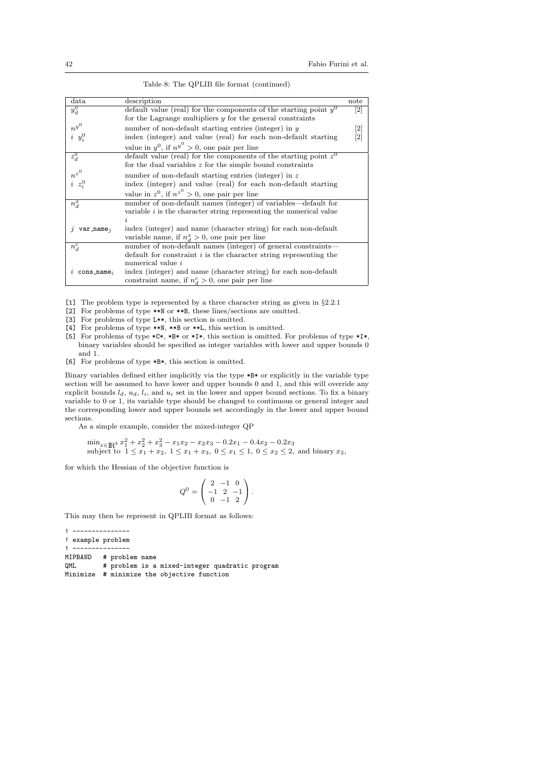| data                      | description                                                           | note |
|---------------------------|-----------------------------------------------------------------------|------|
|                           |                                                                       |      |
| $y_d^0$                   | default value (real) for the components of the starting point $y^0$   | [2]  |
|                           | for the Lagrange multipliers $y$ for the general constraints          |      |
| $n^{y^0}$                 | number of non-default starting entries (integer) in $y$               | 2    |
| $i \, y_i^0$              | index (integer) and value (real) for each non-default starting        | [2]  |
|                           | value in $y^0$ , if $n^{y^0} > 0$ , one pair per line                 |      |
| $z_d^0$                   | default value (real) for the components of the starting point $z^0$   |      |
|                           | for the dual variables $z$ for the simple bound constraints           |      |
| $n^{z^0}$                 | number of non-default starting entries (integer) in $z$               |      |
| $i\ z_i^0$                | index (integer) and value (real) for each non-default starting        |      |
|                           | value in $z^0$ , if $n^{z^0} > 0$ , one pair per line                 |      |
| $n_d^x$                   | number of non-default names (integer) of variables—default for        |      |
|                           | variable $i$ is the character string representing the numerical value |      |
|                           |                                                                       |      |
| $var_name_i$              | index (integer) and name (character string) for each non-default      |      |
|                           | variable name, if $n_d^x > 0$ , one pair per line                     |      |
| $n_d^c$                   | number of non-default names (integer) of general constraints—         |      |
|                           | default for constraint $i$ is the character string representing the   |      |
|                           | numerical value i                                                     |      |
| $cons_name_i$<br>$\imath$ | index (integer) and name (character string) for each non-default      |      |
|                           | constraint name, if $n_d^c > 0$ , one pair per line                   |      |

Table 8: The QPLIB file format (continued)

[1] The problem type is represented by a three character string as given in §[2.2.1](#page-7-0)

[2] For problems of type \*\*N or \*\*B, these lines/sections are omitted.

[3] For problems of type L\*\*, this section is omitted.

- [4] For problems of type \*\*N, \*\*B or \*\*L, this section is omitted.
- [5] For problems of type  $*C*, *B*$  or  $*I*,$  this section is omitted. For problems of type  $*I*,$ binary variables should be specified as integer variables with lower and upper bounds 0 and 1.
- [6] For problems of type \*B\*, this section is omitted.

Binary variables defined either implicitly via the type \*B\* or explicitly in the variable type section will be assumed to have lower and upper bounds 0 and 1, and this will override any explicit bounds  $l_d$ ,  $u_d$ ,  $l_i$ , and  $u_i$  set in the lower and upper bound sections. To fix a binary variable to 0 or 1, its variable type should be changed to continuous or general integer and the corresponding lower and upper bounds set accordingly in the lower and upper bound sections.

As a simple example, consider the mixed-integer QP

 $\min_{x \in \mathbb{R}^3} x_1^2 + x_2^2 + x_3^2 - x_1x_2 - x_2x_3 - 0.2x_1 - 0.4x_2 - 0.2x_3$ subject to  $1 \le x_1 + x_2$ ,  $1 \le x_1 + x_3$ ,  $0 \le x_1 \le 1$ ,  $0 \le x_2 \le 2$ , and binary  $x_3$ ,

for which the Hessian of the objective function is

$$
Q^0 = \begin{pmatrix} 2 & -1 & 0 \\ -1 & 2 & -1 \\ 0 & -1 & 2 \end{pmatrix}.
$$

This may then be represent in QPLIB format as follows:

```
! ---------------
! example problem
! ---------------<br>MIPBAND # probl
         # problem name
QML # problem is a mixed-integer quadratic program
Minimize # minimize the objective function
```